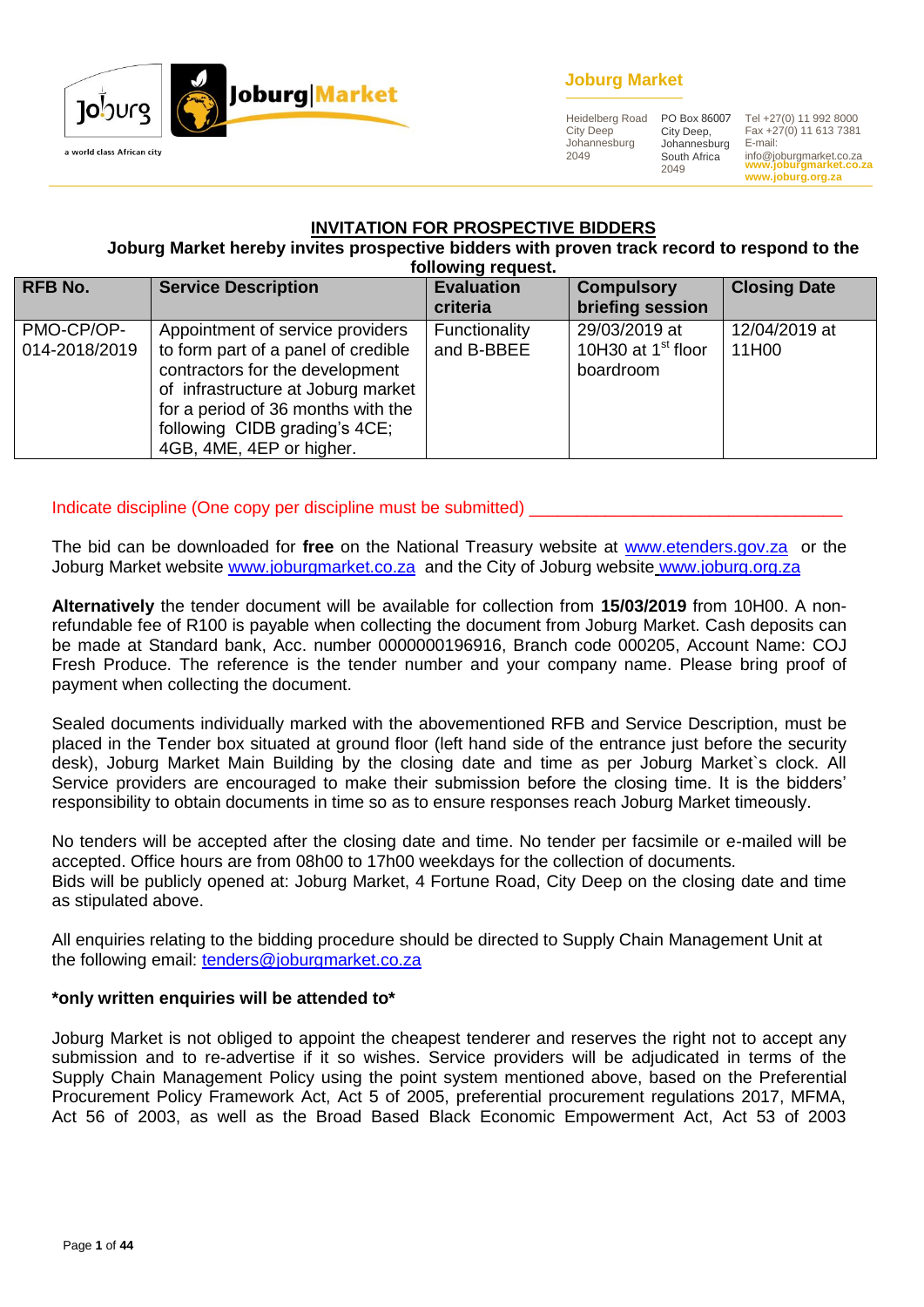

## **Joburg Market**

Heidelberg Road City Deep Johannesburg 2049

City Deep, Johannesburg South Africa 2049

**www.joburgmarket.co.za www.joburg.org.za** PO Box 86007 Tel +27(0) 11 992 8000 Fax +27(0) 11 613 7381 E-mail: info@joburgmarket.co.za

#### **INVITATION FOR PROSPECTIVE BIDDERS**

**Joburg Market hereby invites prospective bidders with proven track record to respond to the following request.**

| <b>RFB No.</b>              | <b>Service Description</b>                                                                                                                                                                                                                          | <b>Evaluation</b><br>criteria | <b>Compulsory</b><br>briefing session                        | <b>Closing Date</b>    |
|-----------------------------|-----------------------------------------------------------------------------------------------------------------------------------------------------------------------------------------------------------------------------------------------------|-------------------------------|--------------------------------------------------------------|------------------------|
| PMO-CP/OP-<br>014-2018/2019 | Appointment of service providers<br>to form part of a panel of credible<br>contractors for the development<br>of infrastructure at Joburg market<br>for a period of 36 months with the<br>following CIDB grading's 4CE;<br>4GB, 4ME, 4EP or higher. | Functionality<br>and B-BBEE   | 29/03/2019 at<br>10H30 at 1 <sup>st</sup> floor<br>boardroom | 12/04/2019 at<br>11H00 |

#### Indicate discipline (One copy per discipline must be submitted)

The bid can be downloaded for **free** on the National Treasury website at [www.etenders.gov.za](http://www.etenders.gov.za/) or the Joburg Market website [www.joburgmarket.co.za](http://www.joburgmarket.co.za/) and the City of Joburg website [www.joburg.org.za](http://www.joburg.org.za/)

**Alternatively** the tender document will be available for collection from **15/03/2019** from 10H00. A nonrefundable fee of R100 is payable when collecting the document from Joburg Market. Cash deposits can be made at Standard bank, Acc. number 0000000196916, Branch code 000205, Account Name: COJ Fresh Produce. The reference is the tender number and your company name. Please bring proof of payment when collecting the document.

Sealed documents individually marked with the abovementioned RFB and Service Description, must be placed in the Tender box situated at ground floor (left hand side of the entrance just before the security desk), Joburg Market Main Building by the closing date and time as per Joburg Market`s clock. All Service providers are encouraged to make their submission before the closing time. It is the bidders' responsibility to obtain documents in time so as to ensure responses reach Joburg Market timeously.

No tenders will be accepted after the closing date and time. No tender per facsimile or e-mailed will be accepted. Office hours are from 08h00 to 17h00 weekdays for the collection of documents. Bids will be publicly opened at: Joburg Market, 4 Fortune Road, City Deep on the closing date and time as stipulated above.

All enquiries relating to the bidding procedure should be directed to Supply Chain Management Unit at the following email: [tenders@joburgmarket.co.za](mailto:tenders@joburgmarket.co.za)

#### **\*only written enquiries will be attended to\***

Joburg Market is not obliged to appoint the cheapest tenderer and reserves the right not to accept any submission and to re-advertise if it so wishes. Service providers will be adjudicated in terms of the Supply Chain Management Policy using the point system mentioned above, based on the Preferential Procurement Policy Framework Act, Act 5 of 2005, preferential procurement regulations 2017, MFMA, Act 56 of 2003, as well as the Broad Based Black Economic Empowerment Act, Act 53 of 2003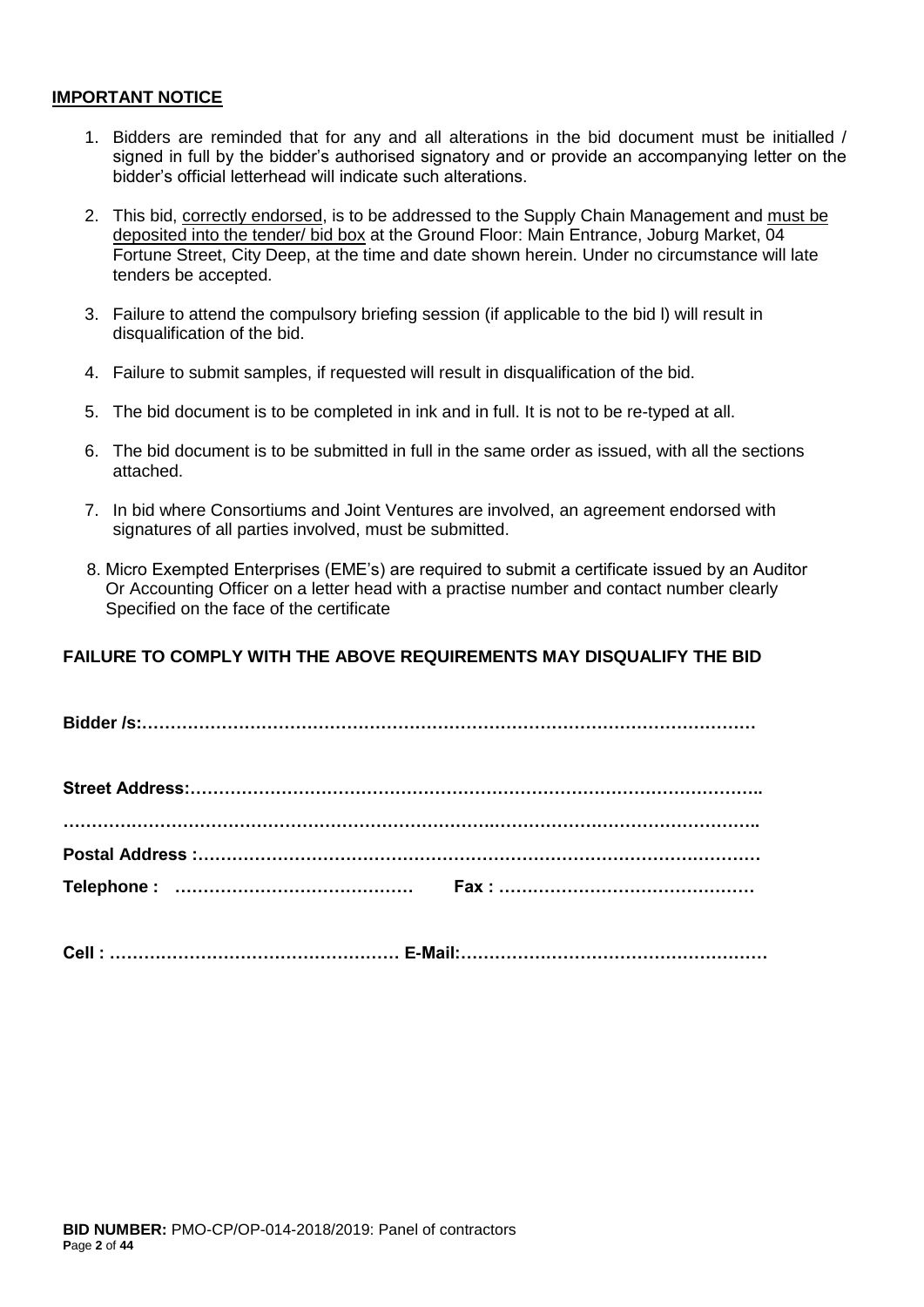#### **IMPORTANT NOTICE**

- 1. Bidders are reminded that for any and all alterations in the bid document must be initialled / signed in full by the bidder's authorised signatory and or provide an accompanying letter on the bidder's official letterhead will indicate such alterations.
- 2. This bid, correctly endorsed, is to be addressed to the Supply Chain Management and must be deposited into the tender/ bid box at the Ground Floor: Main Entrance, Joburg Market, 04 Fortune Street, City Deep, at the time and date shown herein. Under no circumstance will late tenders be accepted.
- 3. Failure to attend the compulsory briefing session (if applicable to the bid l) will result in disqualification of the bid.
- 4. Failure to submit samples, if requested will result in disqualification of the bid.
- 5. The bid document is to be completed in ink and in full. It is not to be re-typed at all.
- 6. The bid document is to be submitted in full in the same order as issued, with all the sections attached.
- 7. In bid where Consortiums and Joint Ventures are involved, an agreement endorsed with signatures of all parties involved, must be submitted.
- 8. Micro Exempted Enterprises (EME's) are required to submit a certificate issued by an Auditor Or Accounting Officer on a letter head with a practise number and contact number clearly Specified on the face of the certificate

## **FAILURE TO COMPLY WITH THE ABOVE REQUIREMENTS MAY DISQUALIFY THE BID**

| Telephone: |  |
|------------|--|

**Cell : …………………………………………… E-Mail:………………………………………………**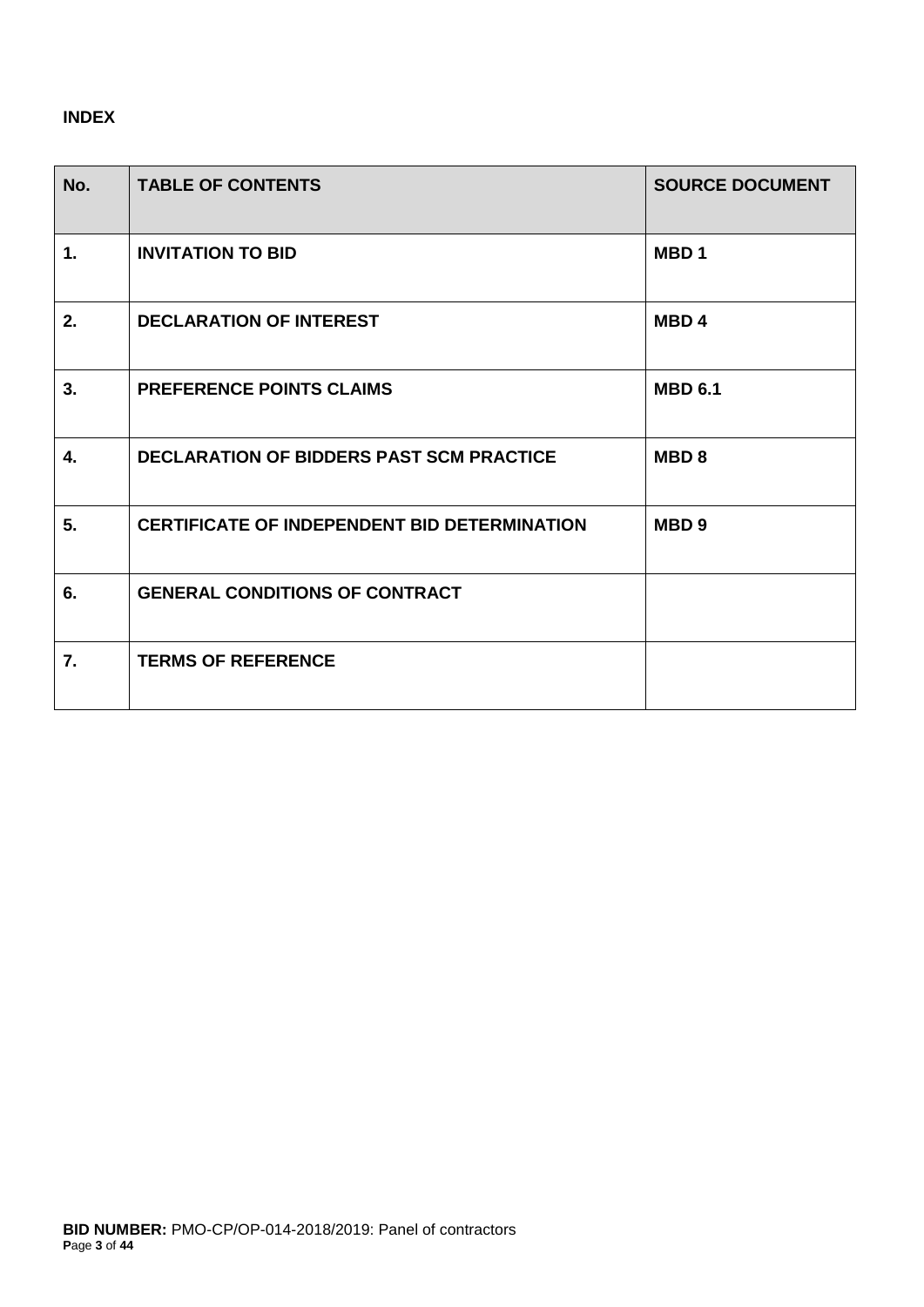# **INDEX**

| No. | <b>TABLE OF CONTENTS</b>                            | <b>SOURCE DOCUMENT</b> |
|-----|-----------------------------------------------------|------------------------|
| 1.  | <b>INVITATION TO BID</b>                            | MBD <sub>1</sub>       |
| 2.  | <b>DECLARATION OF INTEREST</b>                      | MBD <sub>4</sub>       |
| 3.  | <b>PREFERENCE POINTS CLAIMS</b>                     | <b>MBD 6.1</b>         |
| 4.  | <b>DECLARATION OF BIDDERS PAST SCM PRACTICE</b>     | MBD <sub>8</sub>       |
| 5.  | <b>CERTIFICATE OF INDEPENDENT BID DETERMINATION</b> | MBD <sub>9</sub>       |
| 6.  | <b>GENERAL CONDITIONS OF CONTRACT</b>               |                        |
| 7.  | <b>TERMS OF REFERENCE</b>                           |                        |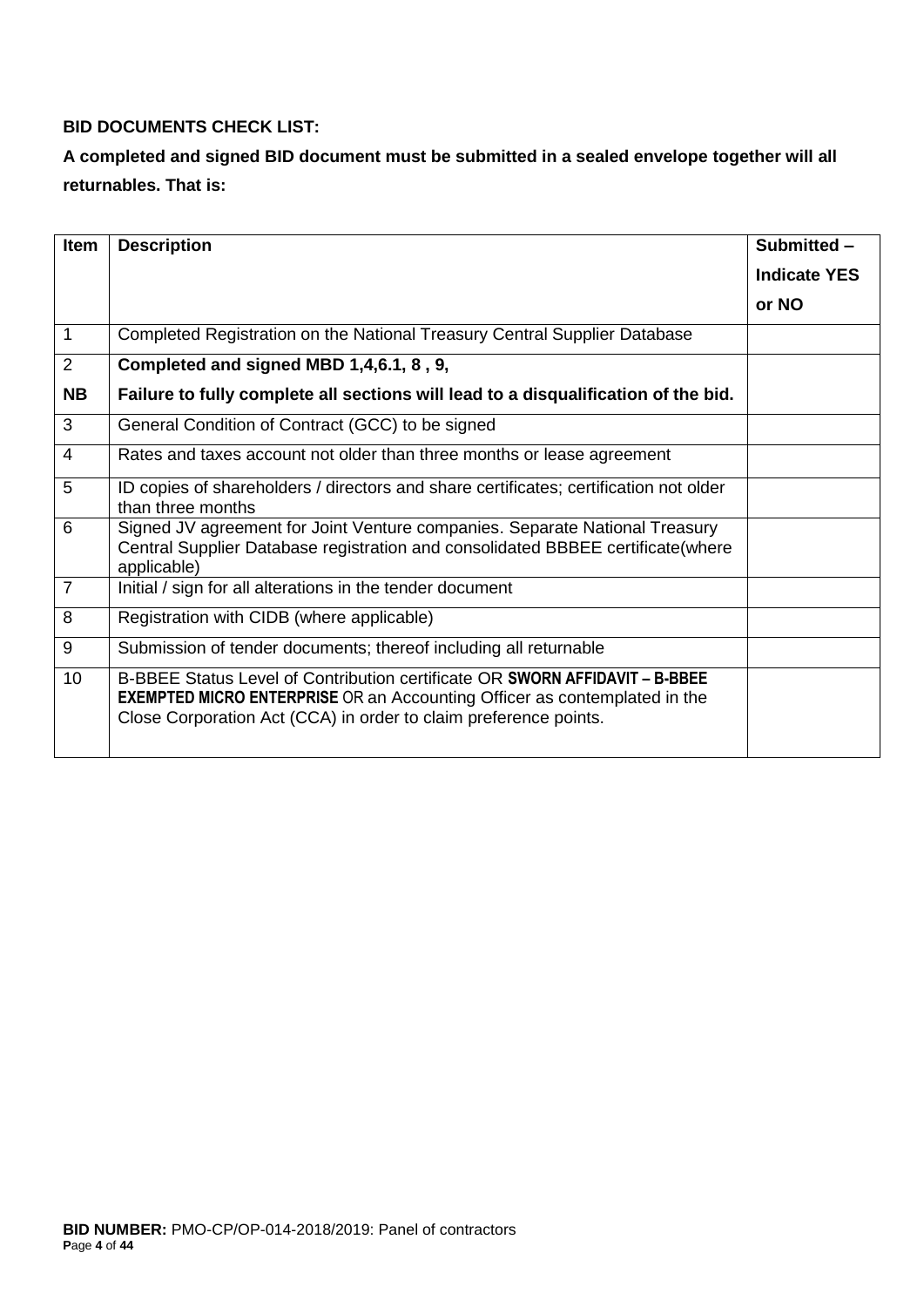# **BID DOCUMENTS CHECK LIST:**

# **A completed and signed BID document must be submitted in a sealed envelope together will all returnables. That is:**

| <b>Item</b>    | <b>Description</b>                                                                                                                                                                                                                  | Submitted -         |
|----------------|-------------------------------------------------------------------------------------------------------------------------------------------------------------------------------------------------------------------------------------|---------------------|
|                |                                                                                                                                                                                                                                     | <b>Indicate YES</b> |
|                |                                                                                                                                                                                                                                     | or NO               |
| $\mathbf{1}$   | Completed Registration on the National Treasury Central Supplier Database                                                                                                                                                           |                     |
| $\overline{2}$ | Completed and signed MBD 1,4,6.1, 8, 9,                                                                                                                                                                                             |                     |
| <b>NB</b>      | Failure to fully complete all sections will lead to a disqualification of the bid.                                                                                                                                                  |                     |
| 3              | General Condition of Contract (GCC) to be signed                                                                                                                                                                                    |                     |
| $\overline{4}$ | Rates and taxes account not older than three months or lease agreement                                                                                                                                                              |                     |
| 5              | ID copies of shareholders / directors and share certificates; certification not older<br>than three months                                                                                                                          |                     |
| 6              | Signed JV agreement for Joint Venture companies. Separate National Treasury<br>Central Supplier Database registration and consolidated BBBEE certificate(where<br>applicable)                                                       |                     |
| $\overline{7}$ | Initial / sign for all alterations in the tender document                                                                                                                                                                           |                     |
| 8              | Registration with CIDB (where applicable)                                                                                                                                                                                           |                     |
| 9              | Submission of tender documents; thereof including all returnable                                                                                                                                                                    |                     |
| 10             | B-BBEE Status Level of Contribution certificate OR SWORN AFFIDAVIT - B-BBEE<br><b>EXEMPTED MICRO ENTERPRISE</b> OR an Accounting Officer as contemplated in the<br>Close Corporation Act (CCA) in order to claim preference points. |                     |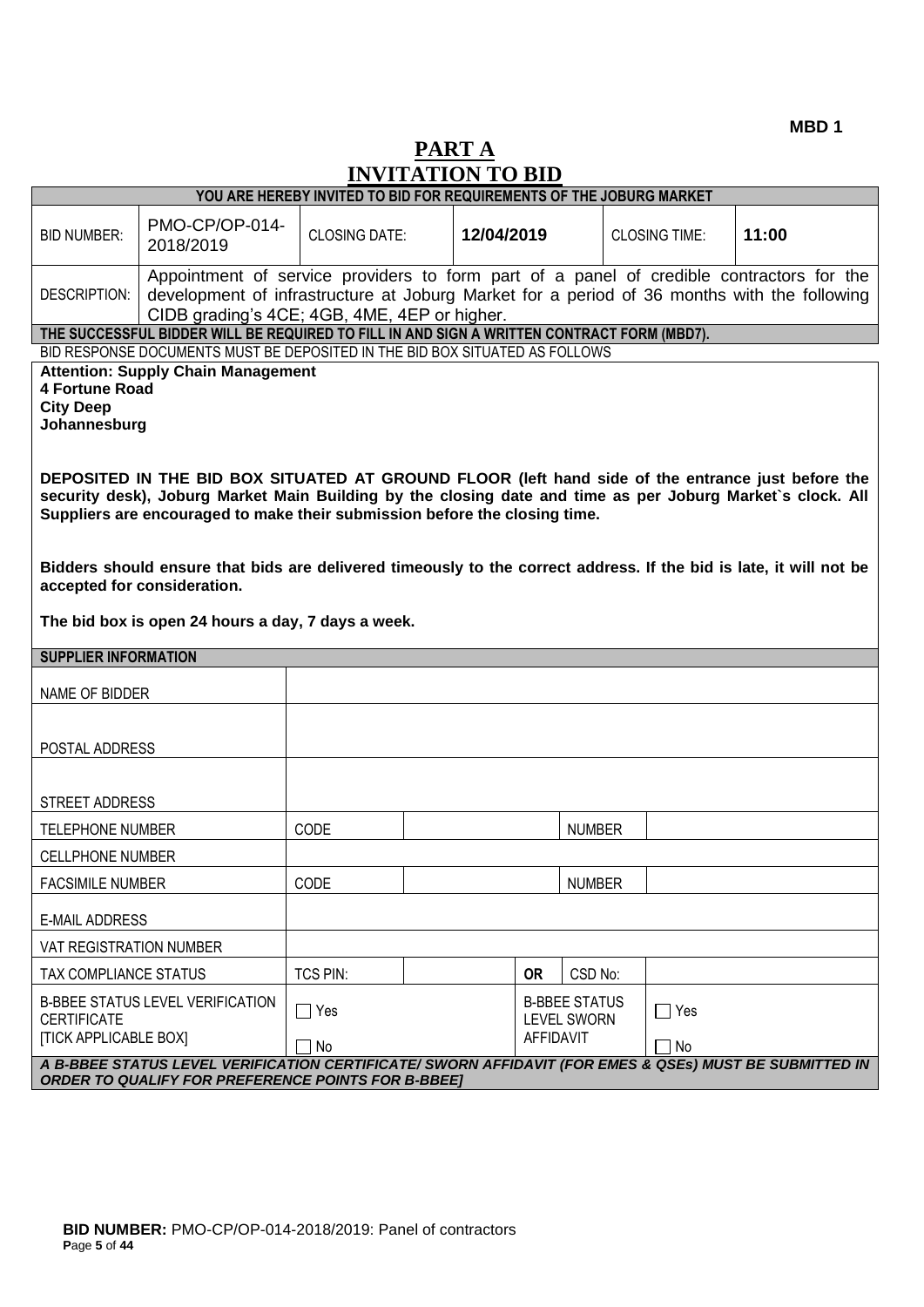**MBD 1**

# **PART A INVITATION TO BID**

| YOU ARE HEREBY INVITED TO BID FOR REQUIREMENTS OF THE JOBURG MARKET                                                                                                                   |                                                                                                                                                                                                                                                                                                                                                                                                                     |                      |            |                                                                |  |                      |       |
|---------------------------------------------------------------------------------------------------------------------------------------------------------------------------------------|---------------------------------------------------------------------------------------------------------------------------------------------------------------------------------------------------------------------------------------------------------------------------------------------------------------------------------------------------------------------------------------------------------------------|----------------------|------------|----------------------------------------------------------------|--|----------------------|-------|
| <b>BID NUMBER:</b>                                                                                                                                                                    | PMO-CP/OP-014-<br>2018/2019                                                                                                                                                                                                                                                                                                                                                                                         | <b>CLOSING DATE:</b> | 12/04/2019 |                                                                |  | <b>CLOSING TIME:</b> | 11:00 |
| DESCRIPTION:                                                                                                                                                                          | Appointment of service providers to form part of a panel of credible contractors for the<br>development of infrastructure at Joburg Market for a period of 36 months with the following<br>CIDB grading's 4CE; 4GB, 4ME, 4EP or higher.                                                                                                                                                                             |                      |            |                                                                |  |                      |       |
|                                                                                                                                                                                       | THE SUCCESSFUL BIDDER WILL BE REQUIRED TO FILL IN AND SIGN A WRITTEN CONTRACT FORM (MBD7).                                                                                                                                                                                                                                                                                                                          |                      |            |                                                                |  |                      |       |
| BID RESPONSE DOCUMENTS MUST BE DEPOSITED IN THE BID BOX SITUATED AS FOLLOWS<br><b>Attention: Supply Chain Management</b><br><b>4 Fortune Road</b><br><b>City Deep</b><br>Johannesburg |                                                                                                                                                                                                                                                                                                                                                                                                                     |                      |            |                                                                |  |                      |       |
|                                                                                                                                                                                       | DEPOSITED IN THE BID BOX SITUATED AT GROUND FLOOR (left hand side of the entrance just before the<br>security desk), Joburg Market Main Building by the closing date and time as per Joburg Market's clock. All<br>Suppliers are encouraged to make their submission before the closing time.<br>Bidders should ensure that bids are delivered timeously to the correct address. If the bid is late, it will not be |                      |            |                                                                |  |                      |       |
| accepted for consideration.                                                                                                                                                           |                                                                                                                                                                                                                                                                                                                                                                                                                     |                      |            |                                                                |  |                      |       |
|                                                                                                                                                                                       | The bid box is open 24 hours a day, 7 days a week.                                                                                                                                                                                                                                                                                                                                                                  |                      |            |                                                                |  |                      |       |
| <b>SUPPLIER INFORMATION</b>                                                                                                                                                           |                                                                                                                                                                                                                                                                                                                                                                                                                     |                      |            |                                                                |  |                      |       |
| NAME OF BIDDER                                                                                                                                                                        |                                                                                                                                                                                                                                                                                                                                                                                                                     |                      |            |                                                                |  |                      |       |
| POSTAL ADDRESS                                                                                                                                                                        |                                                                                                                                                                                                                                                                                                                                                                                                                     |                      |            |                                                                |  |                      |       |
| STREET ADDRESS                                                                                                                                                                        |                                                                                                                                                                                                                                                                                                                                                                                                                     |                      |            |                                                                |  |                      |       |
| <b>TELEPHONE NUMBER</b>                                                                                                                                                               |                                                                                                                                                                                                                                                                                                                                                                                                                     | CODE                 |            | <b>NUMBER</b>                                                  |  |                      |       |
| <b>CELLPHONE NUMBER</b>                                                                                                                                                               |                                                                                                                                                                                                                                                                                                                                                                                                                     |                      |            |                                                                |  |                      |       |
| <b>FACSIMILE NUMBER</b>                                                                                                                                                               |                                                                                                                                                                                                                                                                                                                                                                                                                     | CODE                 |            | <b>NUMBER</b>                                                  |  |                      |       |
|                                                                                                                                                                                       | <b>E-MAIL ADDRESS</b>                                                                                                                                                                                                                                                                                                                                                                                               |                      |            |                                                                |  |                      |       |
| VAT REGISTRATION NUMBER                                                                                                                                                               |                                                                                                                                                                                                                                                                                                                                                                                                                     |                      |            |                                                                |  |                      |       |
| TAX COMPLIANCE STATUS                                                                                                                                                                 |                                                                                                                                                                                                                                                                                                                                                                                                                     | TCS PIN:             |            | <b>OR</b><br>CSD No:                                           |  |                      |       |
| B-BBEE STATUS LEVEL VERIFICATION<br><b>CERTIFICATE</b><br><b>[TICK APPLICABLE BOX]</b>                                                                                                |                                                                                                                                                                                                                                                                                                                                                                                                                     | $\Box$ Yes           |            | <b>B-BBEE STATUS</b><br><b>LEVEL SWORN</b><br><b>AFFIDAVIT</b> |  | $\bigcap$ Yes        |       |
| No<br>No<br>A B-BBEE STATUS LEVEL VERIFICATION CERTIFICATE/ SWORN AFFIDAVIT (FOR EMES & QSEs) MUST BE SUBMITTED IN<br><b>ORDER TO QUALIFY FOR PREFERENCE POINTS FOR B-BBEE]</b>       |                                                                                                                                                                                                                                                                                                                                                                                                                     |                      |            |                                                                |  |                      |       |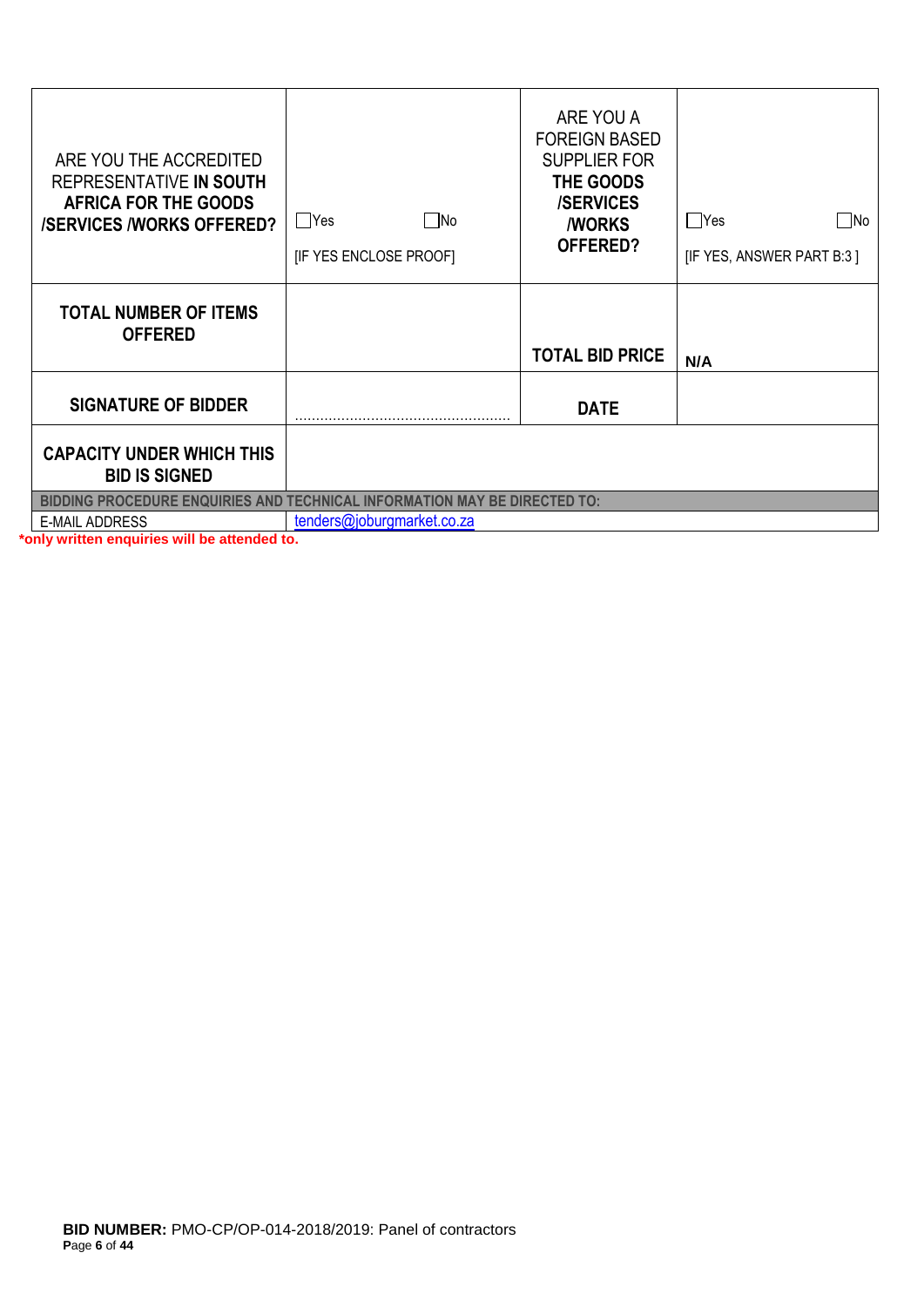| ARE YOU THE ACCREDITED<br>REPRESENTATIVE IN SOUTH<br><b>AFRICA FOR THE GOODS</b><br><b>/SERVICES /WORKS OFFERED?</b> | ∏No<br><b>PYes</b><br>[IF YES ENCLOSE PROOF] | ARE YOU A<br><b>FOREIGN BASED</b><br><b>SUPPLIER FOR</b><br>THE GOODS<br><b>/SERVICES</b><br><b><i>I</i>WORKS</b><br>OFFERED? | $\Box$ Yes<br>$\square$ No<br>[IF YES, ANSWER PART B:3] |
|----------------------------------------------------------------------------------------------------------------------|----------------------------------------------|-------------------------------------------------------------------------------------------------------------------------------|---------------------------------------------------------|
| <b>TOTAL NUMBER OF ITEMS</b><br><b>OFFERED</b>                                                                       |                                              | <b>TOTAL BID PRICE</b>                                                                                                        | N/A                                                     |
| <b>SIGNATURE OF BIDDER</b>                                                                                           |                                              | <b>DATE</b>                                                                                                                   |                                                         |
| <b>CAPACITY UNDER WHICH THIS</b><br><b>BID IS SIGNED</b>                                                             |                                              |                                                                                                                               |                                                         |
| <b>BIDDING PROCEDURE ENQUIRIES AND TECHNICAL INFORMATION MAY BE DIRECTED TO:</b>                                     |                                              |                                                                                                                               |                                                         |
| <b>E-MAIL ADDRESS</b>                                                                                                | tenders@joburgmarket.co.za                   |                                                                                                                               |                                                         |

**\*only written enquiries will be attended to.**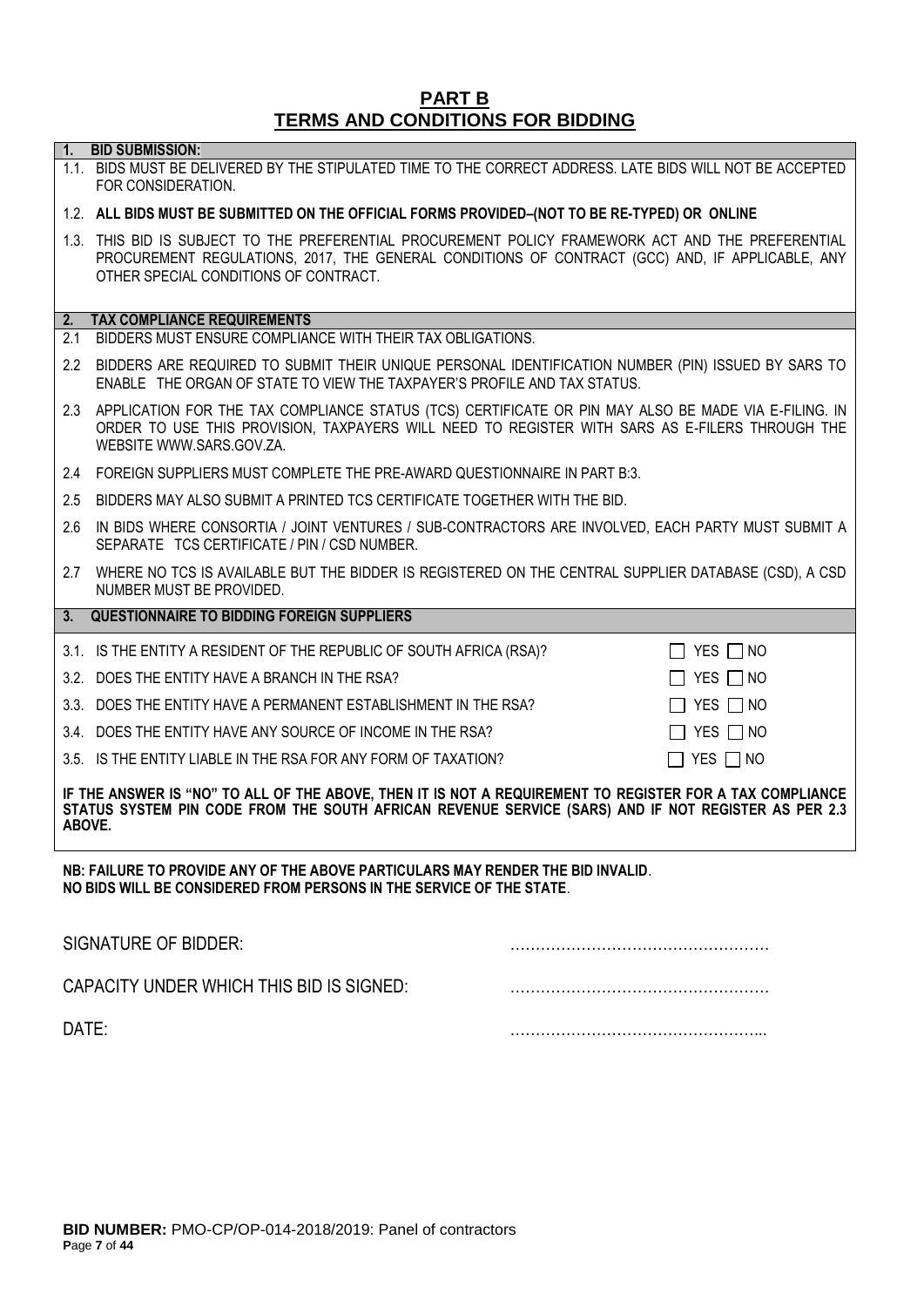#### **PART B TERMS AND CONDITIONS FOR BIDDING**

**1. BID SUBMISSION:**

# 1.1. BIDS MUST BE DELIVERED BY THE STIPULATED TIME TO THE CORRECT ADDRESS. LATE BIDS WILL NOT BE ACCEPTED FOR CONSIDERATION. 1.2. **ALL BIDS MUST BE SUBMITTED ON THE OFFICIAL FORMS PROVIDED–(NOT TO BE RE-TYPED) OR ONLINE** 1.3. THIS BID IS SUBJECT TO THE PREFERENTIAL PROCUREMENT POLICY FRAMEWORK ACT AND THE PREFERENTIAL PROCUREMENT REGULATIONS, 2017, THE GENERAL CONDITIONS OF CONTRACT (GCC) AND, IF APPLICABLE, ANY OTHER SPECIAL CONDITIONS OF CONTRACT. **2. TAX COMPLIANCE REQUIREMENTS** 2.1 BIDDERS MUST ENSURE COMPLIANCE WITH THEIR TAX OBLIGATIONS. 2.2 BIDDERS ARE REQUIRED TO SUBMIT THEIR UNIQUE PERSONAL IDENTIFICATION NUMBER (PIN) ISSUED BY SARS TO ENABLE THE ORGAN OF STATE TO VIEW THE TAXPAYER'S PROFILE AND TAX STATUS. 2.3 APPLICATION FOR THE TAX COMPLIANCE STATUS (TCS) CERTIFICATE OR PIN MAY ALSO BE MADE VIA E-FILING. IN ORDER TO USE THIS PROVISION, TAXPAYERS WILL NEED TO REGISTER WITH SARS AS E-FILERS THROUGH THE WEBSITE [WWW.SARS.GOV.ZA.](http://www.sars.gov.za/) 2.4 FOREIGN SUPPLIERS MUST COMPLETE THE PRE-AWARD QUESTIONNAIRE IN PART B:3. 2.5 BIDDERS MAY ALSO SUBMIT A PRINTED TCS CERTIFICATE TOGETHER WITH THE BID. 2.6 IN BIDS WHERE CONSORTIA / JOINT VENTURES / SUB-CONTRACTORS ARE INVOLVED, EACH PARTY MUST SUBMIT A SEPARATE TCS CERTIFICATE / PIN / CSD NUMBER. 2.7 WHERE NO TCS IS AVAILABLE BUT THE BIDDER IS REGISTERED ON THE CENTRAL SUPPLIER DATABASE (CSD), A CSD NUMBER MUST BE PROVIDED. **3. QUESTIONNAIRE TO BIDDING FOREIGN SUPPLIERS** 3.1. IS THE ENTITY A RESIDENT OF THE REPUBLIC OF SOUTH AFRICA (RSA)?  $\Box$  YES  $\Box$  NO 3.2. DOES THE ENTITY HAVE A BRANCH IN THE RSA?  $\Box$  YES  $\Box$  NO 3.3. DOES THE ENTITY HAVE A PERMANENT ESTABLISHMENT IN THE RSA?  $\Box$  YES  $\Box$  NO 3.4. DOES THE ENTITY HAVE ANY SOURCE OF INCOME IN THE RSA?  $\Box$  YES  $\Box$  NO 3.5. IS THE ENTITY LIABLE IN THE RSA FOR ANY FORM OF TAXATION?  $\Box$  YES  $\Box$  NO **IF THE ANSWER IS "NO" TO ALL OF THE ABOVE, THEN IT IS NOT A REQUIREMENT TO REGISTER FOR A TAX COMPLIANCE STATUS SYSTEM PIN CODE FROM THE SOUTH AFRICAN REVENUE SERVICE (SARS) AND IF NOT REGISTER AS PER 2.3 ABOVE. NB: FAILURE TO PROVIDE ANY OF THE ABOVE PARTICULARS MAY RENDER THE BID INVALID**. **NO BIDS WILL BE CONSIDERED FROM PERSONS IN THE SERVICE OF THE STATE**. SIGNATURE OF BIDDER: ……………………………………………

| CAPACITY UNDER WHICH THIS BID IS SIGNED: |  |
|------------------------------------------|--|
| DATE:                                    |  |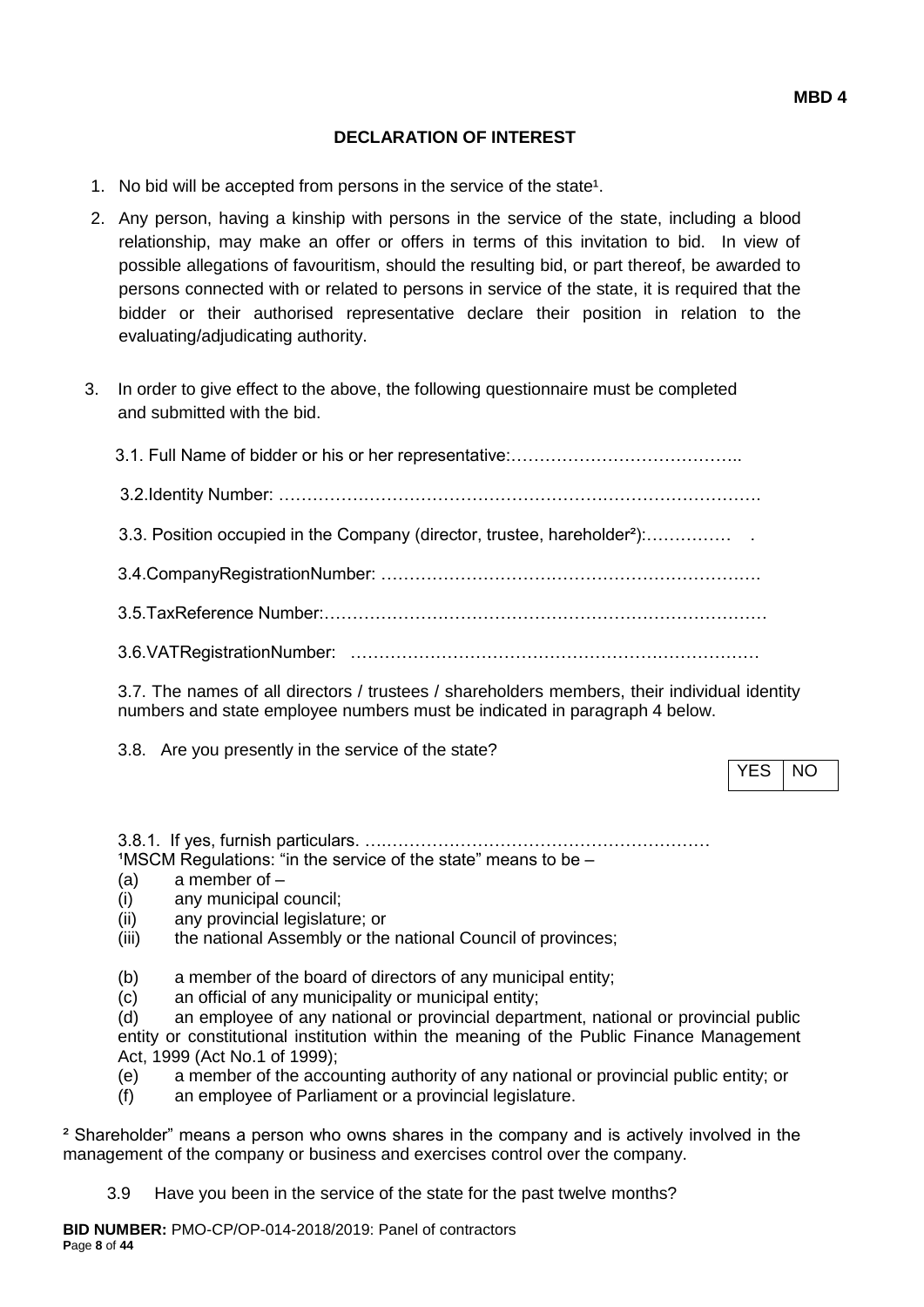### **DECLARATION OF INTEREST**

- 1. No bid will be accepted from persons in the service of the state<sup>1</sup>.
- 2. Any person, having a kinship with persons in the service of the state, including a blood relationship, may make an offer or offers in terms of this invitation to bid. In view of possible allegations of favouritism, should the resulting bid, or part thereof, be awarded to persons connected with or related to persons in service of the state, it is required that the bidder or their authorised representative declare their position in relation to the evaluating/adjudicating authority.
- 3. In order to give effect to the above, the following questionnaire must be completed and submitted with the bid.

| 3.3. Position occupied in the Company (director, trustee, hareholder <sup>2</sup> ): |
|--------------------------------------------------------------------------------------|
|                                                                                      |
|                                                                                      |
|                                                                                      |
|                                                                                      |

3.7. The names of all directors / trustees / shareholders members, their individual identity numbers and state employee numbers must be indicated in paragraph 4 below.

3.8. Are you presently in the service of the state?

YES INO

3.8.1. If yes, furnish particulars. ….…………………………………………………  $1$ MSCM Regulations: "in the service of the state" means to be  $-$ 

- (a) a member of –
- (i) any municipal council;
- (ii) any provincial legislature; or
- (iii) the national Assembly or the national Council of provinces;
- (b) a member of the board of directors of any municipal entity;
- (c) an official of any municipality or municipal entity;

(d) an employee of any national or provincial department, national or provincial public entity or constitutional institution within the meaning of the Public Finance Management Act, 1999 (Act No.1 of 1999);

- (e) a member of the accounting authority of any national or provincial public entity; or
- (f) an employee of Parliament or a provincial legislature.

² Shareholder" means a person who owns shares in the company and is actively involved in the management of the company or business and exercises control over the company.

3.9 Have you been in the service of the state for the past twelve months?

**BID NUMBER:** PMO-CP/OP-014-2018/2019: Panel of contractors **P**age **8** of **44**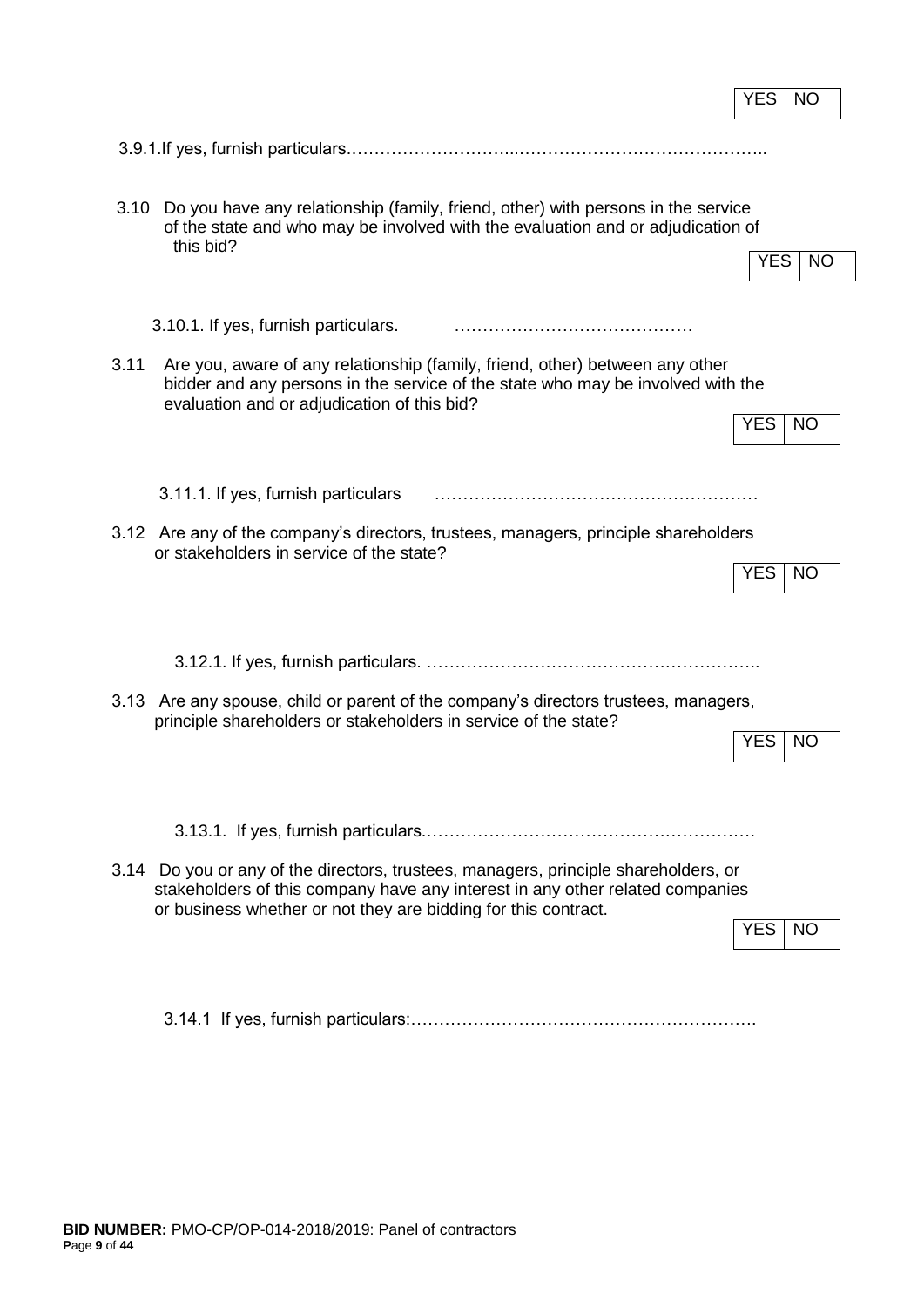|                                                                                                                                                                                                                        | YES<br>NO               |
|------------------------------------------------------------------------------------------------------------------------------------------------------------------------------------------------------------------------|-------------------------|
|                                                                                                                                                                                                                        |                         |
|                                                                                                                                                                                                                        |                         |
| Do you have any relationship (family, friend, other) with persons in the service<br>3.10<br>of the state and who may be involved with the evaluation and or adjudication of<br>this bid?                               |                         |
|                                                                                                                                                                                                                        | YES.<br><b>NO</b>       |
| 3.10.1. If yes, furnish particulars.                                                                                                                                                                                   |                         |
| Are you, aware of any relationship (family, friend, other) between any other<br>3.11<br>bidder and any persons in the service of the state who may be involved with the<br>evaluation and or adjudication of this bid? |                         |
|                                                                                                                                                                                                                        | <b>YES</b><br><b>NO</b> |
| 3.11.1. If yes, furnish particulars                                                                                                                                                                                    |                         |
| 3.12 Are any of the company's directors, trustees, managers, principle shareholders<br>or stakeholders in service of the state?                                                                                        |                         |
|                                                                                                                                                                                                                        | <b>YES</b><br><b>NO</b> |
|                                                                                                                                                                                                                        |                         |
|                                                                                                                                                                                                                        |                         |
| 3.13 Are any spouse, child or parent of the company's directors trustees, managers,<br>principle shareholders or stakeholders in service of the state?                                                                 |                         |
|                                                                                                                                                                                                                        | YES<br>NO               |
|                                                                                                                                                                                                                        |                         |
|                                                                                                                                                                                                                        |                         |
| Do you or any of the directors, trustees, managers, principle shareholders, or<br>3.14<br>stakeholders of this company have any interest in any other related companies                                                |                         |
| or business whether or not they are bidding for this contract.                                                                                                                                                         | <b>YES</b><br><b>NO</b> |
|                                                                                                                                                                                                                        |                         |

3.14.1 If yes, furnish particulars:…………………………………………………….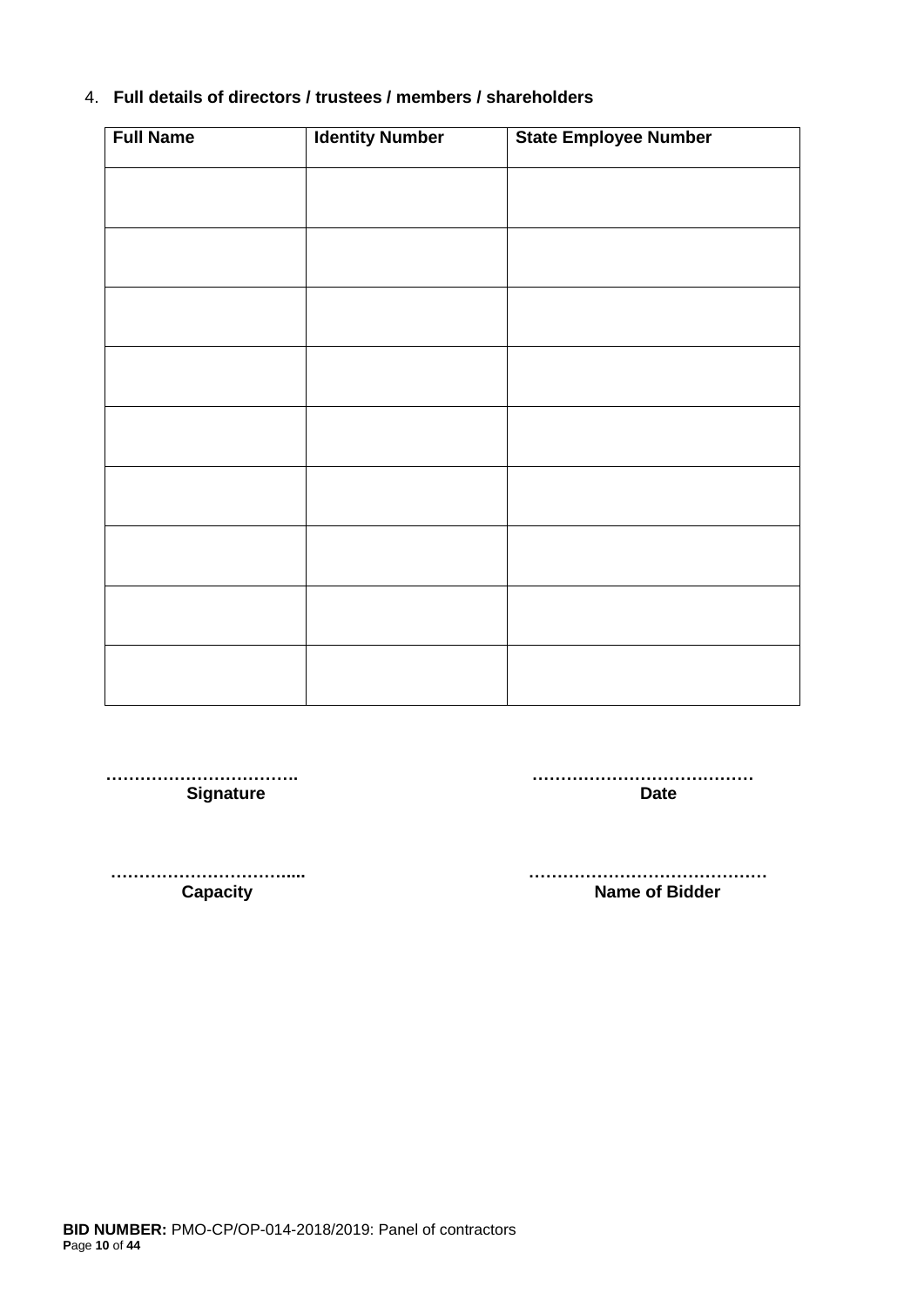## 4. **Full details of directors / trustees / members / shareholders**

| <b>Full Name</b> | <b>Identity Number</b> | <b>State Employee Number</b> |
|------------------|------------------------|------------------------------|
|                  |                        |                              |
|                  |                        |                              |
|                  |                        |                              |
|                  |                        |                              |
|                  |                        |                              |
|                  |                        |                              |
|                  |                        |                              |
|                  |                        |                              |
|                  |                        |                              |
|                  |                        |                              |
|                  |                        |                              |
|                  |                        |                              |
|                  |                        |                              |
|                  |                        |                              |
|                  |                        |                              |
|                  |                        |                              |
|                  |                        |                              |

 **……………………………. ………………………………… Signature Date** 

 **…………………………..... …………………………………… Name of Bidder**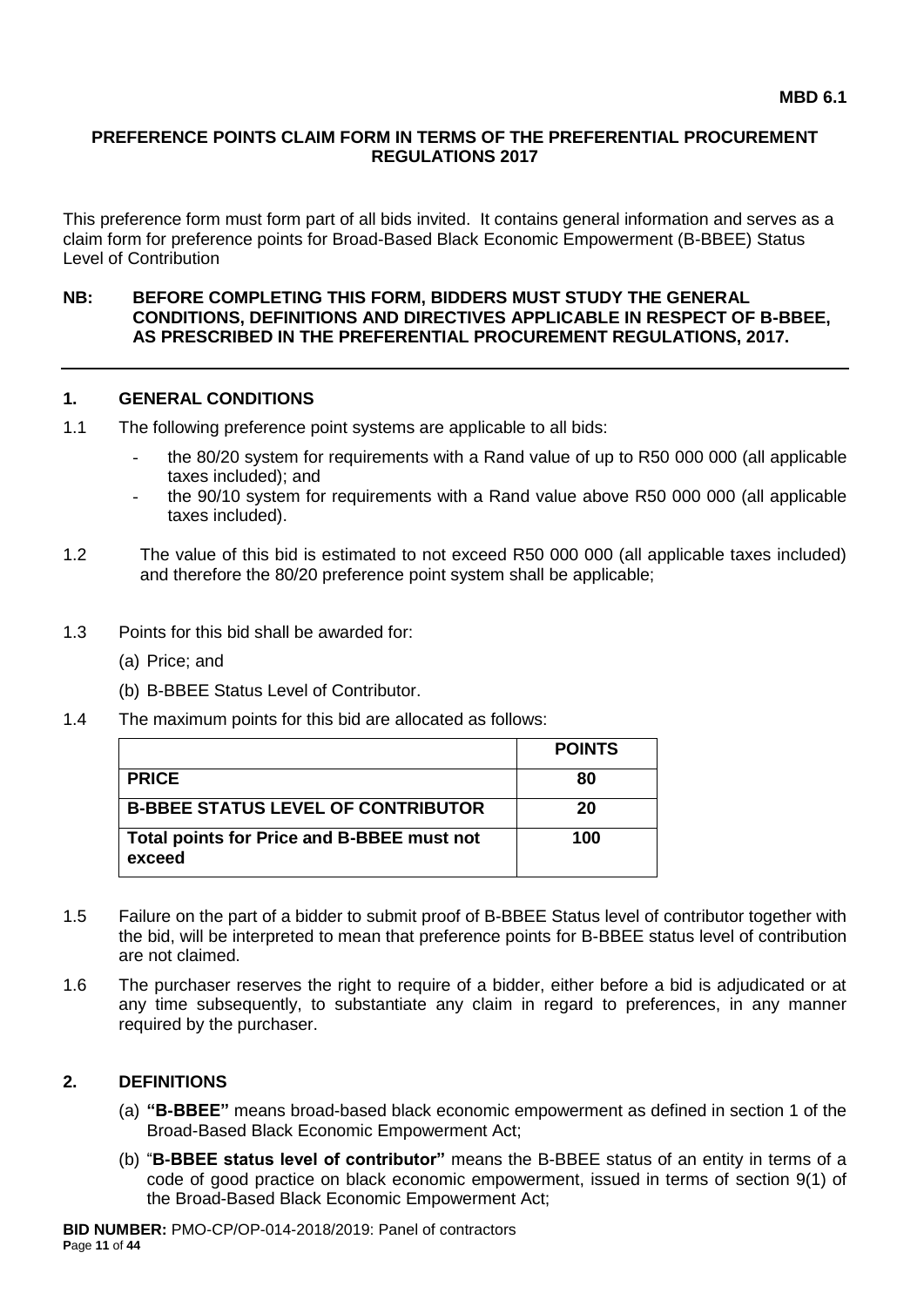#### **PREFERENCE POINTS CLAIM FORM IN TERMS OF THE PREFERENTIAL PROCUREMENT REGULATIONS 2017**

This preference form must form part of all bids invited. It contains general information and serves as a claim form for preference points for Broad-Based Black Economic Empowerment (B-BBEE) Status Level of Contribution

#### **NB: BEFORE COMPLETING THIS FORM, BIDDERS MUST STUDY THE GENERAL CONDITIONS, DEFINITIONS AND DIRECTIVES APPLICABLE IN RESPECT OF B-BBEE, AS PRESCRIBED IN THE PREFERENTIAL PROCUREMENT REGULATIONS, 2017.**

## **1. GENERAL CONDITIONS**

- 1.1 The following preference point systems are applicable to all bids:
	- the 80/20 system for requirements with a Rand value of up to R50 000 000 (all applicable taxes included); and
	- the 90/10 system for requirements with a Rand value above R50 000 000 (all applicable taxes included).
- 1.2 The value of this bid is estimated to not exceed R50 000 000 (all applicable taxes included) and therefore the 80/20 preference point system shall be applicable;
- 1.3 Points for this bid shall be awarded for:
	- (a) Price; and
	- (b) B-BBEE Status Level of Contributor.
- 1.4 The maximum points for this bid are allocated as follows:

|                                                      | <b>POINTS</b> |
|------------------------------------------------------|---------------|
| <b>PRICE</b>                                         | 80            |
| <b>B-BBEE STATUS LEVEL OF CONTRIBUTOR</b>            | 20            |
| Total points for Price and B-BBEE must not<br>exceed | 100           |

- 1.5 Failure on the part of a bidder to submit proof of B-BBEE Status level of contributor together with the bid, will be interpreted to mean that preference points for B-BBEE status level of contribution are not claimed.
- 1.6 The purchaser reserves the right to require of a bidder, either before a bid is adjudicated or at any time subsequently, to substantiate any claim in regard to preferences, in any manner required by the purchaser.

#### **2. DEFINITIONS**

- (a) **"B-BBEE"** means broad-based black economic empowerment as defined in section 1 of the Broad-Based Black Economic Empowerment Act;
- (b) "**B-BBEE status level of contributor"** means the B-BBEE status of an entity in terms of a code of good practice on black economic empowerment, issued in terms of section 9(1) of the Broad-Based Black Economic Empowerment Act;

**BID NUMBER:** PMO-CP/OP-014-2018/2019: Panel of contractors **P**age **11** of **44**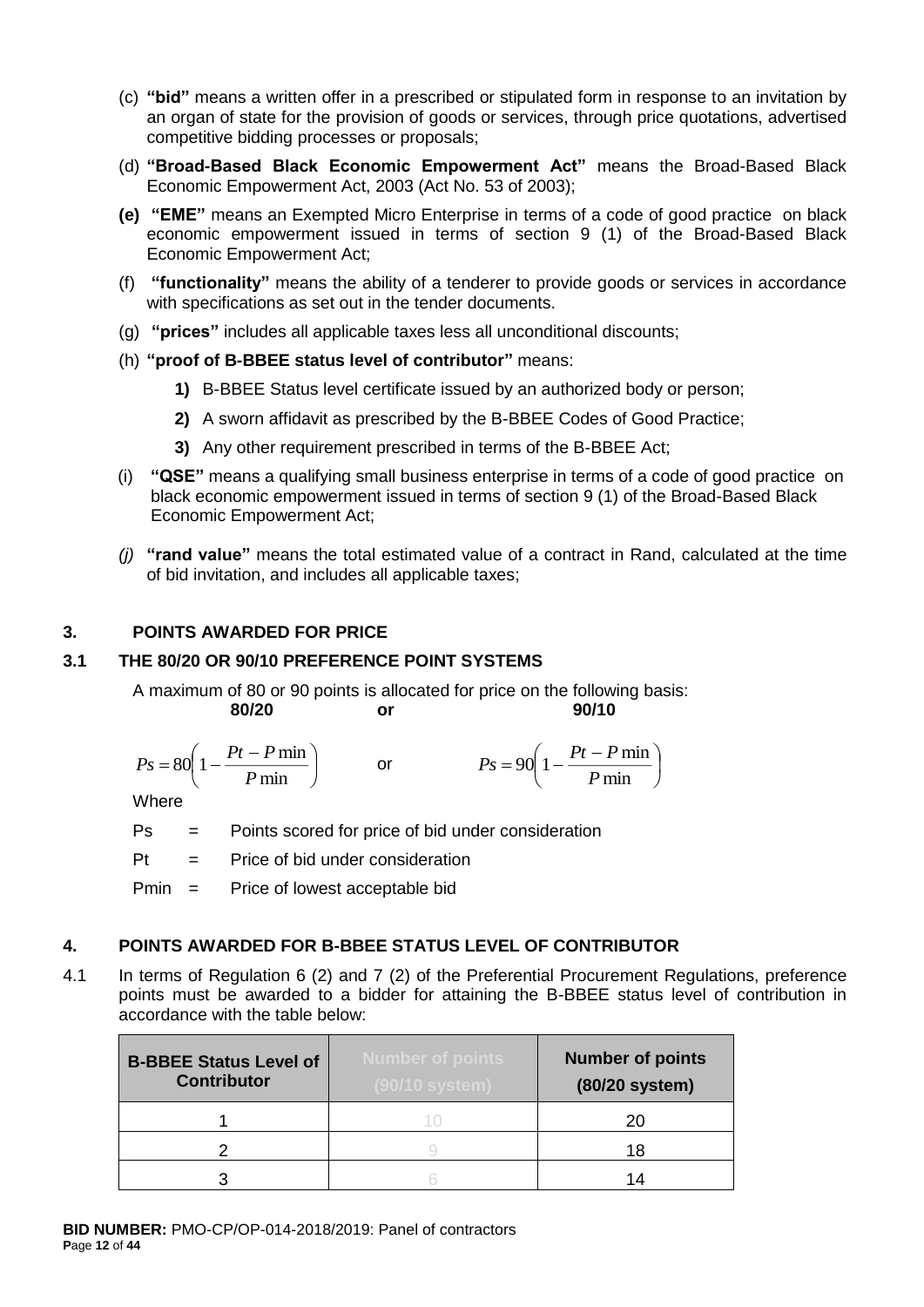- (c) **"bid"** means a written offer in a prescribed or stipulated form in response to an invitation by an organ of state for the provision of goods or services, through price quotations, advertised competitive bidding processes or proposals;
- (d) **"Broad-Based Black Economic Empowerment Act"** means the Broad-Based Black Economic Empowerment Act, 2003 (Act No. 53 of 2003);
- **(e) "EME"** means an Exempted Micro Enterprise in terms of a code of good practice on black economic empowerment issued in terms of section 9 (1) of the Broad-Based Black Economic Empowerment Act;
- (f) **"functionality"** means the ability of a tenderer to provide goods or services in accordance with specifications as set out in the tender documents.
- (g) **"prices"** includes all applicable taxes less all unconditional discounts;
- (h) **"proof of B-BBEE status level of contributor"** means:
	- **1)** B-BBEE Status level certificate issued by an authorized body or person;
	- **2)** A sworn affidavit as prescribed by the B-BBEE Codes of Good Practice;
	- **3)** Any other requirement prescribed in terms of the B-BBEE Act;
- (i) **"QSE"** means a qualifying small business enterprise in terms of a code of good practice on black economic empowerment issued in terms of section 9 (1) of the Broad-Based Black Economic Empowerment Act;
- *(j)* **"rand value"** means the total estimated value of a contract in Rand, calculated at the time of bid invitation, and includes all applicable taxes;

I

## **3. POINTS AWARDED FOR PRICE**

#### **3.1 THE 80/20 OR 90/10 PREFERENCE POINT SYSTEMS**

A maximum of 80 or 90 points is allocated for price on the following basis: **80/20 or 90/10**

$$
Ps = 80 \left( 1 - \frac{Pt - P \min}{P \min} \right) \qquad \text{or} \qquad \qquad Ps = 90 \left( 1 - \frac{Pt - P \min}{P \min} \right)
$$

**Where** 

Ps = Points scored for price of bid under consideration

 $Pt =$  Price of bid under consideration

Pmin = Price of lowest acceptable bid

#### **4. POINTS AWARDED FOR B-BBEE STATUS LEVEL OF CONTRIBUTOR**

4.1 In terms of Regulation 6 (2) and 7 (2) of the Preferential Procurement Regulations, preference points must be awarded to a bidder for attaining the B-BBEE status level of contribution in accordance with the table below:

| <b>B-BBEE Status Level of</b><br><b>Contributor</b> | <b>Number of points</b><br>(90/10 system) | <b>Number of points</b><br>(80/20 system) |
|-----------------------------------------------------|-------------------------------------------|-------------------------------------------|
|                                                     |                                           | 20                                        |
|                                                     |                                           | 18                                        |
|                                                     |                                           | 14                                        |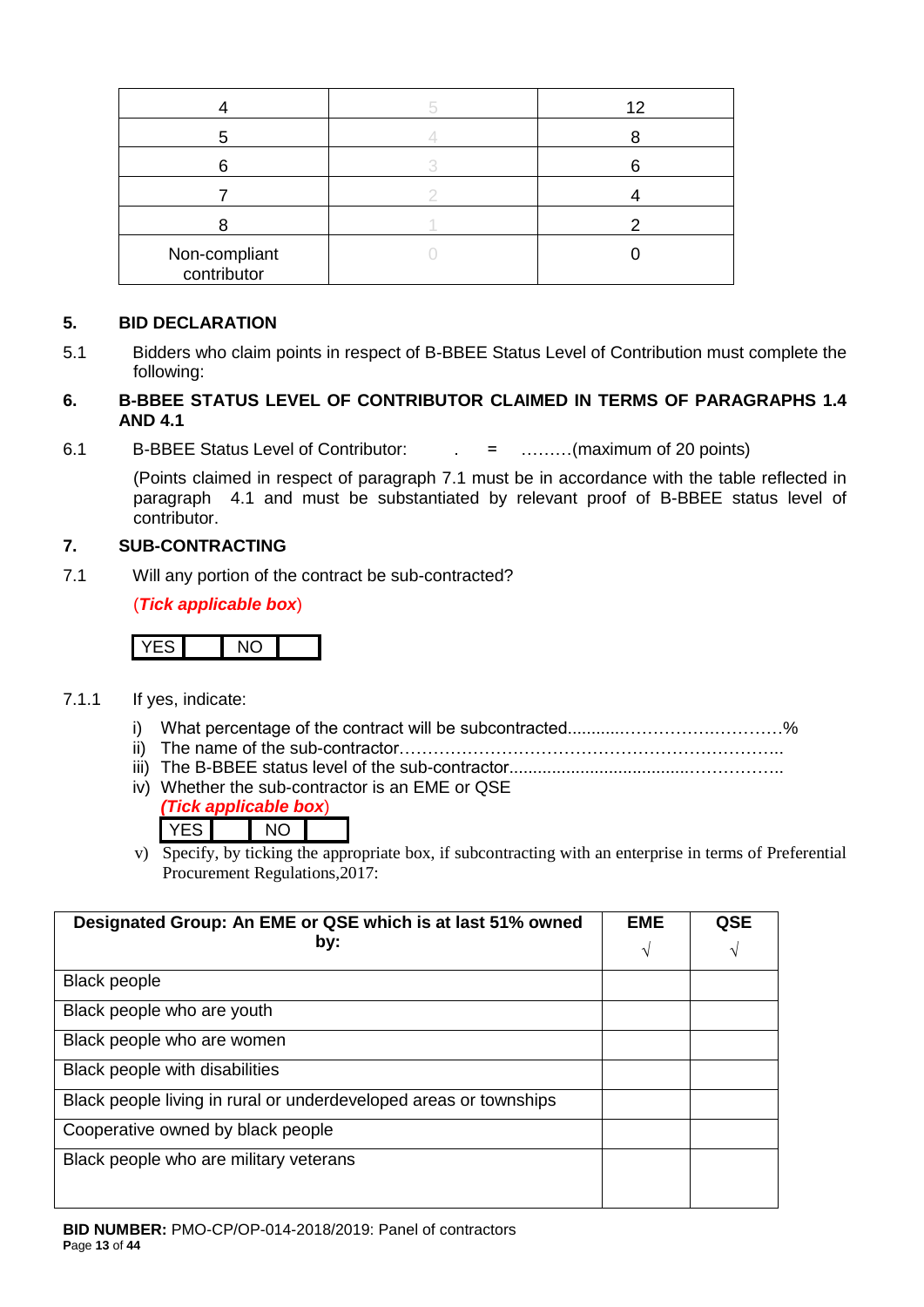|                              | 12 |
|------------------------------|----|
|                              |    |
|                              |    |
|                              |    |
|                              |    |
| Non-compliant<br>contributor |    |

## **5. BID DECLARATION**

5.1 Bidders who claim points in respect of B-BBEE Status Level of Contribution must complete the following:

## **6. B-BBEE STATUS LEVEL OF CONTRIBUTOR CLAIMED IN TERMS OF PARAGRAPHS 1.4 AND 4.1**

6.1 B-BBEE Status Level of Contributor: . = ………(maximum of 20 points)

(Points claimed in respect of paragraph 7.1 must be in accordance with the table reflected in paragraph 4.1 and must be substantiated by relevant proof of B-BBEE status level of contributor.

## **7. SUB-CONTRACTING**

7.1 Will any portion of the contract be sub-contracted?

(*Tick applicable box*)

# YES NO

- 7.1.1 If yes, indicate:
	- i) What percentage of the contract will be subcontracted............…………….…………%
	- ii) The name of the sub-contractor…………………………………………………………..
	- iii) The B-BBEE status level of the sub-contractor......................................……………..
	- iv) Whether the sub-contractor is an EME or QSE

|  | ek applicable l | oox |
|--|-----------------|-----|
|  |                 |     |

v) Specify, by ticking the appropriate box, if subcontracting with an enterprise in terms of Preferential Procurement Regulations,2017:

| Designated Group: An EME or QSE which is at last 51% owned        | <b>EME</b> | QSE |
|-------------------------------------------------------------------|------------|-----|
| by:                                                               |            |     |
| <b>Black people</b>                                               |            |     |
| Black people who are youth                                        |            |     |
| Black people who are women                                        |            |     |
| Black people with disabilities                                    |            |     |
| Black people living in rural or underdeveloped areas or townships |            |     |
| Cooperative owned by black people                                 |            |     |
| Black people who are military veterans                            |            |     |
|                                                                   |            |     |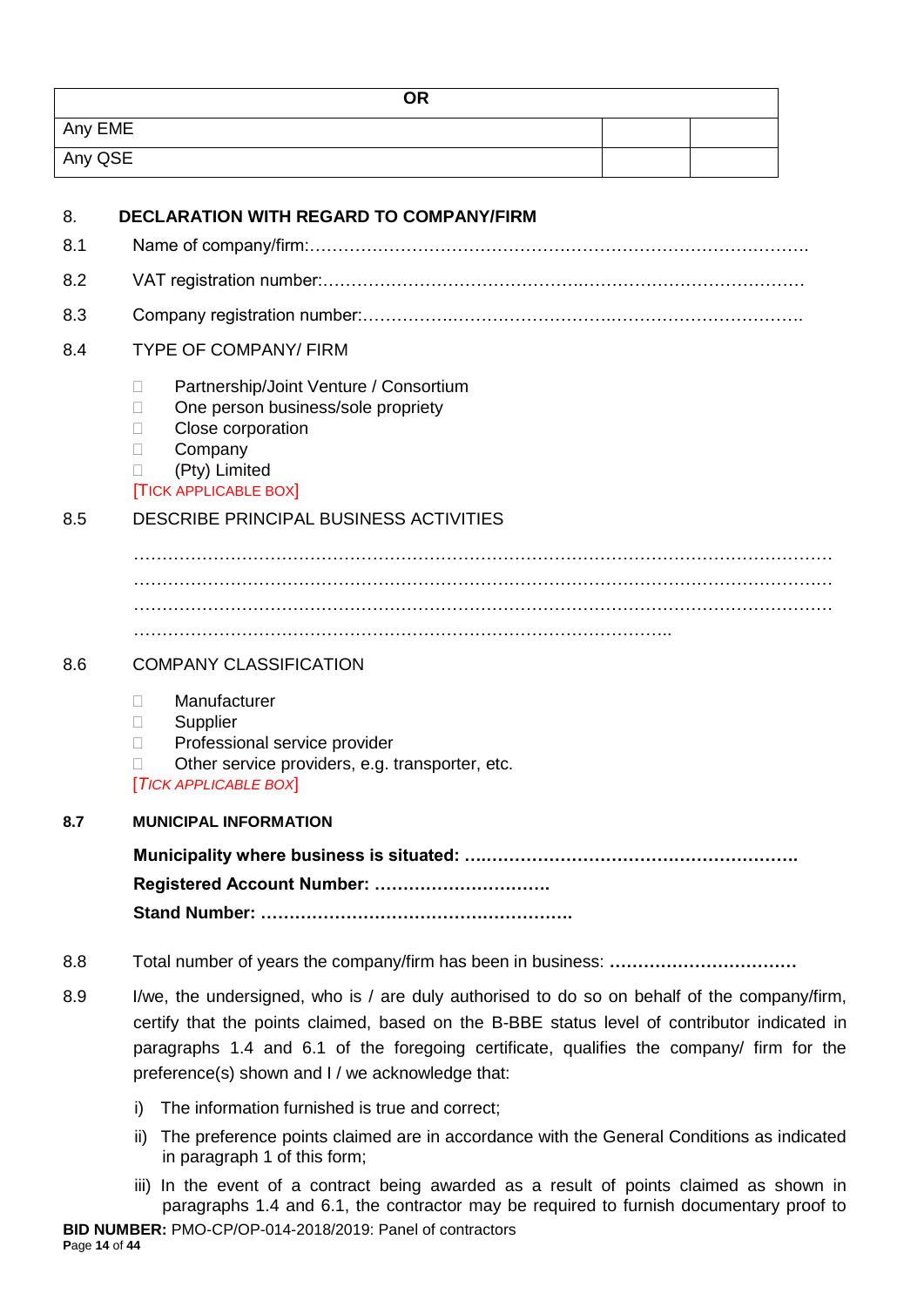| <b>OR</b> |  |
|-----------|--|
| Any EME   |  |
| Any QSE   |  |

| 8.  | <b>DECLARATION WITH REGARD TO COMPANY/FIRM</b>                                                                                                                                                                                                                                          |
|-----|-----------------------------------------------------------------------------------------------------------------------------------------------------------------------------------------------------------------------------------------------------------------------------------------|
| 8.1 |                                                                                                                                                                                                                                                                                         |
| 8.2 |                                                                                                                                                                                                                                                                                         |
| 8.3 |                                                                                                                                                                                                                                                                                         |
| 8.4 | <b>TYPE OF COMPANY/ FIRM</b>                                                                                                                                                                                                                                                            |
|     | Partnership/Joint Venture / Consortium<br>П<br>One person business/sole propriety<br>$\Box$<br>Close corporation<br>П<br>Company<br>П<br>(Pty) Limited<br><b>TICK APPLICABLE BOX</b>                                                                                                    |
| 8.5 | <b>DESCRIBE PRINCIPAL BUSINESS ACTIVITIES</b>                                                                                                                                                                                                                                           |
|     |                                                                                                                                                                                                                                                                                         |
|     |                                                                                                                                                                                                                                                                                         |
|     |                                                                                                                                                                                                                                                                                         |
|     |                                                                                                                                                                                                                                                                                         |
| 8.6 | <b>COMPANY CLASSIFICATION</b>                                                                                                                                                                                                                                                           |
|     | Manufacturer<br>П<br>Supplier<br>$\mathbf{L}$<br>Professional service provider<br>П<br>Other service providers, e.g. transporter, etc.<br><b>TICK APPLICABLE BOX</b>                                                                                                                    |
| 8.7 | <b>MUNICIPAL INFORMATION</b>                                                                                                                                                                                                                                                            |
|     | Registered Account Number:                                                                                                                                                                                                                                                              |
| 8.8 |                                                                                                                                                                                                                                                                                         |
| 8.9 | I/we, the undersigned, who is / are duly authorised to do so on behalf of the company/firm,<br>certify that the points claimed, based on the B-BBE status level of contributor indicated in<br>paragraphs 1.4 and 6.1 of the foregoing certificate, qualifies the company/ firm for the |

i) The information furnished is true and correct;

preference(s) shown and I / we acknowledge that:

- ii) The preference points claimed are in accordance with the General Conditions as indicated in paragraph 1 of this form;
- iii) In the event of a contract being awarded as a result of points claimed as shown in paragraphs 1.4 and 6.1, the contractor may be required to furnish documentary proof to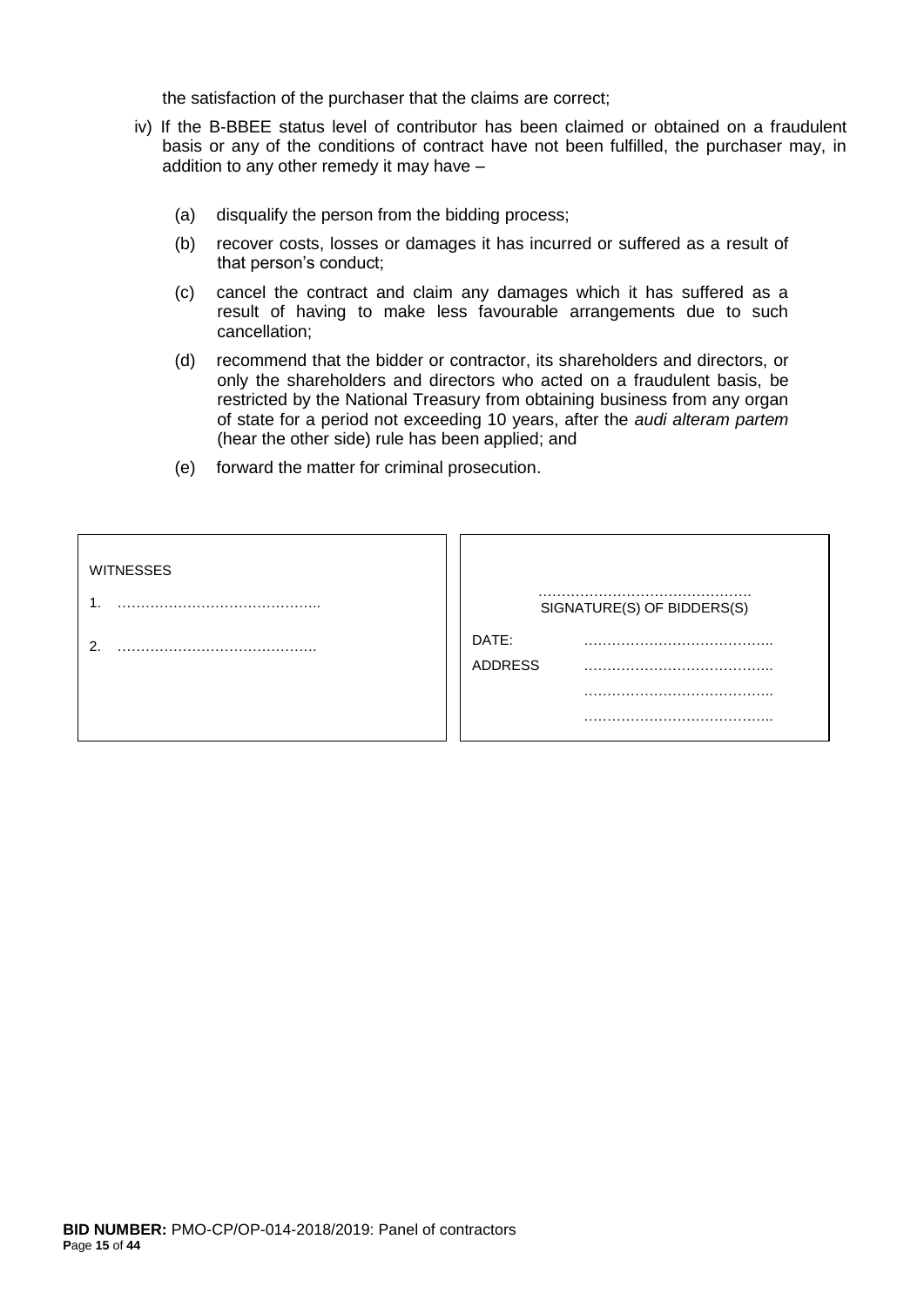the satisfaction of the purchaser that the claims are correct;

- iv) If the B-BBEE status level of contributor has been claimed or obtained on a fraudulent basis or any of the conditions of contract have not been fulfilled, the purchaser may, in addition to any other remedy it may have –
	- (a) disqualify the person from the bidding process;
	- (b) recover costs, losses or damages it has incurred or suffered as a result of that person's conduct;
	- (c) cancel the contract and claim any damages which it has suffered as a result of having to make less favourable arrangements due to such cancellation;
	- (d) recommend that the bidder or contractor, its shareholders and directors, or only the shareholders and directors who acted on a fraudulent basis, be restricted by the National Treasury from obtaining business from any organ of state for a period not exceeding 10 years, after the *audi alteram partem* (hear the other side) rule has been applied; and
	- (e) forward the matter for criminal prosecution.

| <b>WITNESSES</b> | SIGNATURE(S) OF BIDDERS(S) |
|------------------|----------------------------|
| ⌒                | DATE:<br><b>ADDRESS</b>    |
|                  |                            |
|                  |                            |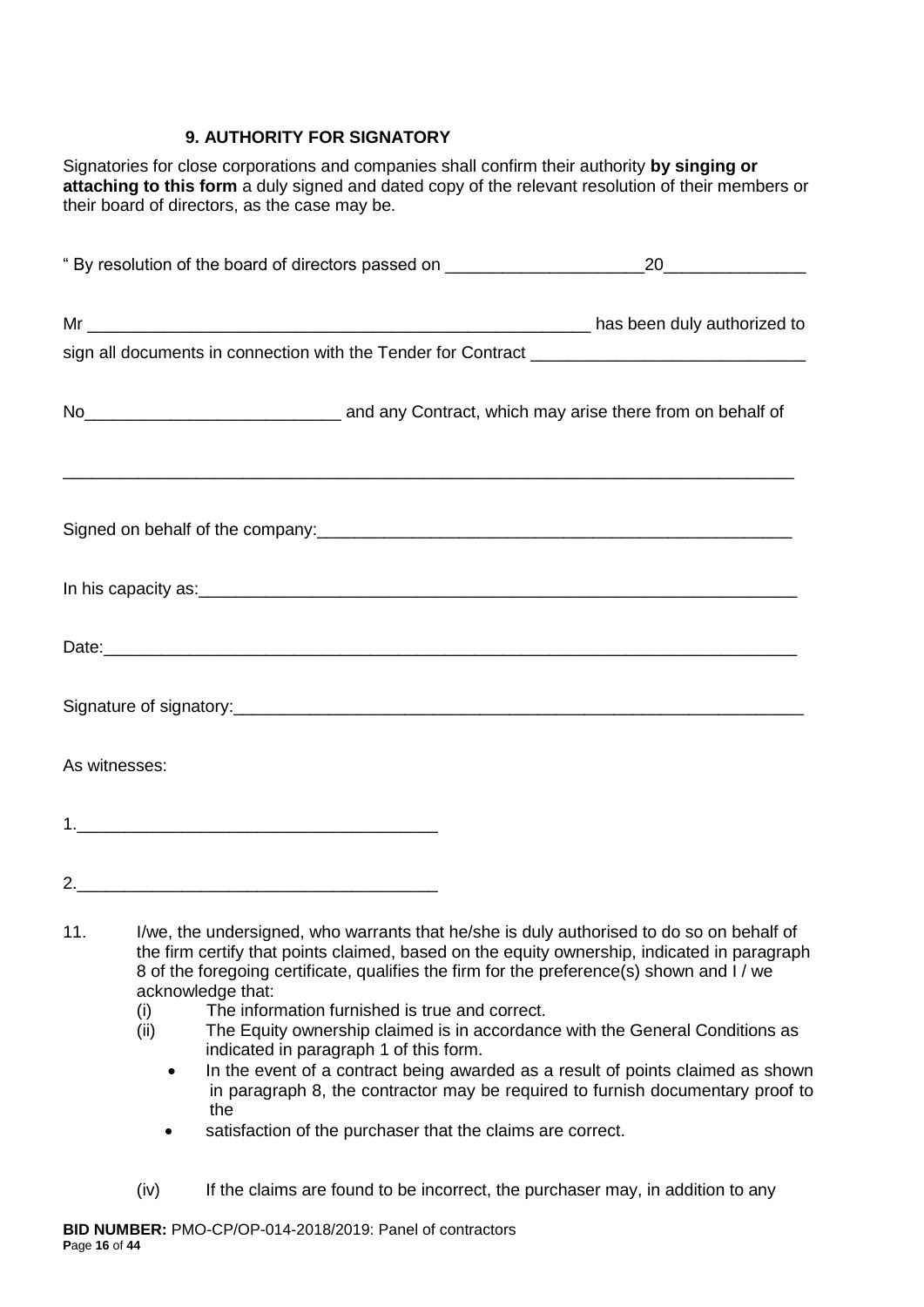## **9. AUTHORITY FOR SIGNATORY**

Signatories for close corporations and companies shall confirm their authority **by singing or attaching to this form** a duly signed and dated copy of the relevant resolution of their members or their board of directors, as the case may be.

|               | No <sub>___________________________________</sub> and any Contract, which may arise there from on behalf of |
|---------------|-------------------------------------------------------------------------------------------------------------|
|               |                                                                                                             |
|               |                                                                                                             |
|               |                                                                                                             |
|               |                                                                                                             |
| As witnesses: |                                                                                                             |
|               |                                                                                                             |
|               |                                                                                                             |
|               |                                                                                                             |

- 11. I/we, the undersigned, who warrants that he/she is duly authorised to do so on behalf of the firm certify that points claimed, based on the equity ownership, indicated in paragraph 8 of the foregoing certificate, qualifies the firm for the preference(s) shown and I / we acknowledge that:
	- (i) The information furnished is true and correct.
	- (ii) The Equity ownership claimed is in accordance with the General Conditions as indicated in paragraph 1 of this form.
		- In the event of a contract being awarded as a result of points claimed as shown in paragraph 8, the contractor may be required to furnish documentary proof to the
		- satisfaction of the purchaser that the claims are correct.
	- (iv) If the claims are found to be incorrect, the purchaser may, in addition to any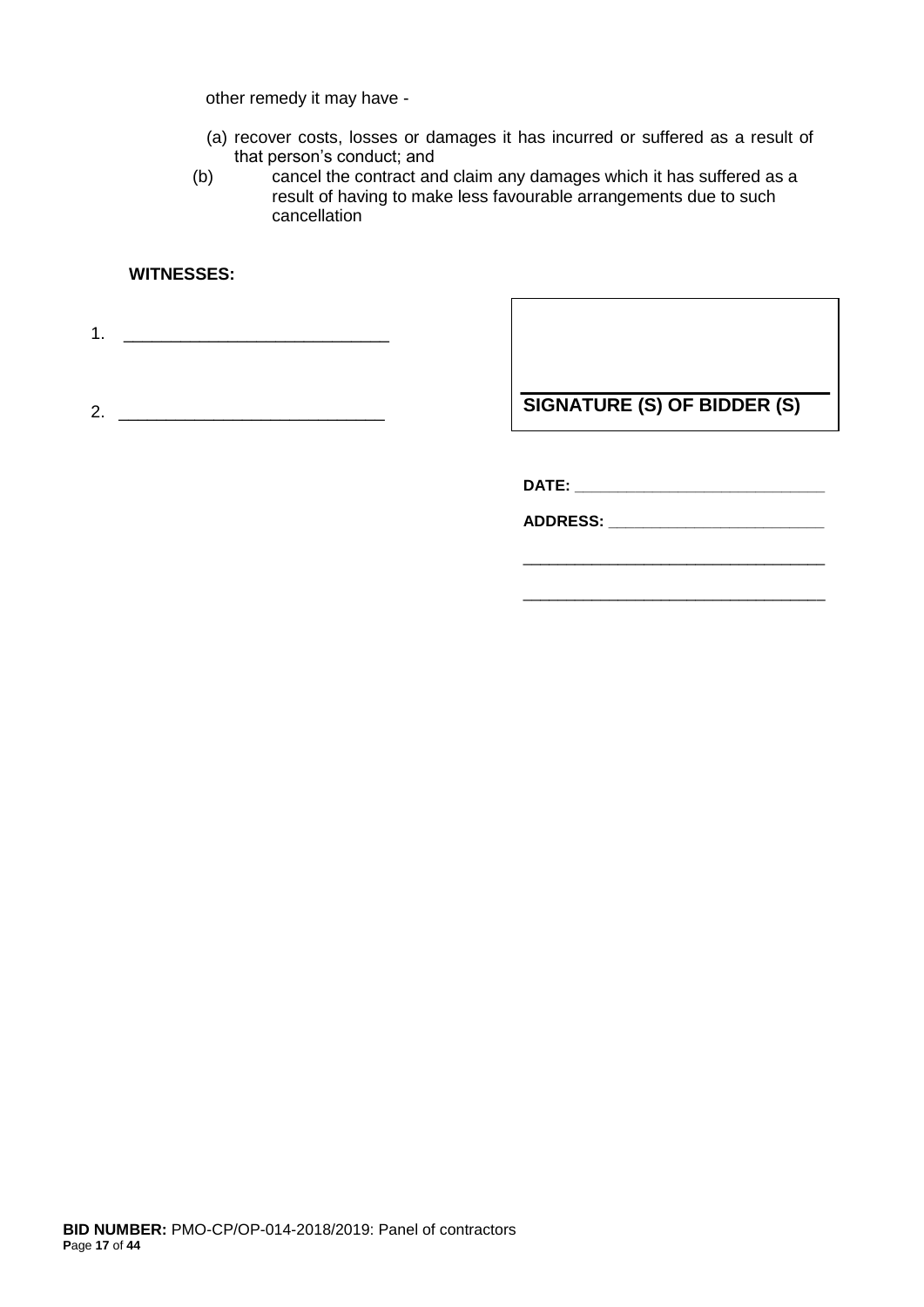other remedy it may have -

- (a) recover costs, losses or damages it has incurred or suffered as a result of that person's conduct; and
- (b) cancel the contract and claim any damages which it has suffered as a result of having to make less favourable arrangements due to such cancellation

#### **WITNESSES:**

1. \_\_\_\_\_\_\_\_\_\_\_\_\_\_\_\_\_\_\_\_\_\_\_\_\_\_\_\_

2. \_\_\_\_\_\_\_\_\_\_\_\_\_\_\_\_\_\_\_\_\_\_\_\_\_\_\_\_

**SIGNATURE (S) OF BIDDER (S)**

\_\_\_\_\_\_\_\_\_\_\_\_\_\_\_\_\_\_\_\_\_\_\_\_\_\_\_\_\_\_\_\_\_\_\_

\_\_\_\_\_\_\_\_\_\_\_\_\_\_\_\_\_\_\_\_\_\_\_\_\_\_\_\_\_\_\_\_\_\_\_

**DATE: \_\_\_\_\_\_\_\_\_\_\_\_\_\_\_\_\_\_\_\_\_\_\_\_\_\_\_\_\_**

**ADDRESS: \_\_\_\_\_\_\_\_\_\_\_\_\_\_\_\_\_\_\_\_\_\_\_\_\_**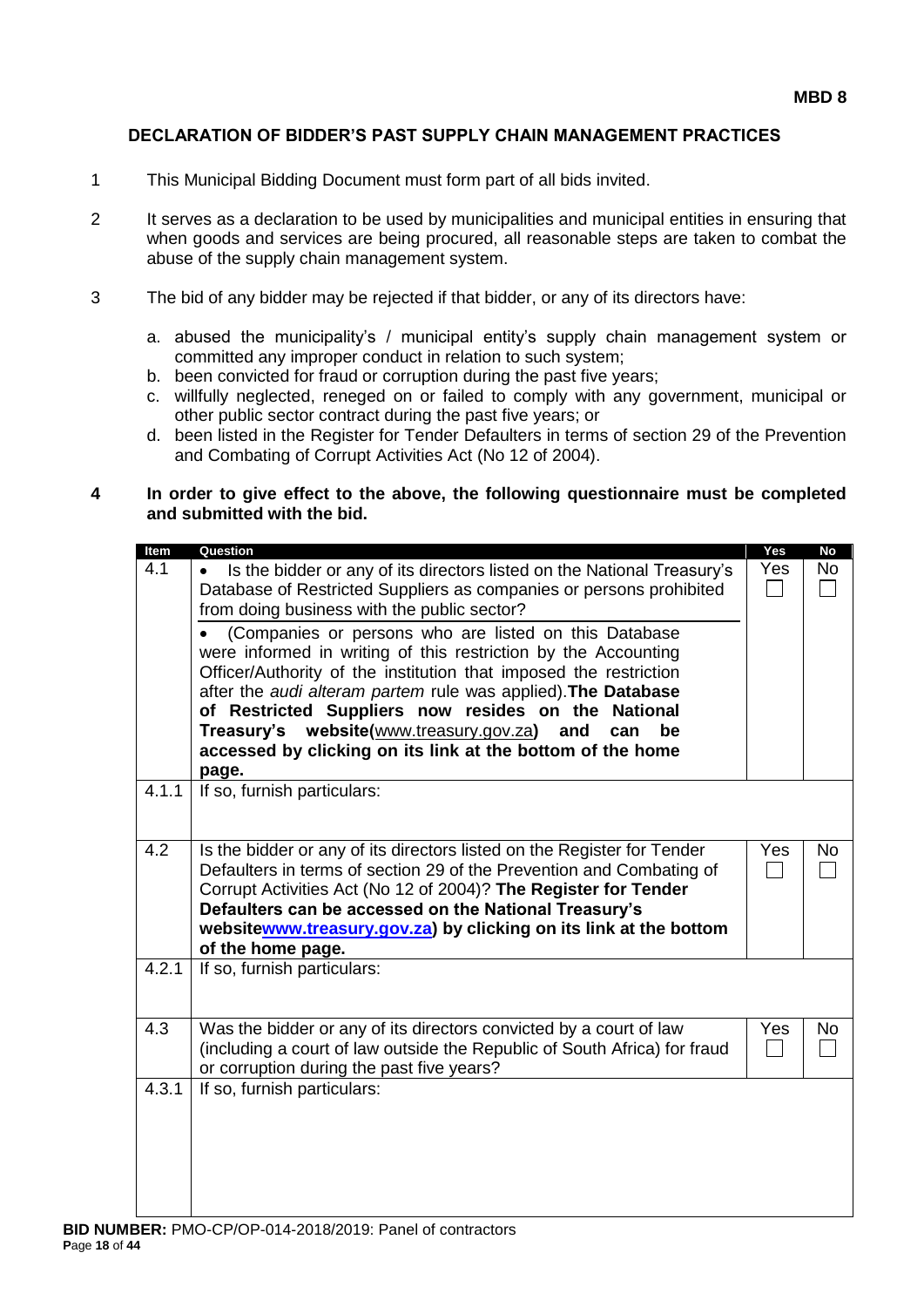#### **DECLARATION OF BIDDER'S PAST SUPPLY CHAIN MANAGEMENT PRACTICES**

- 1 This Municipal Bidding Document must form part of all bids invited.
- 2 It serves as a declaration to be used by municipalities and municipal entities in ensuring that when goods and services are being procured, all reasonable steps are taken to combat the abuse of the supply chain management system.
- 3 The bid of any bidder may be rejected if that bidder, or any of its directors have:
	- a. abused the municipality's / municipal entity's supply chain management system or committed any improper conduct in relation to such system;
	- b. been convicted for fraud or corruption during the past five years;
	- c. willfully neglected, reneged on or failed to comply with any government, municipal or other public sector contract during the past five years; or
	- d. been listed in the Register for Tender Defaulters in terms of section 29 of the Prevention and Combating of Corrupt Activities Act (No 12 of 2004).

#### **4 In order to give effect to the above, the following questionnaire must be completed and submitted with the bid.**

| Item  | Question                                                                                                                                                                                                                                                                                                                                                                                                                                                   | Yes           | <b>No</b> |
|-------|------------------------------------------------------------------------------------------------------------------------------------------------------------------------------------------------------------------------------------------------------------------------------------------------------------------------------------------------------------------------------------------------------------------------------------------------------------|---------------|-----------|
| 4.1   | Is the bidder or any of its directors listed on the National Treasury's<br>Database of Restricted Suppliers as companies or persons prohibited<br>from doing business with the public sector?                                                                                                                                                                                                                                                              | Yes<br>$\Box$ | No        |
|       | (Companies or persons who are listed on this Database<br>were informed in writing of this restriction by the Accounting<br>Officer/Authority of the institution that imposed the restriction<br>after the audi alteram partem rule was applied). The Database<br>of Restricted Suppliers now resides on the National<br>Treasury's website(www.treasury.gov.za)<br>and<br>can<br>be<br>accessed by clicking on its link at the bottom of the home<br>page. |               |           |
| 4.1.1 | If so, furnish particulars:                                                                                                                                                                                                                                                                                                                                                                                                                                |               |           |
| 4.2   | Is the bidder or any of its directors listed on the Register for Tender<br>Defaulters in terms of section 29 of the Prevention and Combating of<br>Corrupt Activities Act (No 12 of 2004)? The Register for Tender<br>Defaulters can be accessed on the National Treasury's<br>websitewww.treasury.gov.za) by clicking on its link at the bottom<br>of the home page.                                                                                      | Yes           | No        |
| 4.2.1 | If so, furnish particulars:                                                                                                                                                                                                                                                                                                                                                                                                                                |               |           |
| 4.3   | Was the bidder or any of its directors convicted by a court of law<br>(including a court of law outside the Republic of South Africa) for fraud<br>or corruption during the past five years?                                                                                                                                                                                                                                                               | Yes<br>$\sim$ | <b>No</b> |
| 4.3.1 | If so, furnish particulars:                                                                                                                                                                                                                                                                                                                                                                                                                                |               |           |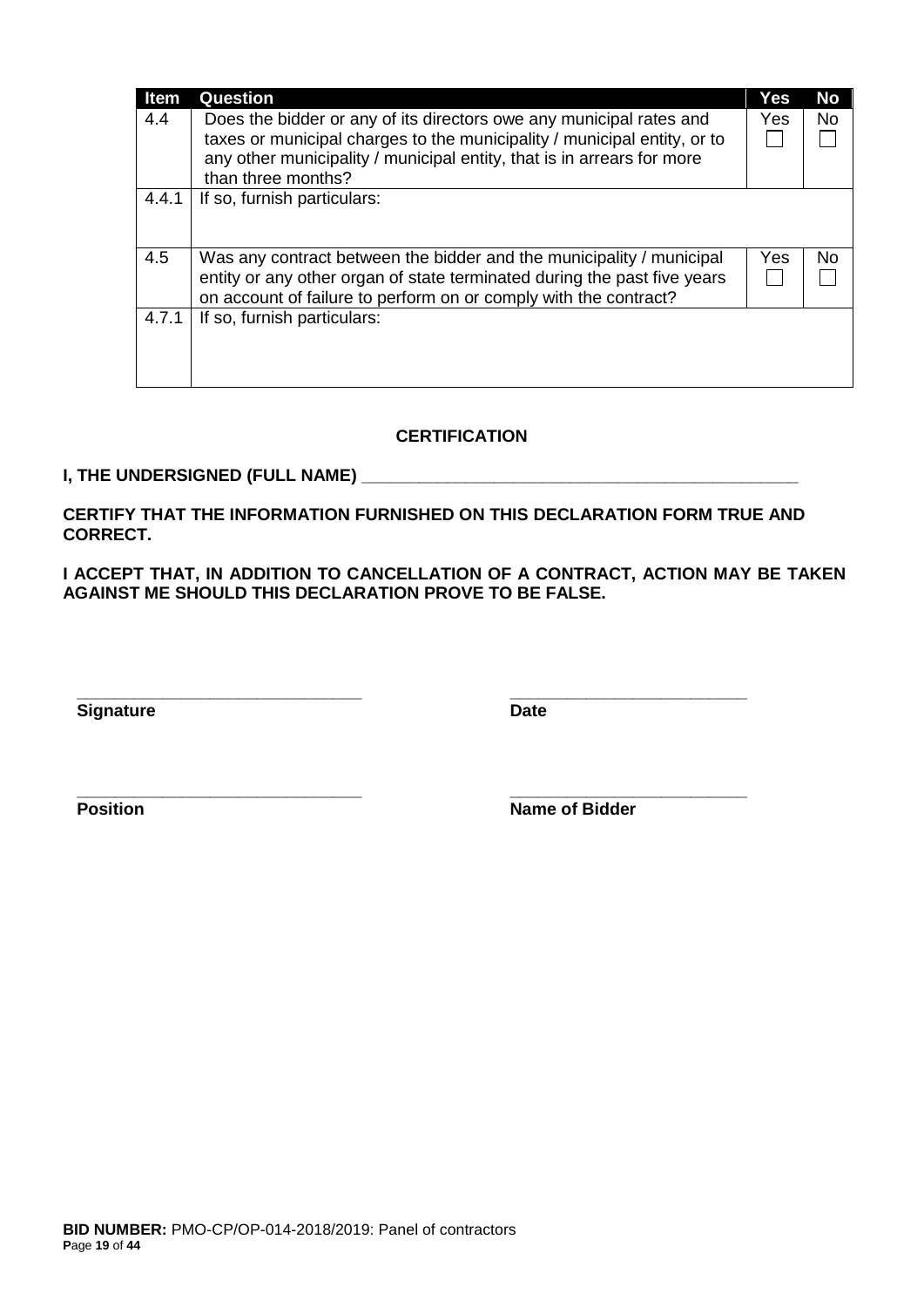| <b>Item</b> | Question                                                                                                                                                                                                             | Yes | <b>No</b> |
|-------------|----------------------------------------------------------------------------------------------------------------------------------------------------------------------------------------------------------------------|-----|-----------|
| 4.4         | Does the bidder or any of its directors owe any municipal rates and<br>taxes or municipal charges to the municipality / municipal entity, or to                                                                      | Yes | <b>No</b> |
|             | any other municipality / municipal entity, that is in arrears for more<br>than three months?                                                                                                                         |     |           |
| 4.4.1       | If so, furnish particulars:                                                                                                                                                                                          |     |           |
| 4.5         | Was any contract between the bidder and the municipality / municipal<br>entity or any other organ of state terminated during the past five years<br>on account of failure to perform on or comply with the contract? | Yes | No.       |
| 4.7.1       | If so, furnish particulars:                                                                                                                                                                                          |     |           |

## **CERTIFICATION**

#### **I, THE UNDERSIGNED (FULL NAME) \_\_\_\_\_\_\_\_\_\_\_\_\_\_\_\_\_\_\_\_\_\_\_\_\_\_\_\_\_\_\_\_\_\_\_\_\_\_\_\_\_\_\_\_\_\_**

**CERTIFY THAT THE INFORMATION FURNISHED ON THIS DECLARATION FORM TRUE AND CORRECT.**

**\_\_\_\_\_\_\_\_\_\_\_\_\_\_\_\_\_\_\_\_\_\_\_\_\_\_\_\_\_\_ \_\_\_\_\_\_\_\_\_\_\_\_\_\_\_\_\_\_\_\_\_\_\_\_\_**

**\_\_\_\_\_\_\_\_\_\_\_\_\_\_\_\_\_\_\_\_\_\_\_\_\_\_\_\_\_\_ \_\_\_\_\_\_\_\_\_\_\_\_\_\_\_\_\_\_\_\_\_\_\_\_\_**

**I ACCEPT THAT, IN ADDITION TO CANCELLATION OF A CONTRACT, ACTION MAY BE TAKEN AGAINST ME SHOULD THIS DECLARATION PROVE TO BE FALSE.**

**Signature Date** 

**Position Name of Bidder**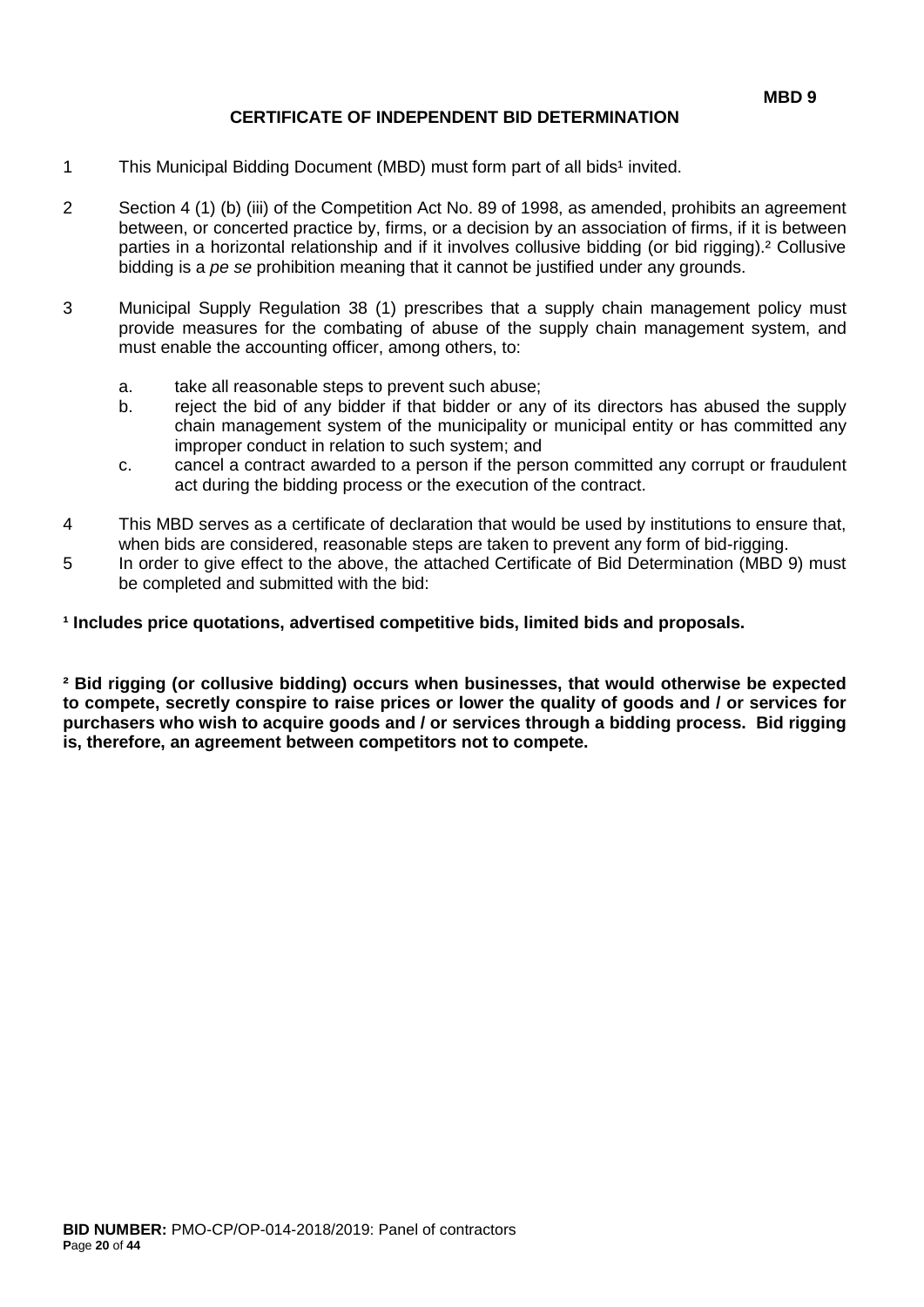## **CERTIFICATE OF INDEPENDENT BID DETERMINATION**

- 1 This Municipal Bidding Document (MBD) must form part of all bids<sup>1</sup> invited.
- 2 Section 4 (1) (b) (iii) of the Competition Act No. 89 of 1998, as amended, prohibits an agreement between, or concerted practice by, firms, or a decision by an association of firms, if it is between parties in a horizontal relationship and if it involves collusive bidding (or bid rigging).² Collusive bidding is a *pe se* prohibition meaning that it cannot be justified under any grounds.
- 3 Municipal Supply Regulation 38 (1) prescribes that a supply chain management policy must provide measures for the combating of abuse of the supply chain management system, and must enable the accounting officer, among others, to:
	- a. take all reasonable steps to prevent such abuse;
	- b. reject the bid of any bidder if that bidder or any of its directors has abused the supply chain management system of the municipality or municipal entity or has committed any improper conduct in relation to such system; and
	- c. cancel a contract awarded to a person if the person committed any corrupt or fraudulent act during the bidding process or the execution of the contract.
- 4 This MBD serves as a certificate of declaration that would be used by institutions to ensure that, when bids are considered, reasonable steps are taken to prevent any form of bid-rigging.
- 5 In order to give effect to the above, the attached Certificate of Bid Determination (MBD 9) must be completed and submitted with the bid:

**¹ Includes price quotations, advertised competitive bids, limited bids and proposals.**

**² Bid rigging (or collusive bidding) occurs when businesses, that would otherwise be expected to compete, secretly conspire to raise prices or lower the quality of goods and / or services for purchasers who wish to acquire goods and / or services through a bidding process. Bid rigging is, therefore, an agreement between competitors not to compete.**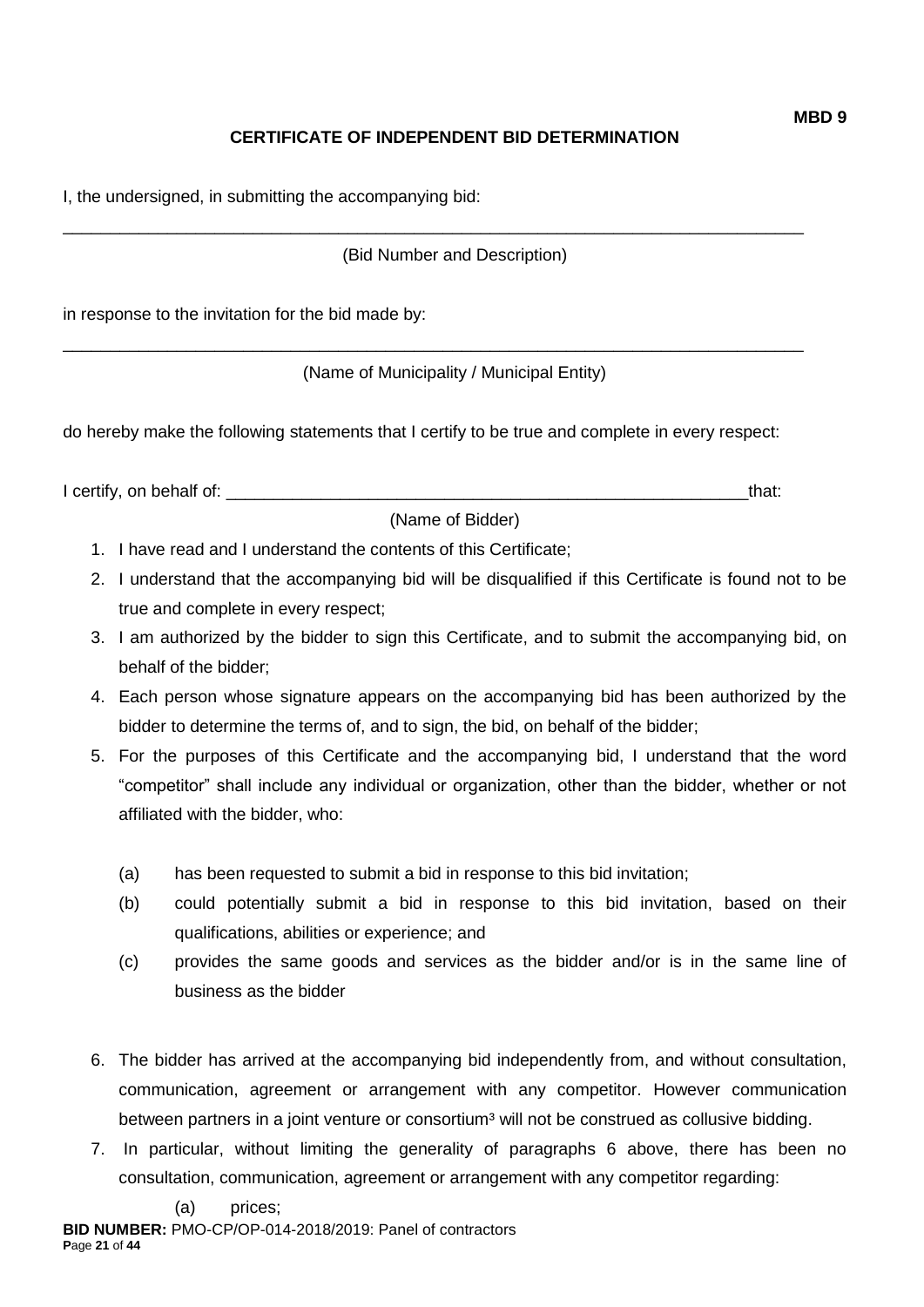# **CERTIFICATE OF INDEPENDENT BID DETERMINATION**

I, the undersigned, in submitting the accompanying bid:

(Bid Number and Description)

\_\_\_\_\_\_\_\_\_\_\_\_\_\_\_\_\_\_\_\_\_\_\_\_\_\_\_\_\_\_\_\_\_\_\_\_\_\_\_\_\_\_\_\_\_\_\_\_\_\_\_\_\_\_\_\_\_\_\_\_\_\_\_\_\_\_\_\_\_\_\_\_\_\_\_\_\_\_

\_\_\_\_\_\_\_\_\_\_\_\_\_\_\_\_\_\_\_\_\_\_\_\_\_\_\_\_\_\_\_\_\_\_\_\_\_\_\_\_\_\_\_\_\_\_\_\_\_\_\_\_\_\_\_\_\_\_\_\_\_\_\_\_\_\_\_\_\_\_\_\_\_\_\_\_\_\_

in response to the invitation for the bid made by:

(Name of Municipality / Municipal Entity)

do hereby make the following statements that I certify to be true and complete in every respect:

I certify, on behalf of: the same of the same of the same of the same of the same of the same of the same of the same of the same of the same of the same of the same of the same of the same of the same of the same of the s

(Name of Bidder)

- 1. I have read and I understand the contents of this Certificate;
- 2. I understand that the accompanying bid will be disqualified if this Certificate is found not to be true and complete in every respect;
- 3. I am authorized by the bidder to sign this Certificate, and to submit the accompanying bid, on behalf of the bidder;
- 4. Each person whose signature appears on the accompanying bid has been authorized by the bidder to determine the terms of, and to sign, the bid, on behalf of the bidder;
- 5. For the purposes of this Certificate and the accompanying bid, I understand that the word "competitor" shall include any individual or organization, other than the bidder, whether or not affiliated with the bidder, who:
	- (a) has been requested to submit a bid in response to this bid invitation;
	- (b) could potentially submit a bid in response to this bid invitation, based on their qualifications, abilities or experience; and
	- (c) provides the same goods and services as the bidder and/or is in the same line of business as the bidder
- 6. The bidder has arrived at the accompanying bid independently from, and without consultation, communication, agreement or arrangement with any competitor. However communication between partners in a joint venture or consortium<sup>3</sup> will not be construed as collusive bidding.
- 7. In particular, without limiting the generality of paragraphs 6 above, there has been no consultation, communication, agreement or arrangement with any competitor regarding: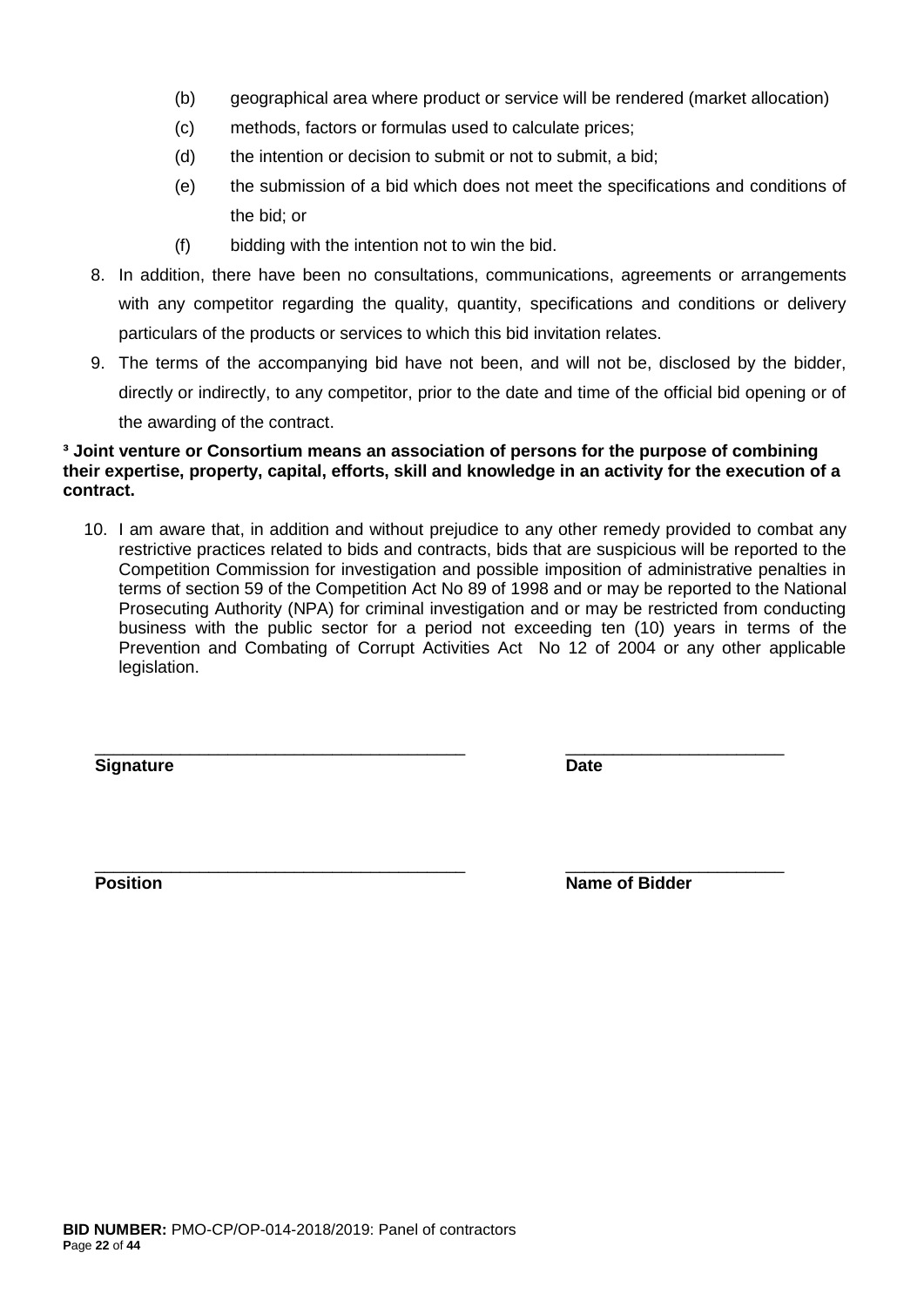- (b) geographical area where product or service will be rendered (market allocation)
- (c) methods, factors or formulas used to calculate prices;
- (d) the intention or decision to submit or not to submit, a bid;
- (e) the submission of a bid which does not meet the specifications and conditions of the bid; or
- (f) bidding with the intention not to win the bid.
- 8. In addition, there have been no consultations, communications, agreements or arrangements with any competitor regarding the quality, quantity, specifications and conditions or delivery particulars of the products or services to which this bid invitation relates.
- 9. The terms of the accompanying bid have not been, and will not be, disclosed by the bidder, directly or indirectly, to any competitor, prior to the date and time of the official bid opening or of the awarding of the contract.

#### **³ Joint venture or Consortium means an association of persons for the purpose of combining their expertise, property, capital, efforts, skill and knowledge in an activity for the execution of a contract.**

10. I am aware that, in addition and without prejudice to any other remedy provided to combat any restrictive practices related to bids and contracts, bids that are suspicious will be reported to the Competition Commission for investigation and possible imposition of administrative penalties in terms of section 59 of the Competition Act No 89 of 1998 and or may be reported to the National Prosecuting Authority (NPA) for criminal investigation and or may be restricted from conducting business with the public sector for a period not exceeding ten (10) years in terms of the Prevention and Combating of Corrupt Activities Act No 12 of 2004 or any other applicable legislation.

\_\_\_\_\_\_\_\_\_\_\_\_\_\_\_\_\_\_\_\_\_\_\_\_\_\_\_\_\_\_\_\_\_\_\_\_\_\_\_ \_\_\_\_\_\_\_\_\_\_\_\_\_\_\_\_\_\_\_\_\_\_\_

**Signature Date**

\_\_\_\_\_\_\_\_\_\_\_\_\_\_\_\_\_\_\_\_\_\_\_\_\_\_\_\_\_\_\_\_\_\_\_\_\_\_\_ \_\_\_\_\_\_\_\_\_\_\_\_\_\_\_\_\_\_\_\_\_\_\_ **Position Position Name of Bidder**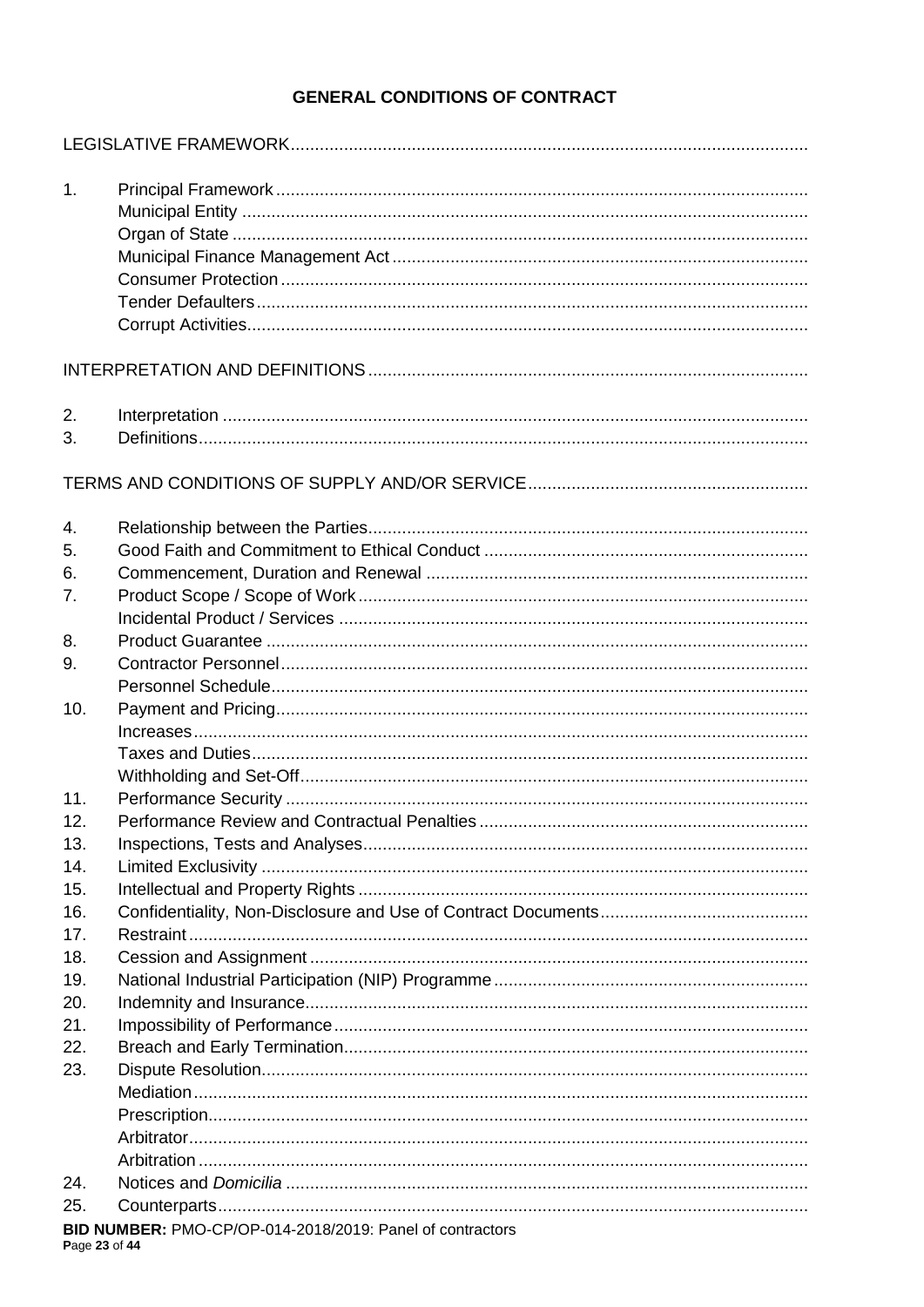# **GENERAL CONDITIONS OF CONTRACT**

| 1.             |                                                           |
|----------------|-----------------------------------------------------------|
|                |                                                           |
|                |                                                           |
|                |                                                           |
|                |                                                           |
|                |                                                           |
|                |                                                           |
|                |                                                           |
|                |                                                           |
| 2.             |                                                           |
| 3.             |                                                           |
|                |                                                           |
|                |                                                           |
| 4.             |                                                           |
| 5.             |                                                           |
| 6.             |                                                           |
| 7 <sub>1</sub> |                                                           |
|                |                                                           |
| 8.             |                                                           |
| 9.             |                                                           |
|                |                                                           |
| 10.            |                                                           |
|                |                                                           |
|                |                                                           |
|                |                                                           |
| 11.            |                                                           |
| 12.            |                                                           |
| 13.            |                                                           |
| 14.            |                                                           |
| 15.            |                                                           |
| 16.            |                                                           |
| 17.            |                                                           |
| 18.            |                                                           |
| 19.            |                                                           |
| 20.            |                                                           |
| 21.            |                                                           |
| 22.            |                                                           |
| 23.            |                                                           |
|                |                                                           |
|                |                                                           |
|                |                                                           |
|                |                                                           |
|                |                                                           |
| 24.            |                                                           |
| 25.            |                                                           |
| Page 23 of 44  | BID NUMBER: PMO-CP/OP-014-2018/2019: Panel of contractors |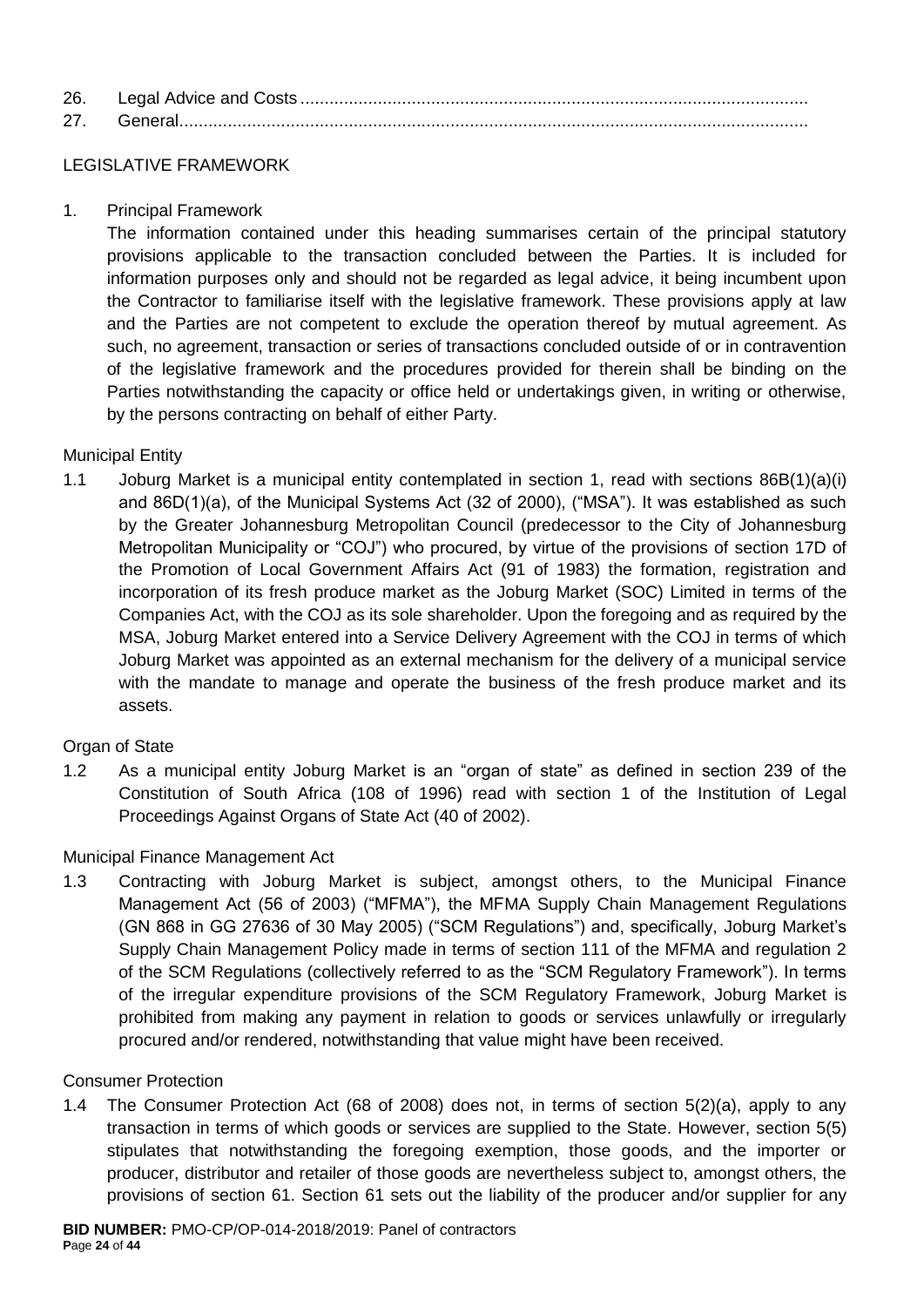| 26. |  |
|-----|--|
| 27  |  |

## LEGISLATIVE FRAMEWORK

1. Principal Framework

The information contained under this heading summarises certain of the principal statutory provisions applicable to the transaction concluded between the Parties. It is included for information purposes only and should not be regarded as legal advice, it being incumbent upon the Contractor to familiarise itself with the legislative framework. These provisions apply at law and the Parties are not competent to exclude the operation thereof by mutual agreement. As such, no agreement, transaction or series of transactions concluded outside of or in contravention of the legislative framework and the procedures provided for therein shall be binding on the Parties notwithstanding the capacity or office held or undertakings given, in writing or otherwise, by the persons contracting on behalf of either Party.

## Municipal Entity

1.1 Joburg Market is a municipal entity contemplated in section 1, read with sections 86B(1)(a)(i) and 86D(1)(a), of the Municipal Systems Act (32 of 2000), ("MSA"). It was established as such by the Greater Johannesburg Metropolitan Council (predecessor to the City of Johannesburg Metropolitan Municipality or "COJ") who procured, by virtue of the provisions of section 17D of the Promotion of Local Government Affairs Act (91 of 1983) the formation, registration and incorporation of its fresh produce market as the Joburg Market (SOC) Limited in terms of the Companies Act, with the COJ as its sole shareholder. Upon the foregoing and as required by the MSA, Joburg Market entered into a Service Delivery Agreement with the COJ in terms of which Joburg Market was appointed as an external mechanism for the delivery of a municipal service with the mandate to manage and operate the business of the fresh produce market and its assets.

## Organ of State

1.2 As a municipal entity Joburg Market is an "organ of state" as defined in section 239 of the Constitution of South Africa (108 of 1996) read with section 1 of the Institution of Legal Proceedings Against Organs of State Act (40 of 2002).

## Municipal Finance Management Act

1.3 Contracting with Joburg Market is subject, amongst others, to the Municipal Finance Management Act (56 of 2003) ("MFMA"), the MFMA Supply Chain Management Regulations (GN 868 in GG 27636 of 30 May 2005) ("SCM Regulations") and, specifically, Joburg Market's Supply Chain Management Policy made in terms of section 111 of the MFMA and regulation 2 of the SCM Regulations (collectively referred to as the "SCM Regulatory Framework"). In terms of the irregular expenditure provisions of the SCM Regulatory Framework, Joburg Market is prohibited from making any payment in relation to goods or services unlawfully or irregularly procured and/or rendered, notwithstanding that value might have been received.

#### Consumer Protection

1.4 The Consumer Protection Act (68 of 2008) does not, in terms of section 5(2)(a), apply to any transaction in terms of which goods or services are supplied to the State. However, section 5(5) stipulates that notwithstanding the foregoing exemption, those goods, and the importer or producer, distributor and retailer of those goods are nevertheless subject to, amongst others, the provisions of section 61. Section 61 sets out the liability of the producer and/or supplier for any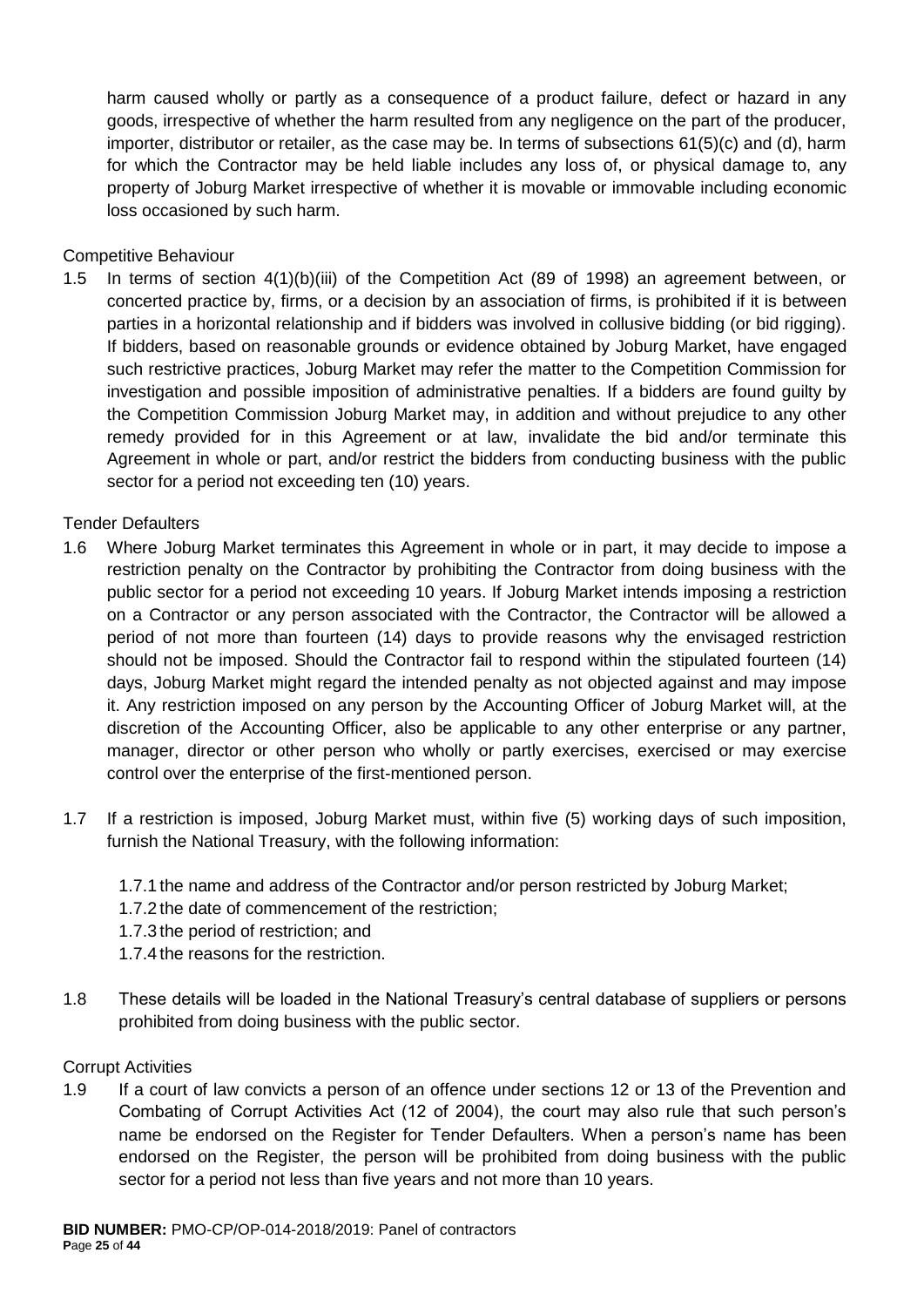harm caused wholly or partly as a consequence of a product failure, defect or hazard in any goods, irrespective of whether the harm resulted from any negligence on the part of the producer, importer, distributor or retailer, as the case may be. In terms of subsections 61(5)(c) and (d), harm for which the Contractor may be held liable includes any loss of, or physical damage to, any property of Joburg Market irrespective of whether it is movable or immovable including economic loss occasioned by such harm.

Competitive Behaviour

1.5 In terms of section 4(1)(b)(iii) of the Competition Act (89 of 1998) an agreement between, or concerted practice by, firms, or a decision by an association of firms, is prohibited if it is between parties in a horizontal relationship and if bidders was involved in collusive bidding (or bid rigging). If bidders, based on reasonable grounds or evidence obtained by Joburg Market, have engaged such restrictive practices, Joburg Market may refer the matter to the Competition Commission for investigation and possible imposition of administrative penalties. If a bidders are found guilty by the Competition Commission Joburg Market may, in addition and without prejudice to any other remedy provided for in this Agreement or at law, invalidate the bid and/or terminate this Agreement in whole or part, and/or restrict the bidders from conducting business with the public sector for a period not exceeding ten (10) years.

Tender Defaulters

- 1.6 Where Joburg Market terminates this Agreement in whole or in part, it may decide to impose a restriction penalty on the Contractor by prohibiting the Contractor from doing business with the public sector for a period not exceeding 10 years. If Joburg Market intends imposing a restriction on a Contractor or any person associated with the Contractor, the Contractor will be allowed a period of not more than fourteen (14) days to provide reasons why the envisaged restriction should not be imposed. Should the Contractor fail to respond within the stipulated fourteen (14) days, Joburg Market might regard the intended penalty as not objected against and may impose it. Any restriction imposed on any person by the Accounting Officer of Joburg Market will, at the discretion of the Accounting Officer, also be applicable to any other enterprise or any partner, manager, director or other person who wholly or partly exercises, exercised or may exercise control over the enterprise of the first-mentioned person.
- 1.7 If a restriction is imposed, Joburg Market must, within five (5) working days of such imposition, furnish the National Treasury, with the following information:
	- 1.7.1 the name and address of the Contractor and/or person restricted by Joburg Market;
	- 1.7.2 the date of commencement of the restriction;
	- 1.7.3 the period of restriction; and
	- 1.7.4 the reasons for the restriction.
- 1.8 These details will be loaded in the National Treasury's central database of suppliers or persons prohibited from doing business with the public sector.

#### Corrupt Activities

1.9 If a court of law convicts a person of an offence under sections 12 or 13 of the Prevention and Combating of Corrupt Activities Act (12 of 2004), the court may also rule that such person's name be endorsed on the Register for Tender Defaulters. When a person's name has been endorsed on the Register, the person will be prohibited from doing business with the public sector for a period not less than five years and not more than 10 years.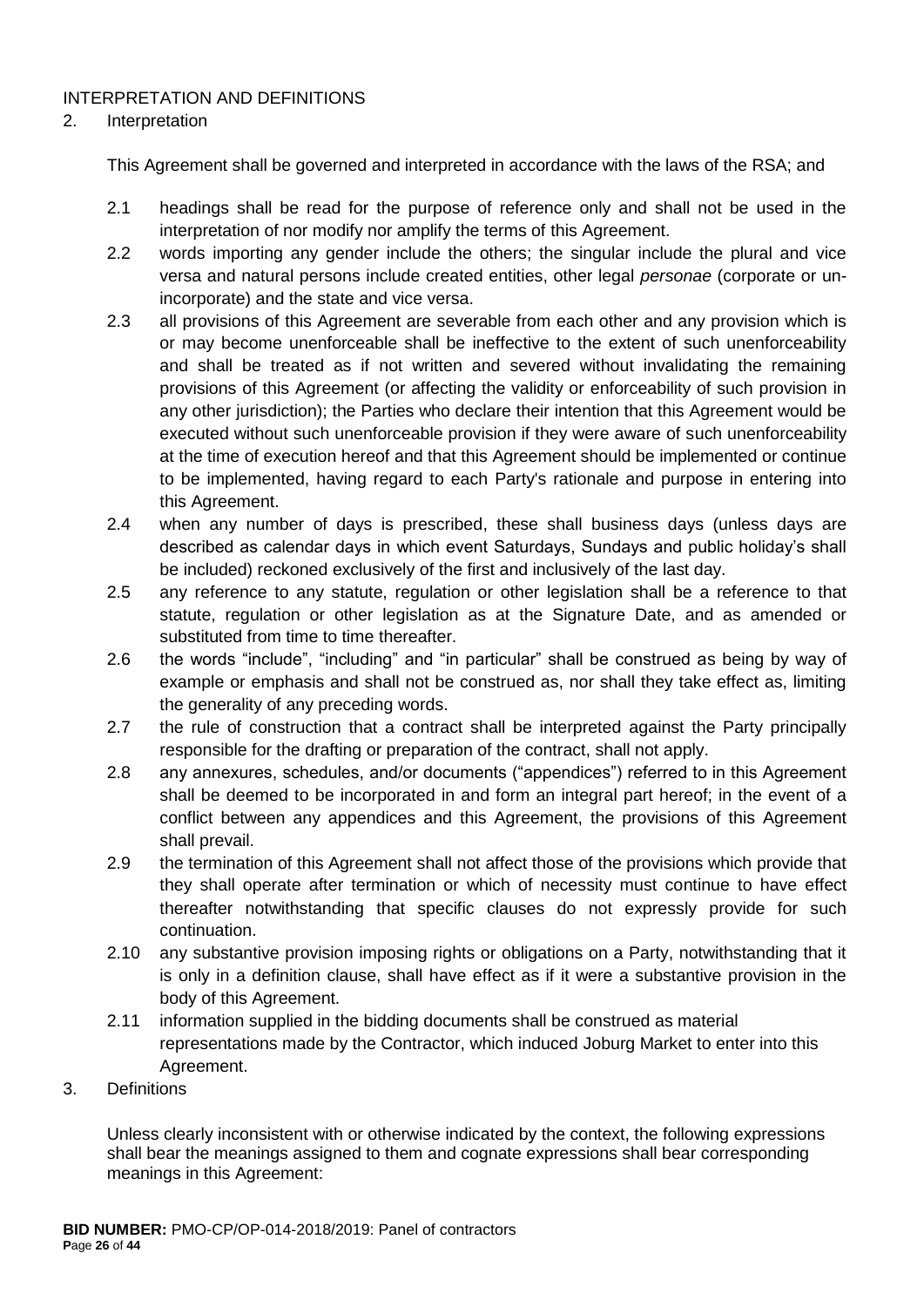## INTERPRETATION AND DEFINITIONS

#### 2. Interpretation

This Agreement shall be governed and interpreted in accordance with the laws of the RSA; and

- 2.1 headings shall be read for the purpose of reference only and shall not be used in the interpretation of nor modify nor amplify the terms of this Agreement.
- 2.2 words importing any gender include the others; the singular include the plural and vice versa and natural persons include created entities, other legal *personae* (corporate or unincorporate) and the state and vice versa.
- 2.3 all provisions of this Agreement are severable from each other and any provision which is or may become unenforceable shall be ineffective to the extent of such unenforceability and shall be treated as if not written and severed without invalidating the remaining provisions of this Agreement (or affecting the validity or enforceability of such provision in any other jurisdiction); the Parties who declare their intention that this Agreement would be executed without such unenforceable provision if they were aware of such unenforceability at the time of execution hereof and that this Agreement should be implemented or continue to be implemented, having regard to each Party's rationale and purpose in entering into this Agreement.
- 2.4 when any number of days is prescribed, these shall business days (unless days are described as calendar days in which event Saturdays, Sundays and public holiday's shall be included) reckoned exclusively of the first and inclusively of the last day.
- 2.5 any reference to any statute, regulation or other legislation shall be a reference to that statute, regulation or other legislation as at the Signature Date, and as amended or substituted from time to time thereafter.
- 2.6 the words "include", "including" and "in particular" shall be construed as being by way of example or emphasis and shall not be construed as, nor shall they take effect as, limiting the generality of any preceding words.
- 2.7 the rule of construction that a contract shall be interpreted against the Party principally responsible for the drafting or preparation of the contract, shall not apply.
- 2.8 any annexures, schedules, and/or documents ("appendices") referred to in this Agreement shall be deemed to be incorporated in and form an integral part hereof; in the event of a conflict between any appendices and this Agreement, the provisions of this Agreement shall prevail.
- 2.9 the termination of this Agreement shall not affect those of the provisions which provide that they shall operate after termination or which of necessity must continue to have effect thereafter notwithstanding that specific clauses do not expressly provide for such continuation.
- 2.10 any substantive provision imposing rights or obligations on a Party, notwithstanding that it is only in a definition clause, shall have effect as if it were a substantive provision in the body of this Agreement.
- 2.11 information supplied in the bidding documents shall be construed as material representations made by the Contractor, which induced Joburg Market to enter into this Agreement.
- 3. Definitions

Unless clearly inconsistent with or otherwise indicated by the context, the following expressions shall bear the meanings assigned to them and cognate expressions shall bear corresponding meanings in this Agreement: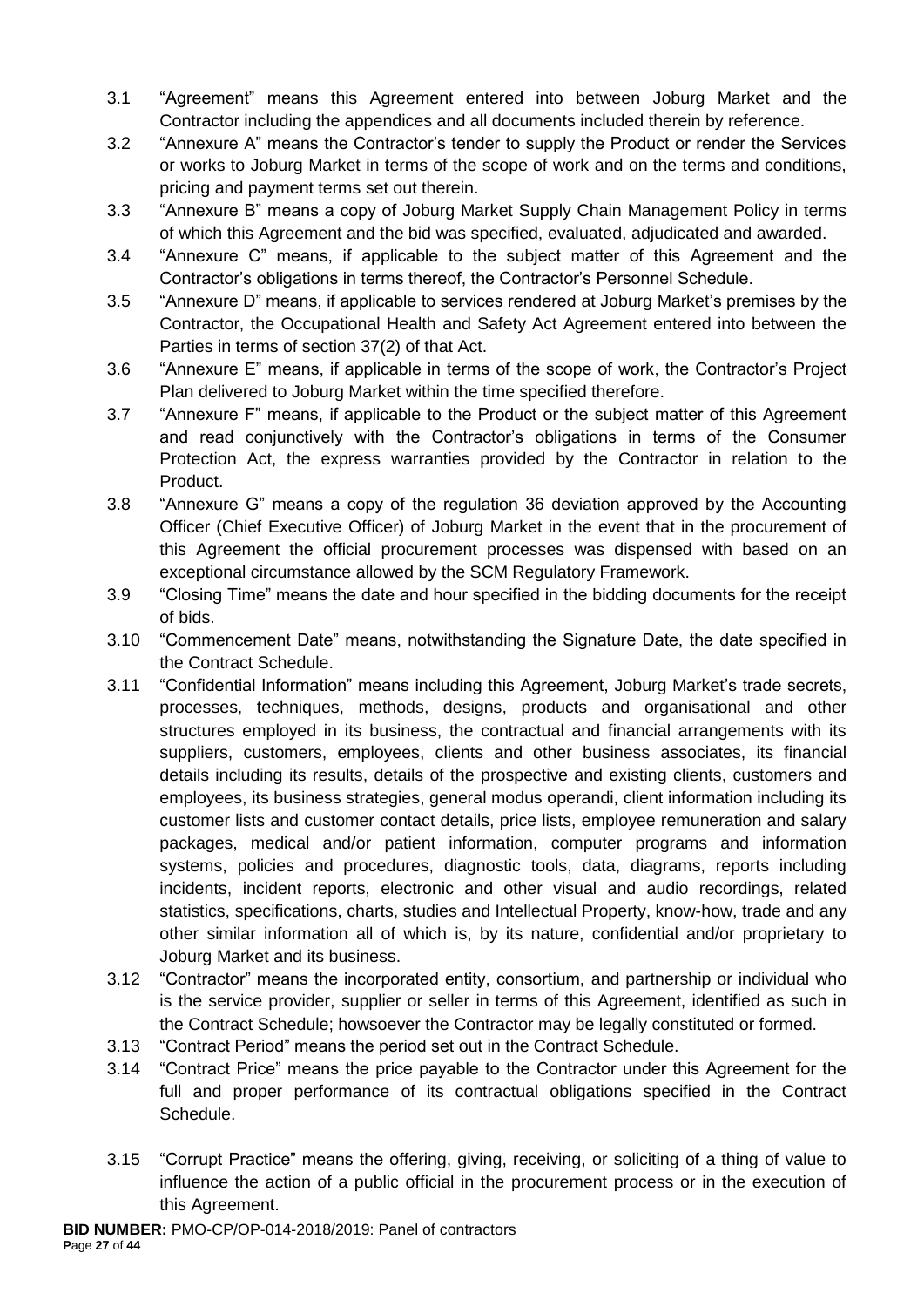- 3.1 "Agreement" means this Agreement entered into between Joburg Market and the Contractor including the appendices and all documents included therein by reference.
- 3.2 "Annexure A" means the Contractor's tender to supply the Product or render the Services or works to Joburg Market in terms of the scope of work and on the terms and conditions, pricing and payment terms set out therein.
- 3.3 "Annexure B" means a copy of Joburg Market Supply Chain Management Policy in terms of which this Agreement and the bid was specified, evaluated, adjudicated and awarded.
- 3.4 "Annexure C" means, if applicable to the subject matter of this Agreement and the Contractor's obligations in terms thereof, the Contractor's Personnel Schedule.
- 3.5 "Annexure D" means, if applicable to services rendered at Joburg Market's premises by the Contractor, the Occupational Health and Safety Act Agreement entered into between the Parties in terms of section 37(2) of that Act.
- 3.6 "Annexure E" means, if applicable in terms of the scope of work, the Contractor's Project Plan delivered to Joburg Market within the time specified therefore.
- 3.7 "Annexure F" means, if applicable to the Product or the subject matter of this Agreement and read conjunctively with the Contractor's obligations in terms of the Consumer Protection Act, the express warranties provided by the Contractor in relation to the Product.
- 3.8 "Annexure G" means a copy of the regulation 36 deviation approved by the Accounting Officer (Chief Executive Officer) of Joburg Market in the event that in the procurement of this Agreement the official procurement processes was dispensed with based on an exceptional circumstance allowed by the SCM Regulatory Framework.
- 3.9 "Closing Time" means the date and hour specified in the bidding documents for the receipt of bids.
- 3.10 "Commencement Date" means, notwithstanding the Signature Date, the date specified in the Contract Schedule.
- 3.11 "Confidential Information" means including this Agreement, Joburg Market's trade secrets, processes, techniques, methods, designs, products and organisational and other structures employed in its business, the contractual and financial arrangements with its suppliers, customers, employees, clients and other business associates, its financial details including its results, details of the prospective and existing clients, customers and employees, its business strategies, general modus operandi, client information including its customer lists and customer contact details, price lists, employee remuneration and salary packages, medical and/or patient information, computer programs and information systems, policies and procedures, diagnostic tools, data, diagrams, reports including incidents, incident reports, electronic and other visual and audio recordings, related statistics, specifications, charts, studies and Intellectual Property, know-how, trade and any other similar information all of which is, by its nature, confidential and/or proprietary to Joburg Market and its business.
- 3.12 "Contractor" means the incorporated entity, consortium, and partnership or individual who is the service provider, supplier or seller in terms of this Agreement, identified as such in the Contract Schedule; howsoever the Contractor may be legally constituted or formed.
- 3.13 "Contract Period" means the period set out in the Contract Schedule.
- 3.14 "Contract Price" means the price payable to the Contractor under this Agreement for the full and proper performance of its contractual obligations specified in the Contract Schedule.
- 3.15 "Corrupt Practice" means the offering, giving, receiving, or soliciting of a thing of value to influence the action of a public official in the procurement process or in the execution of this Agreement.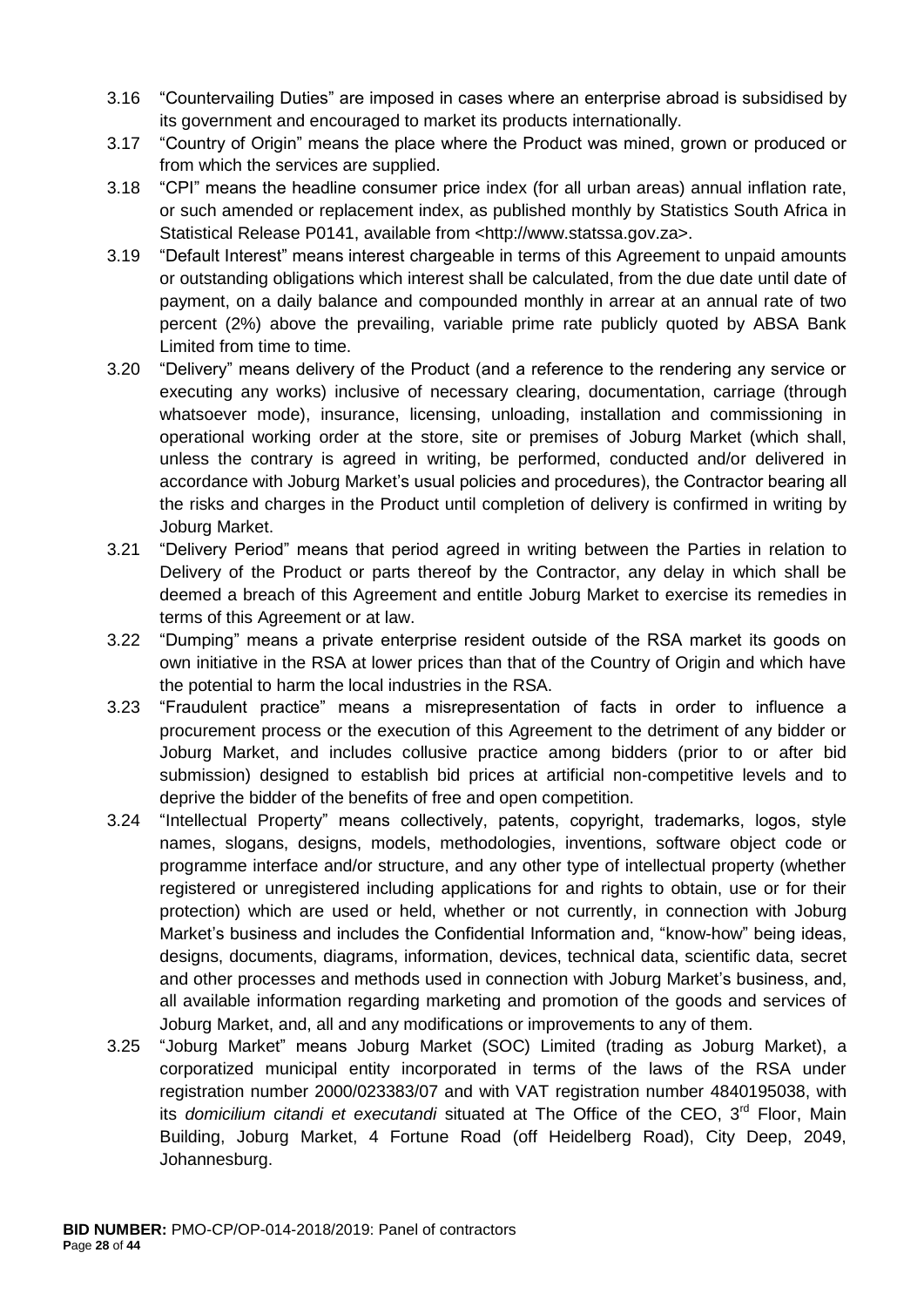- 3.16 "Countervailing Duties" are imposed in cases where an enterprise abroad is subsidised by its government and encouraged to market its products internationally.
- 3.17 "Country of Origin" means the place where the Product was mined, grown or produced or from which the services are supplied.
- 3.18 "CPI" means the headline consumer price index (for all urban areas) annual inflation rate, or such amended or replacement index, as published monthly by Statistics South Africa in Statistical Release P0141, available from <http://www.statssa.gov.za>.
- 3.19 "Default Interest" means interest chargeable in terms of this Agreement to unpaid amounts or outstanding obligations which interest shall be calculated, from the due date until date of payment, on a daily balance and compounded monthly in arrear at an annual rate of two percent (2%) above the prevailing, variable prime rate publicly quoted by ABSA Bank Limited from time to time.
- 3.20 "Delivery" means delivery of the Product (and a reference to the rendering any service or executing any works) inclusive of necessary clearing, documentation, carriage (through whatsoever mode), insurance, licensing, unloading, installation and commissioning in operational working order at the store, site or premises of Joburg Market (which shall, unless the contrary is agreed in writing, be performed, conducted and/or delivered in accordance with Joburg Market's usual policies and procedures), the Contractor bearing all the risks and charges in the Product until completion of delivery is confirmed in writing by Joburg Market.
- 3.21 "Delivery Period" means that period agreed in writing between the Parties in relation to Delivery of the Product or parts thereof by the Contractor, any delay in which shall be deemed a breach of this Agreement and entitle Joburg Market to exercise its remedies in terms of this Agreement or at law.
- 3.22 "Dumping" means a private enterprise resident outside of the RSA market its goods on own initiative in the RSA at lower prices than that of the Country of Origin and which have the potential to harm the local industries in the RSA.
- 3.23 "Fraudulent practice" means a misrepresentation of facts in order to influence a procurement process or the execution of this Agreement to the detriment of any bidder or Joburg Market, and includes collusive practice among bidders (prior to or after bid submission) designed to establish bid prices at artificial non-competitive levels and to deprive the bidder of the benefits of free and open competition.
- 3.24 "Intellectual Property" means collectively, patents, copyright, trademarks, logos, style names, slogans, designs, models, methodologies, inventions, software object code or programme interface and/or structure, and any other type of intellectual property (whether registered or unregistered including applications for and rights to obtain, use or for their protection) which are used or held, whether or not currently, in connection with Joburg Market's business and includes the Confidential Information and, "know-how" being ideas, designs, documents, diagrams, information, devices, technical data, scientific data, secret and other processes and methods used in connection with Joburg Market's business, and, all available information regarding marketing and promotion of the goods and services of Joburg Market, and, all and any modifications or improvements to any of them.
- 3.25 "Joburg Market" means Joburg Market (SOC) Limited (trading as Joburg Market), a corporatized municipal entity incorporated in terms of the laws of the RSA under registration number 2000/023383/07 and with VAT registration number 4840195038, with its *domicilium citandi et executandi* situated at The Office of the CEO, 3<sup>rd</sup> Floor, Main Building, Joburg Market, 4 Fortune Road (off Heidelberg Road), City Deep, 2049, Johannesburg.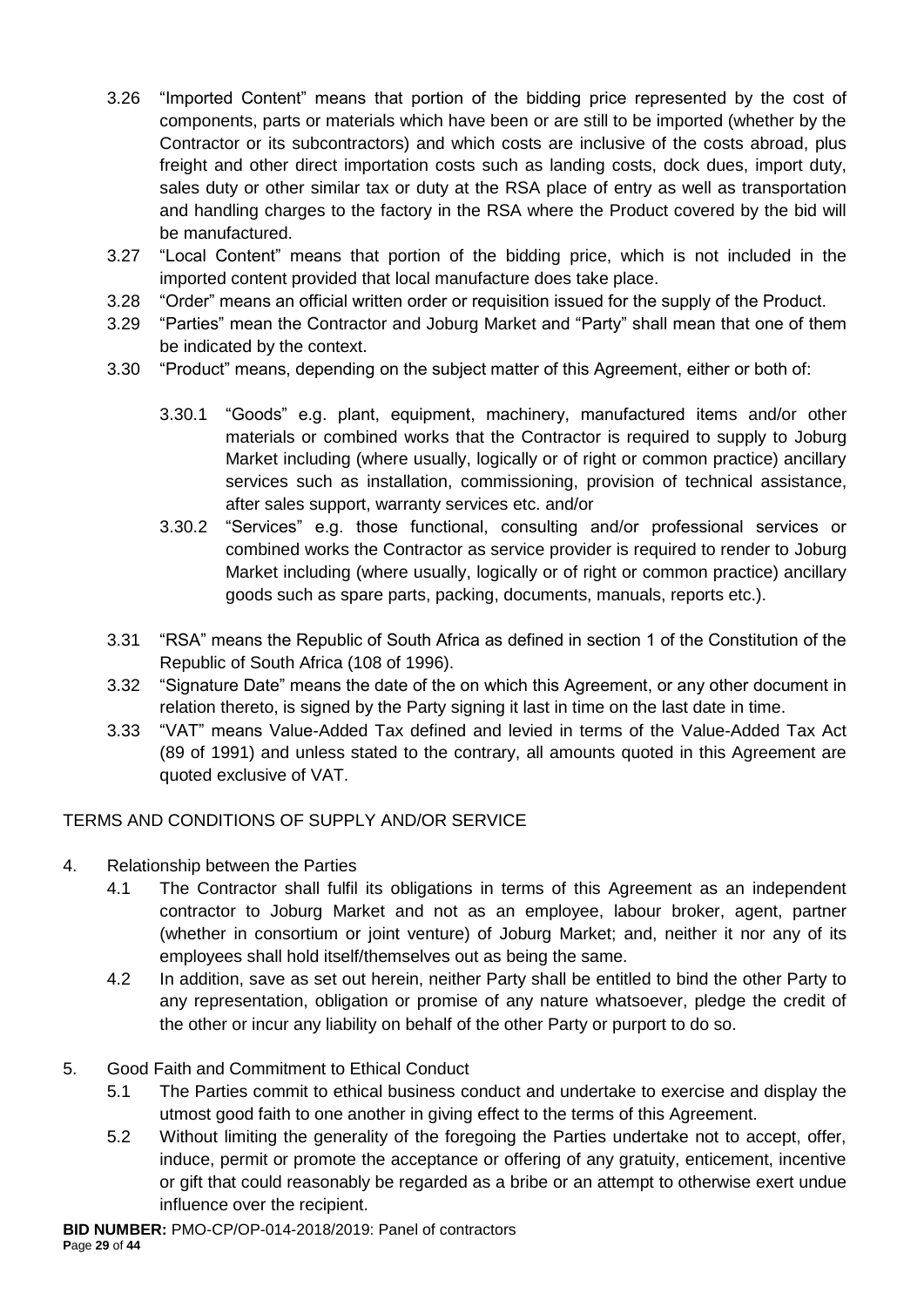- 3.26 "Imported Content" means that portion of the bidding price represented by the cost of components, parts or materials which have been or are still to be imported (whether by the Contractor or its subcontractors) and which costs are inclusive of the costs abroad, plus freight and other direct importation costs such as landing costs, dock dues, import duty, sales duty or other similar tax or duty at the RSA place of entry as well as transportation and handling charges to the factory in the RSA where the Product covered by the bid will be manufactured.
- 3.27 "Local Content" means that portion of the bidding price, which is not included in the imported content provided that local manufacture does take place.
- 3.28 "Order" means an official written order or requisition issued for the supply of the Product.
- 3.29 "Parties" mean the Contractor and Joburg Market and "Party" shall mean that one of them be indicated by the context.
- 3.30 "Product" means, depending on the subject matter of this Agreement, either or both of:
	- 3.30.1 "Goods" e.g. plant, equipment, machinery, manufactured items and/or other materials or combined works that the Contractor is required to supply to Joburg Market including (where usually, logically or of right or common practice) ancillary services such as installation, commissioning, provision of technical assistance, after sales support, warranty services etc. and/or
	- 3.30.2 "Services" e.g. those functional, consulting and/or professional services or combined works the Contractor as service provider is required to render to Joburg Market including (where usually, logically or of right or common practice) ancillary goods such as spare parts, packing, documents, manuals, reports etc.).
- 3.31 "RSA" means the Republic of South Africa as defined in section 1 of the Constitution of the Republic of South Africa (108 of 1996).
- 3.32 "Signature Date" means the date of the on which this Agreement, or any other document in relation thereto, is signed by the Party signing it last in time on the last date in time.
- 3.33 "VAT" means Value-Added Tax defined and levied in terms of the Value-Added Tax Act (89 of 1991) and unless stated to the contrary, all amounts quoted in this Agreement are quoted exclusive of VAT.

## TERMS AND CONDITIONS OF SUPPLY AND/OR SERVICE

- 4. Relationship between the Parties
	- 4.1 The Contractor shall fulfil its obligations in terms of this Agreement as an independent contractor to Joburg Market and not as an employee, labour broker, agent, partner (whether in consortium or joint venture) of Joburg Market; and, neither it nor any of its employees shall hold itself/themselves out as being the same.
	- 4.2 In addition, save as set out herein, neither Party shall be entitled to bind the other Party to any representation, obligation or promise of any nature whatsoever, pledge the credit of the other or incur any liability on behalf of the other Party or purport to do so.

## 5. Good Faith and Commitment to Ethical Conduct

- 5.1 The Parties commit to ethical business conduct and undertake to exercise and display the utmost good faith to one another in giving effect to the terms of this Agreement.
- 5.2 Without limiting the generality of the foregoing the Parties undertake not to accept, offer, induce, permit or promote the acceptance or offering of any gratuity, enticement, incentive or gift that could reasonably be regarded as a bribe or an attempt to otherwise exert undue influence over the recipient.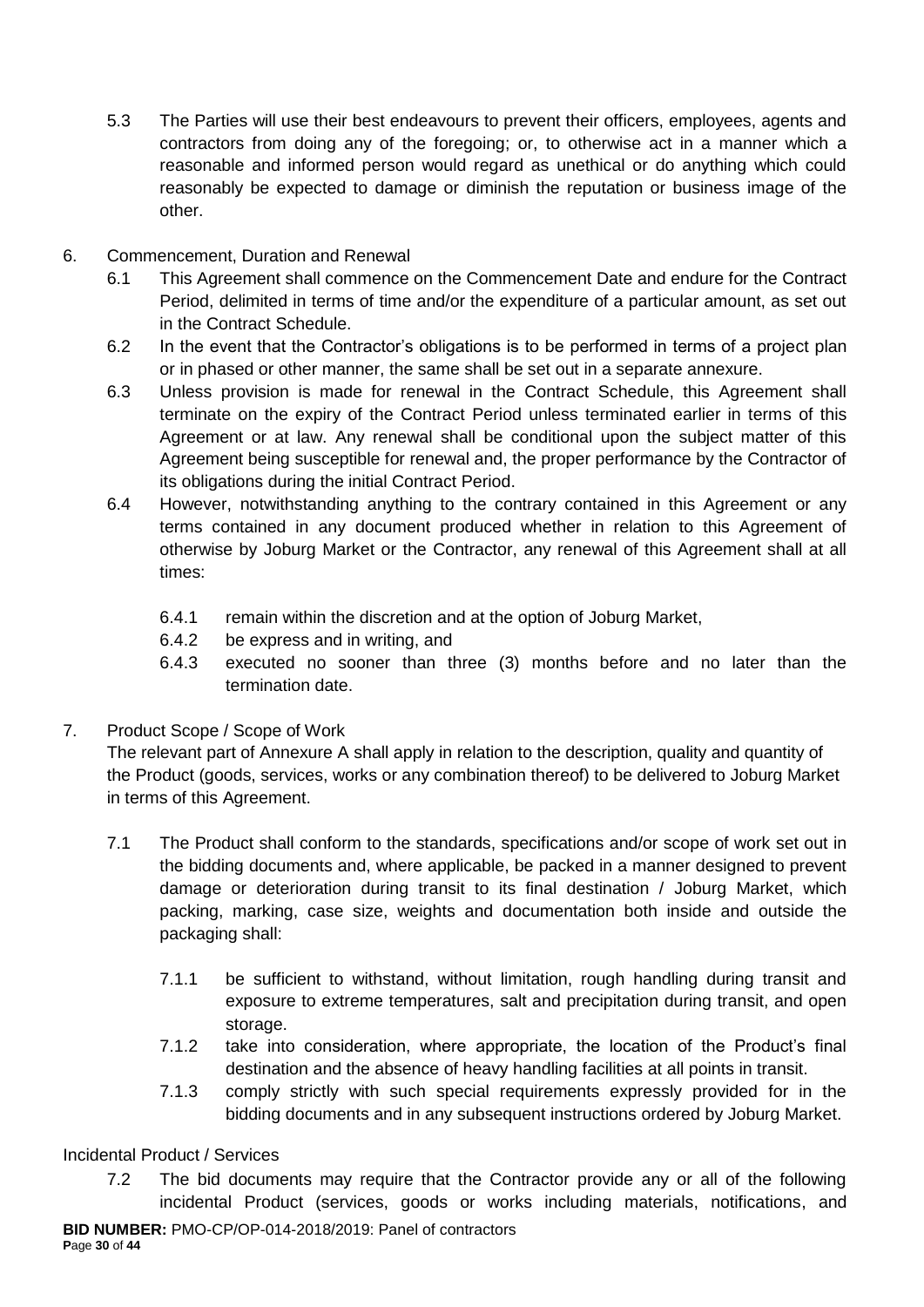- 5.3 The Parties will use their best endeavours to prevent their officers, employees, agents and contractors from doing any of the foregoing; or, to otherwise act in a manner which a reasonable and informed person would regard as unethical or do anything which could reasonably be expected to damage or diminish the reputation or business image of the other.
- 6. Commencement, Duration and Renewal
	- 6.1 This Agreement shall commence on the Commencement Date and endure for the Contract Period, delimited in terms of time and/or the expenditure of a particular amount, as set out in the Contract Schedule.
	- 6.2 In the event that the Contractor's obligations is to be performed in terms of a project plan or in phased or other manner, the same shall be set out in a separate annexure.
	- 6.3 Unless provision is made for renewal in the Contract Schedule, this Agreement shall terminate on the expiry of the Contract Period unless terminated earlier in terms of this Agreement or at law. Any renewal shall be conditional upon the subject matter of this Agreement being susceptible for renewal and, the proper performance by the Contractor of its obligations during the initial Contract Period.
	- 6.4 However, notwithstanding anything to the contrary contained in this Agreement or any terms contained in any document produced whether in relation to this Agreement of otherwise by Joburg Market or the Contractor, any renewal of this Agreement shall at all times:
		- 6.4.1 remain within the discretion and at the option of Joburg Market,
		- 6.4.2 be express and in writing, and
		- 6.4.3 executed no sooner than three (3) months before and no later than the termination date.
- 7. Product Scope / Scope of Work

The relevant part of Annexure A shall apply in relation to the description, quality and quantity of the Product (goods, services, works or any combination thereof) to be delivered to Joburg Market in terms of this Agreement.

- 7.1 The Product shall conform to the standards, specifications and/or scope of work set out in the bidding documents and, where applicable, be packed in a manner designed to prevent damage or deterioration during transit to its final destination / Joburg Market, which packing, marking, case size, weights and documentation both inside and outside the packaging shall:
	- 7.1.1 be sufficient to withstand, without limitation, rough handling during transit and exposure to extreme temperatures, salt and precipitation during transit, and open storage.
	- 7.1.2 take into consideration, where appropriate, the location of the Product's final destination and the absence of heavy handling facilities at all points in transit.
	- 7.1.3 comply strictly with such special requirements expressly provided for in the bidding documents and in any subsequent instructions ordered by Joburg Market.

# Incidental Product / Services

7.2 The bid documents may require that the Contractor provide any or all of the following incidental Product (services, goods or works including materials, notifications, and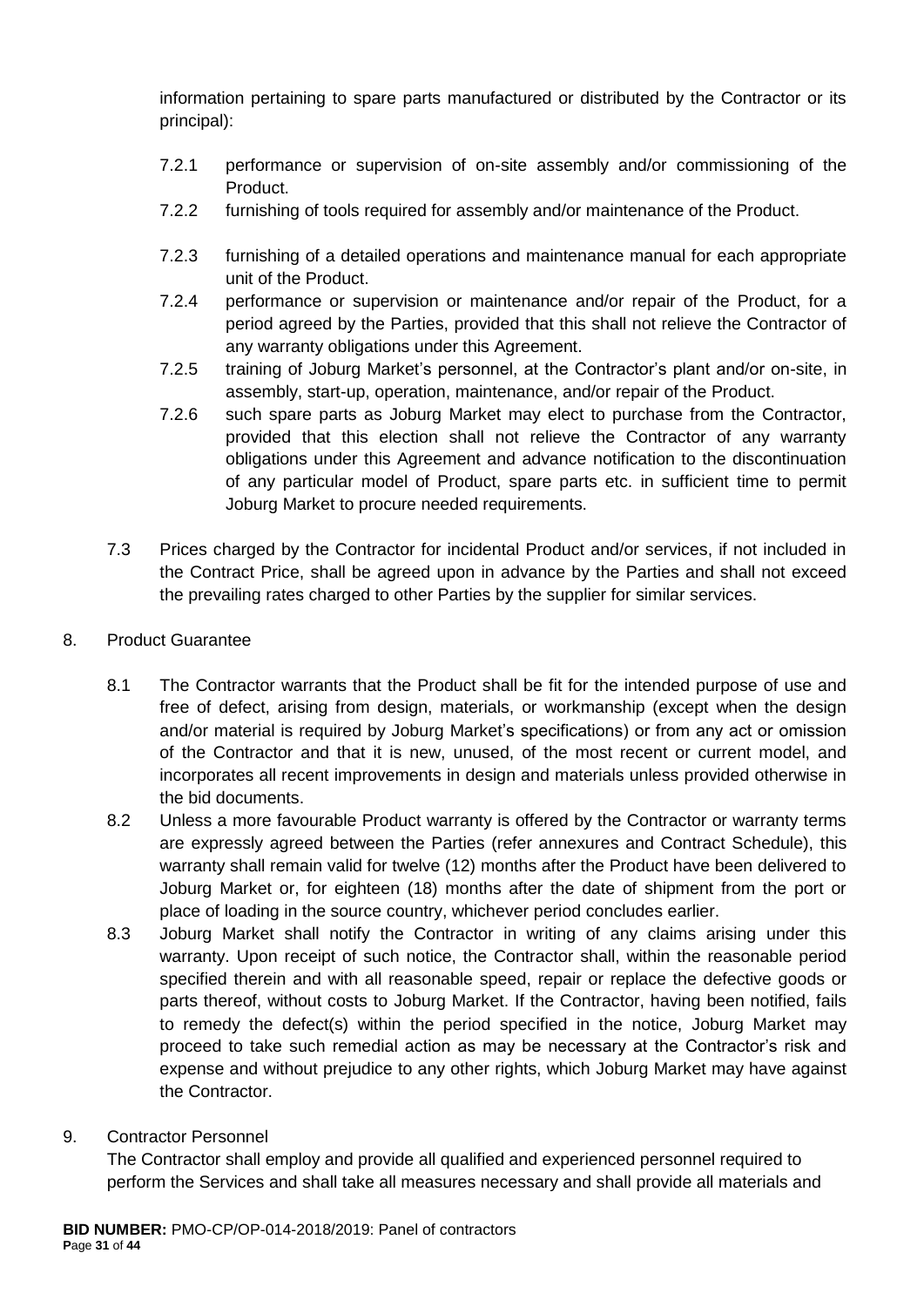information pertaining to spare parts manufactured or distributed by the Contractor or its principal):

- 7.2.1 performance or supervision of on-site assembly and/or commissioning of the Product.
- 7.2.2 furnishing of tools required for assembly and/or maintenance of the Product.
- 7.2.3 furnishing of a detailed operations and maintenance manual for each appropriate unit of the Product.
- 7.2.4 performance or supervision or maintenance and/or repair of the Product, for a period agreed by the Parties, provided that this shall not relieve the Contractor of any warranty obligations under this Agreement.
- 7.2.5 training of Joburg Market's personnel, at the Contractor's plant and/or on-site, in assembly, start-up, operation, maintenance, and/or repair of the Product.
- 7.2.6 such spare parts as Joburg Market may elect to purchase from the Contractor, provided that this election shall not relieve the Contractor of any warranty obligations under this Agreement and advance notification to the discontinuation of any particular model of Product, spare parts etc. in sufficient time to permit Joburg Market to procure needed requirements.
- 7.3 Prices charged by the Contractor for incidental Product and/or services, if not included in the Contract Price, shall be agreed upon in advance by the Parties and shall not exceed the prevailing rates charged to other Parties by the supplier for similar services.
- 8. Product Guarantee
	- 8.1 The Contractor warrants that the Product shall be fit for the intended purpose of use and free of defect, arising from design, materials, or workmanship (except when the design and/or material is required by Joburg Market's specifications) or from any act or omission of the Contractor and that it is new, unused, of the most recent or current model, and incorporates all recent improvements in design and materials unless provided otherwise in the bid documents.
	- 8.2 Unless a more favourable Product warranty is offered by the Contractor or warranty terms are expressly agreed between the Parties (refer annexures and Contract Schedule), this warranty shall remain valid for twelve (12) months after the Product have been delivered to Joburg Market or, for eighteen (18) months after the date of shipment from the port or place of loading in the source country, whichever period concludes earlier.
	- 8.3 Joburg Market shall notify the Contractor in writing of any claims arising under this warranty. Upon receipt of such notice, the Contractor shall, within the reasonable period specified therein and with all reasonable speed, repair or replace the defective goods or parts thereof, without costs to Joburg Market. If the Contractor, having been notified, fails to remedy the defect(s) within the period specified in the notice, Joburg Market may proceed to take such remedial action as may be necessary at the Contractor's risk and expense and without prejudice to any other rights, which Joburg Market may have against the Contractor.
- 9. Contractor Personnel

The Contractor shall employ and provide all qualified and experienced personnel required to perform the Services and shall take all measures necessary and shall provide all materials and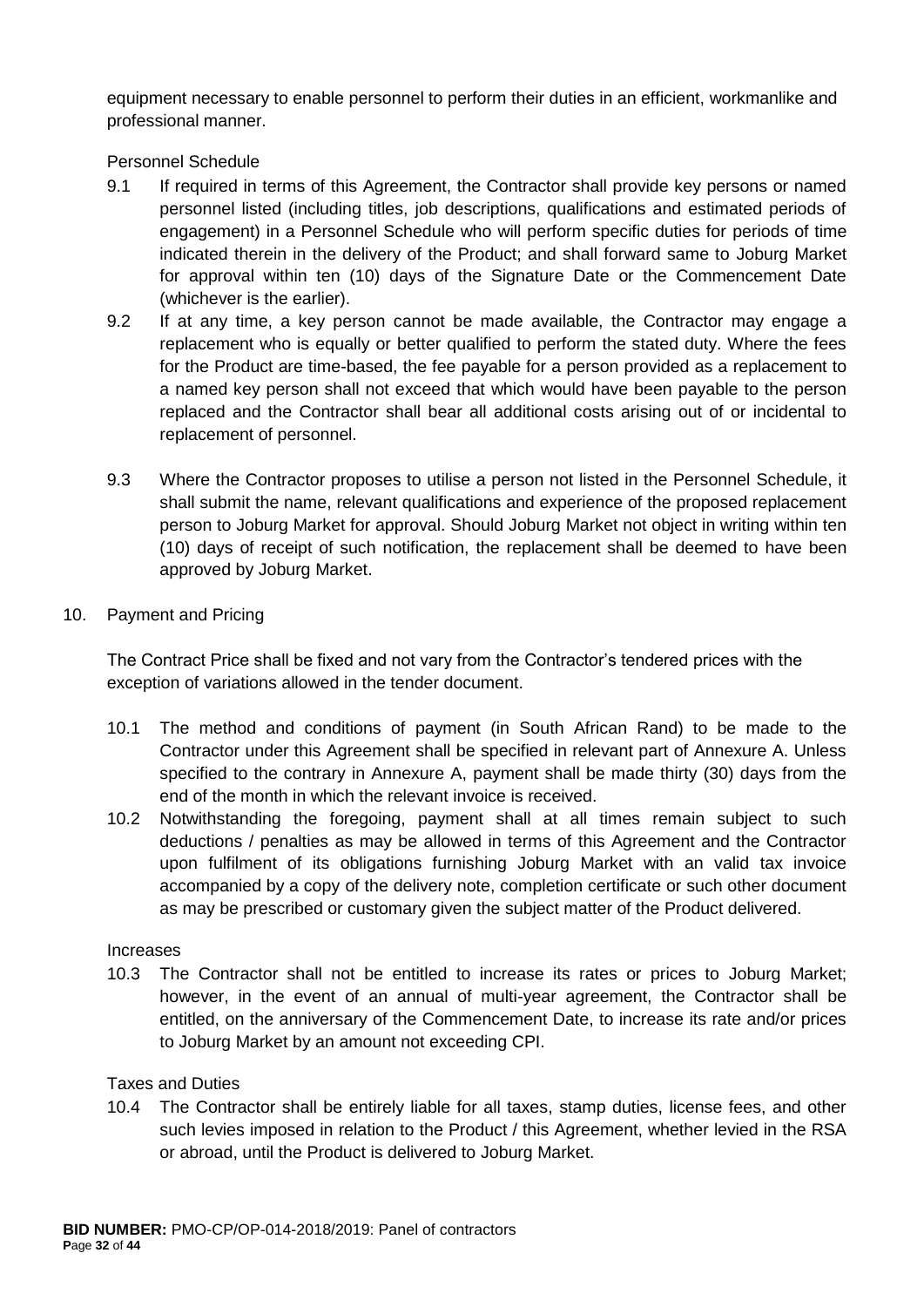equipment necessary to enable personnel to perform their duties in an efficient, workmanlike and professional manner.

Personnel Schedule

- 9.1 If required in terms of this Agreement, the Contractor shall provide key persons or named personnel listed (including titles, job descriptions, qualifications and estimated periods of engagement) in a Personnel Schedule who will perform specific duties for periods of time indicated therein in the delivery of the Product; and shall forward same to Joburg Market for approval within ten (10) days of the Signature Date or the Commencement Date (whichever is the earlier).
- 9.2 If at any time, a key person cannot be made available, the Contractor may engage a replacement who is equally or better qualified to perform the stated duty. Where the fees for the Product are time-based, the fee payable for a person provided as a replacement to a named key person shall not exceed that which would have been payable to the person replaced and the Contractor shall bear all additional costs arising out of or incidental to replacement of personnel.
- 9.3 Where the Contractor proposes to utilise a person not listed in the Personnel Schedule, it shall submit the name, relevant qualifications and experience of the proposed replacement person to Joburg Market for approval. Should Joburg Market not object in writing within ten (10) days of receipt of such notification, the replacement shall be deemed to have been approved by Joburg Market.
- 10. Payment and Pricing

The Contract Price shall be fixed and not vary from the Contractor's tendered prices with the exception of variations allowed in the tender document.

- 10.1 The method and conditions of payment (in South African Rand) to be made to the Contractor under this Agreement shall be specified in relevant part of Annexure A. Unless specified to the contrary in Annexure A, payment shall be made thirty (30) days from the end of the month in which the relevant invoice is received.
- 10.2 Notwithstanding the foregoing, payment shall at all times remain subject to such deductions / penalties as may be allowed in terms of this Agreement and the Contractor upon fulfilment of its obligations furnishing Joburg Market with an valid tax invoice accompanied by a copy of the delivery note, completion certificate or such other document as may be prescribed or customary given the subject matter of the Product delivered.

#### Increases

10.3 The Contractor shall not be entitled to increase its rates or prices to Joburg Market; however, in the event of an annual of multi-year agreement, the Contractor shall be entitled, on the anniversary of the Commencement Date, to increase its rate and/or prices to Joburg Market by an amount not exceeding CPI.

## Taxes and Duties

10.4 The Contractor shall be entirely liable for all taxes, stamp duties, license fees, and other such levies imposed in relation to the Product / this Agreement, whether levied in the RSA or abroad, until the Product is delivered to Joburg Market.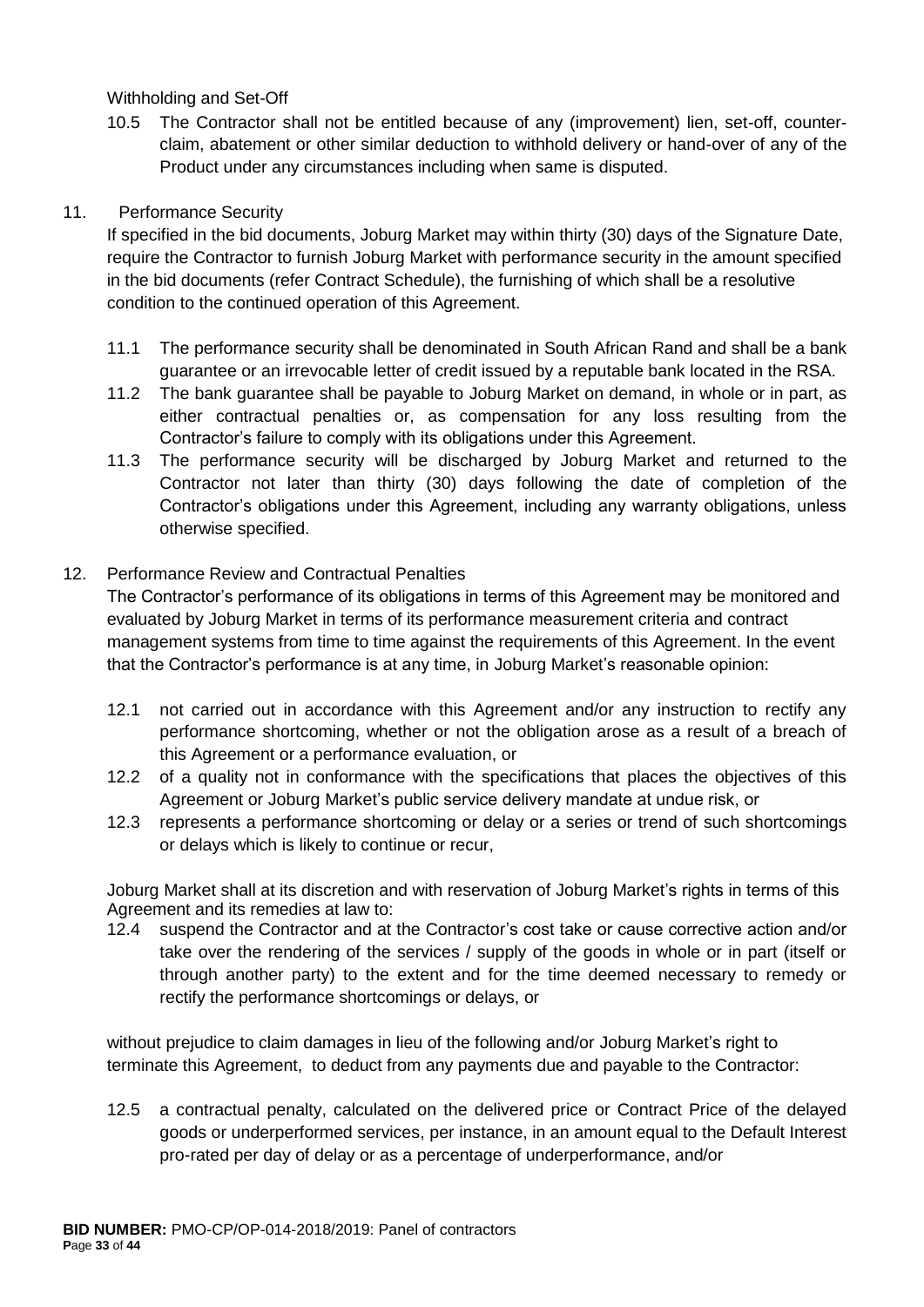Withholding and Set-Off

10.5 The Contractor shall not be entitled because of any (improvement) lien, set-off, counterclaim, abatement or other similar deduction to withhold delivery or hand-over of any of the Product under any circumstances including when same is disputed.

## 11. Performance Security

If specified in the bid documents, Joburg Market may within thirty (30) days of the Signature Date, require the Contractor to furnish Joburg Market with performance security in the amount specified in the bid documents (refer Contract Schedule), the furnishing of which shall be a resolutive condition to the continued operation of this Agreement.

- 11.1 The performance security shall be denominated in South African Rand and shall be a bank guarantee or an irrevocable letter of credit issued by a reputable bank located in the RSA.
- 11.2 The bank guarantee shall be payable to Joburg Market on demand, in whole or in part, as either contractual penalties or, as compensation for any loss resulting from the Contractor's failure to comply with its obligations under this Agreement.
- 11.3 The performance security will be discharged by Joburg Market and returned to the Contractor not later than thirty (30) days following the date of completion of the Contractor's obligations under this Agreement, including any warranty obligations, unless otherwise specified.

## 12. Performance Review and Contractual Penalties

The Contractor's performance of its obligations in terms of this Agreement may be monitored and evaluated by Joburg Market in terms of its performance measurement criteria and contract management systems from time to time against the requirements of this Agreement. In the event that the Contractor's performance is at any time, in Joburg Market's reasonable opinion:

- 12.1 not carried out in accordance with this Agreement and/or any instruction to rectify any performance shortcoming, whether or not the obligation arose as a result of a breach of this Agreement or a performance evaluation, or
- 12.2 of a quality not in conformance with the specifications that places the objectives of this Agreement or Joburg Market's public service delivery mandate at undue risk, or
- 12.3 represents a performance shortcoming or delay or a series or trend of such shortcomings or delays which is likely to continue or recur,

Joburg Market shall at its discretion and with reservation of Joburg Market's rights in terms of this Agreement and its remedies at law to:

12.4 suspend the Contractor and at the Contractor's cost take or cause corrective action and/or take over the rendering of the services / supply of the goods in whole or in part (itself or through another party) to the extent and for the time deemed necessary to remedy or rectify the performance shortcomings or delays, or

without prejudice to claim damages in lieu of the following and/or Joburg Market's right to terminate this Agreement, to deduct from any payments due and payable to the Contractor:

12.5 a contractual penalty, calculated on the delivered price or Contract Price of the delayed goods or underperformed services, per instance, in an amount equal to the Default Interest pro-rated per day of delay or as a percentage of underperformance, and/or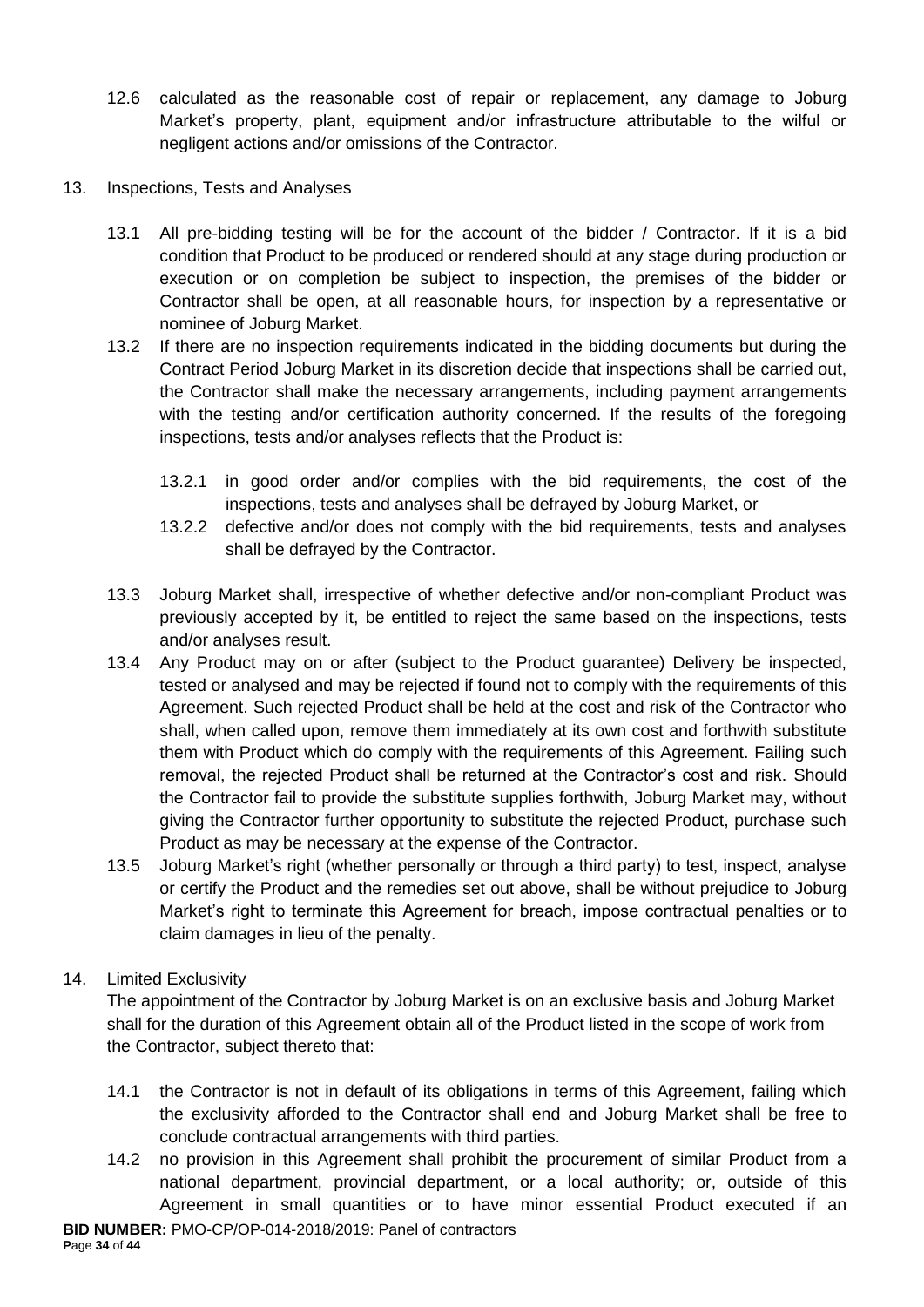- 12.6 calculated as the reasonable cost of repair or replacement, any damage to Joburg Market's property, plant, equipment and/or infrastructure attributable to the wilful or negligent actions and/or omissions of the Contractor.
- 13. Inspections, Tests and Analyses
	- 13.1 All pre-bidding testing will be for the account of the bidder / Contractor. If it is a bid condition that Product to be produced or rendered should at any stage during production or execution or on completion be subject to inspection, the premises of the bidder or Contractor shall be open, at all reasonable hours, for inspection by a representative or nominee of Joburg Market.
	- 13.2 If there are no inspection requirements indicated in the bidding documents but during the Contract Period Joburg Market in its discretion decide that inspections shall be carried out, the Contractor shall make the necessary arrangements, including payment arrangements with the testing and/or certification authority concerned. If the results of the foregoing inspections, tests and/or analyses reflects that the Product is:
		- 13.2.1 in good order and/or complies with the bid requirements, the cost of the inspections, tests and analyses shall be defrayed by Joburg Market, or
		- 13.2.2 defective and/or does not comply with the bid requirements, tests and analyses shall be defrayed by the Contractor.
	- 13.3 Joburg Market shall, irrespective of whether defective and/or non-compliant Product was previously accepted by it, be entitled to reject the same based on the inspections, tests and/or analyses result.
	- 13.4 Any Product may on or after (subject to the Product guarantee) Delivery be inspected, tested or analysed and may be rejected if found not to comply with the requirements of this Agreement. Such rejected Product shall be held at the cost and risk of the Contractor who shall, when called upon, remove them immediately at its own cost and forthwith substitute them with Product which do comply with the requirements of this Agreement. Failing such removal, the rejected Product shall be returned at the Contractor's cost and risk. Should the Contractor fail to provide the substitute supplies forthwith, Joburg Market may, without giving the Contractor further opportunity to substitute the rejected Product, purchase such Product as may be necessary at the expense of the Contractor.
	- 13.5 Joburg Market's right (whether personally or through a third party) to test, inspect, analyse or certify the Product and the remedies set out above, shall be without prejudice to Joburg Market's right to terminate this Agreement for breach, impose contractual penalties or to claim damages in lieu of the penalty.

## 14. Limited Exclusivity

The appointment of the Contractor by Joburg Market is on an exclusive basis and Joburg Market shall for the duration of this Agreement obtain all of the Product listed in the scope of work from the Contractor, subject thereto that:

- 14.1 the Contractor is not in default of its obligations in terms of this Agreement, failing which the exclusivity afforded to the Contractor shall end and Joburg Market shall be free to conclude contractual arrangements with third parties.
- 14.2 no provision in this Agreement shall prohibit the procurement of similar Product from a national department, provincial department, or a local authority; or, outside of this Agreement in small quantities or to have minor essential Product executed if an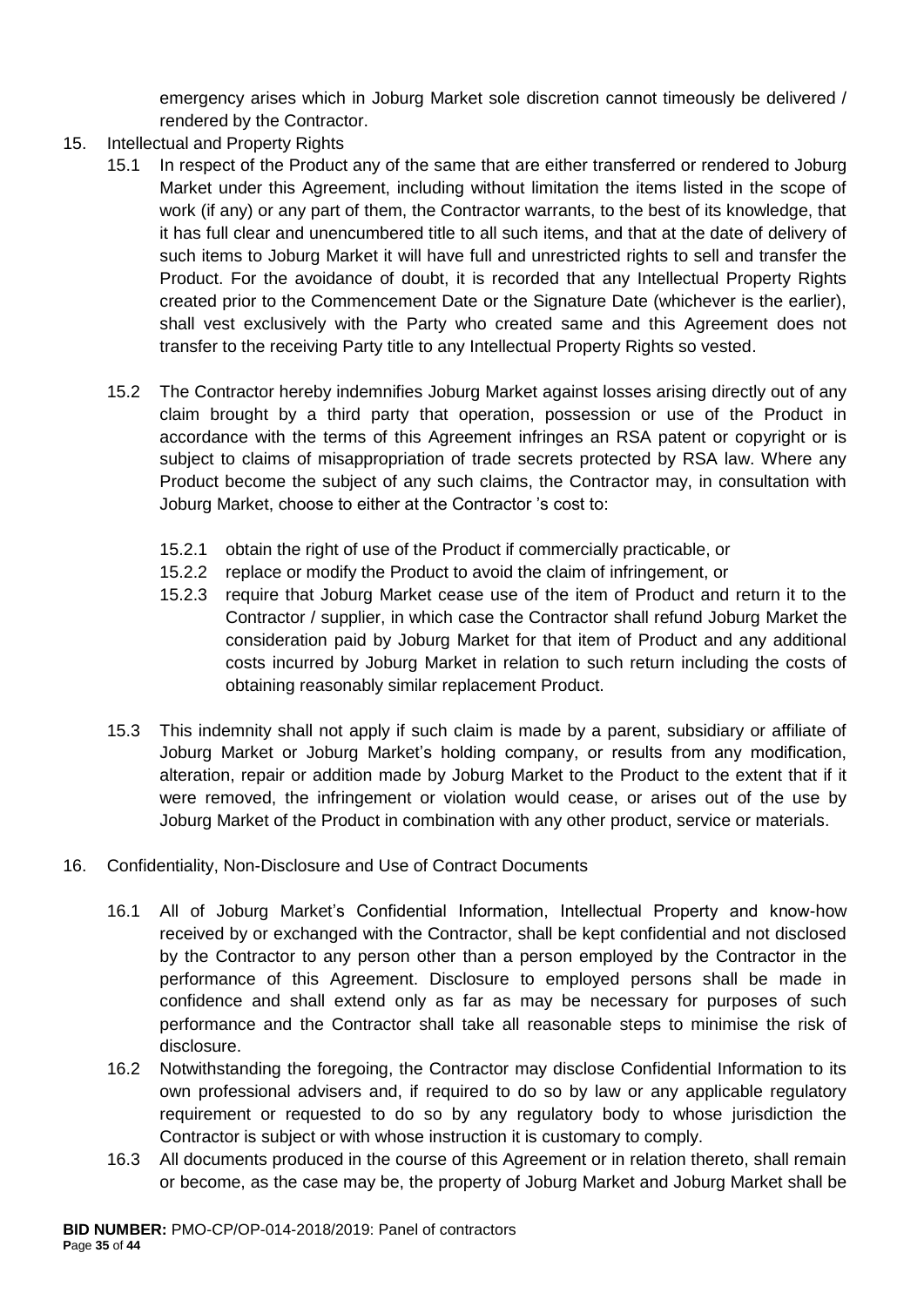emergency arises which in Joburg Market sole discretion cannot timeously be delivered / rendered by the Contractor.

- 15. Intellectual and Property Rights
	- 15.1 In respect of the Product any of the same that are either transferred or rendered to Joburg Market under this Agreement, including without limitation the items listed in the scope of work (if any) or any part of them, the Contractor warrants, to the best of its knowledge, that it has full clear and unencumbered title to all such items, and that at the date of delivery of such items to Joburg Market it will have full and unrestricted rights to sell and transfer the Product. For the avoidance of doubt, it is recorded that any Intellectual Property Rights created prior to the Commencement Date or the Signature Date (whichever is the earlier), shall vest exclusively with the Party who created same and this Agreement does not transfer to the receiving Party title to any Intellectual Property Rights so vested.
	- 15.2 The Contractor hereby indemnifies Joburg Market against losses arising directly out of any claim brought by a third party that operation, possession or use of the Product in accordance with the terms of this Agreement infringes an RSA patent or copyright or is subject to claims of misappropriation of trade secrets protected by RSA law. Where any Product become the subject of any such claims, the Contractor may, in consultation with Joburg Market, choose to either at the Contractor 's cost to:
		- 15.2.1 obtain the right of use of the Product if commercially practicable, or
		- 15.2.2 replace or modify the Product to avoid the claim of infringement, or
		- 15.2.3 require that Joburg Market cease use of the item of Product and return it to the Contractor / supplier, in which case the Contractor shall refund Joburg Market the consideration paid by Joburg Market for that item of Product and any additional costs incurred by Joburg Market in relation to such return including the costs of obtaining reasonably similar replacement Product.
	- 15.3 This indemnity shall not apply if such claim is made by a parent, subsidiary or affiliate of Joburg Market or Joburg Market's holding company, or results from any modification, alteration, repair or addition made by Joburg Market to the Product to the extent that if it were removed, the infringement or violation would cease, or arises out of the use by Joburg Market of the Product in combination with any other product, service or materials.
- 16. Confidentiality, Non-Disclosure and Use of Contract Documents
	- 16.1 All of Joburg Market's Confidential Information, Intellectual Property and know-how received by or exchanged with the Contractor, shall be kept confidential and not disclosed by the Contractor to any person other than a person employed by the Contractor in the performance of this Agreement. Disclosure to employed persons shall be made in confidence and shall extend only as far as may be necessary for purposes of such performance and the Contractor shall take all reasonable steps to minimise the risk of disclosure.
	- 16.2 Notwithstanding the foregoing, the Contractor may disclose Confidential Information to its own professional advisers and, if required to do so by law or any applicable regulatory requirement or requested to do so by any regulatory body to whose jurisdiction the Contractor is subject or with whose instruction it is customary to comply.
	- 16.3 All documents produced in the course of this Agreement or in relation thereto, shall remain or become, as the case may be, the property of Joburg Market and Joburg Market shall be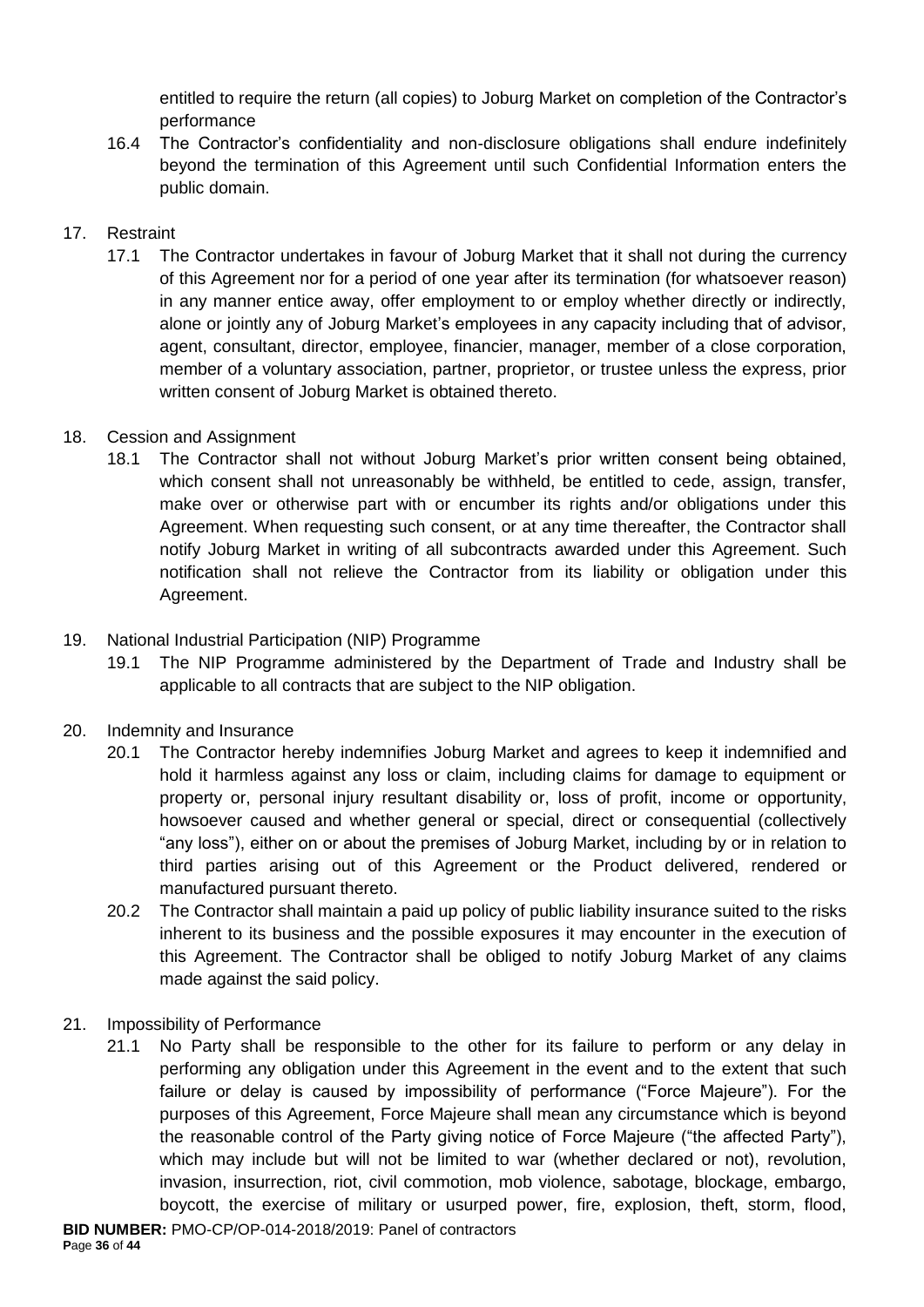entitled to require the return (all copies) to Joburg Market on completion of the Contractor's performance

16.4 The Contractor's confidentiality and non-disclosure obligations shall endure indefinitely beyond the termination of this Agreement until such Confidential Information enters the public domain.

## 17. Restraint

17.1 The Contractor undertakes in favour of Joburg Market that it shall not during the currency of this Agreement nor for a period of one year after its termination (for whatsoever reason) in any manner entice away, offer employment to or employ whether directly or indirectly, alone or jointly any of Joburg Market's employees in any capacity including that of advisor, agent, consultant, director, employee, financier, manager, member of a close corporation, member of a voluntary association, partner, proprietor, or trustee unless the express, prior written consent of Joburg Market is obtained thereto.

# 18. Cession and Assignment

18.1 The Contractor shall not without Joburg Market's prior written consent being obtained, which consent shall not unreasonably be withheld, be entitled to cede, assign, transfer, make over or otherwise part with or encumber its rights and/or obligations under this Agreement. When requesting such consent, or at any time thereafter, the Contractor shall notify Joburg Market in writing of all subcontracts awarded under this Agreement. Such notification shall not relieve the Contractor from its liability or obligation under this Agreement.

# 19. National Industrial Participation (NIP) Programme

19.1 The NIP Programme administered by the Department of Trade and Industry shall be applicable to all contracts that are subject to the NIP obligation.

## 20. Indemnity and Insurance

- 20.1 The Contractor hereby indemnifies Joburg Market and agrees to keep it indemnified and hold it harmless against any loss or claim, including claims for damage to equipment or property or, personal injury resultant disability or, loss of profit, income or opportunity, howsoever caused and whether general or special, direct or consequential (collectively "any loss"), either on or about the premises of Joburg Market, including by or in relation to third parties arising out of this Agreement or the Product delivered, rendered or manufactured pursuant thereto.
- 20.2 The Contractor shall maintain a paid up policy of public liability insurance suited to the risks inherent to its business and the possible exposures it may encounter in the execution of this Agreement. The Contractor shall be obliged to notify Joburg Market of any claims made against the said policy.
- 21. Impossibility of Performance
	- 21.1 No Party shall be responsible to the other for its failure to perform or any delay in performing any obligation under this Agreement in the event and to the extent that such failure or delay is caused by impossibility of performance ("Force Majeure"). For the purposes of this Agreement, Force Majeure shall mean any circumstance which is beyond the reasonable control of the Party giving notice of Force Majeure ("the affected Party"), which may include but will not be limited to war (whether declared or not), revolution, invasion, insurrection, riot, civil commotion, mob violence, sabotage, blockage, embargo, boycott, the exercise of military or usurped power, fire, explosion, theft, storm, flood,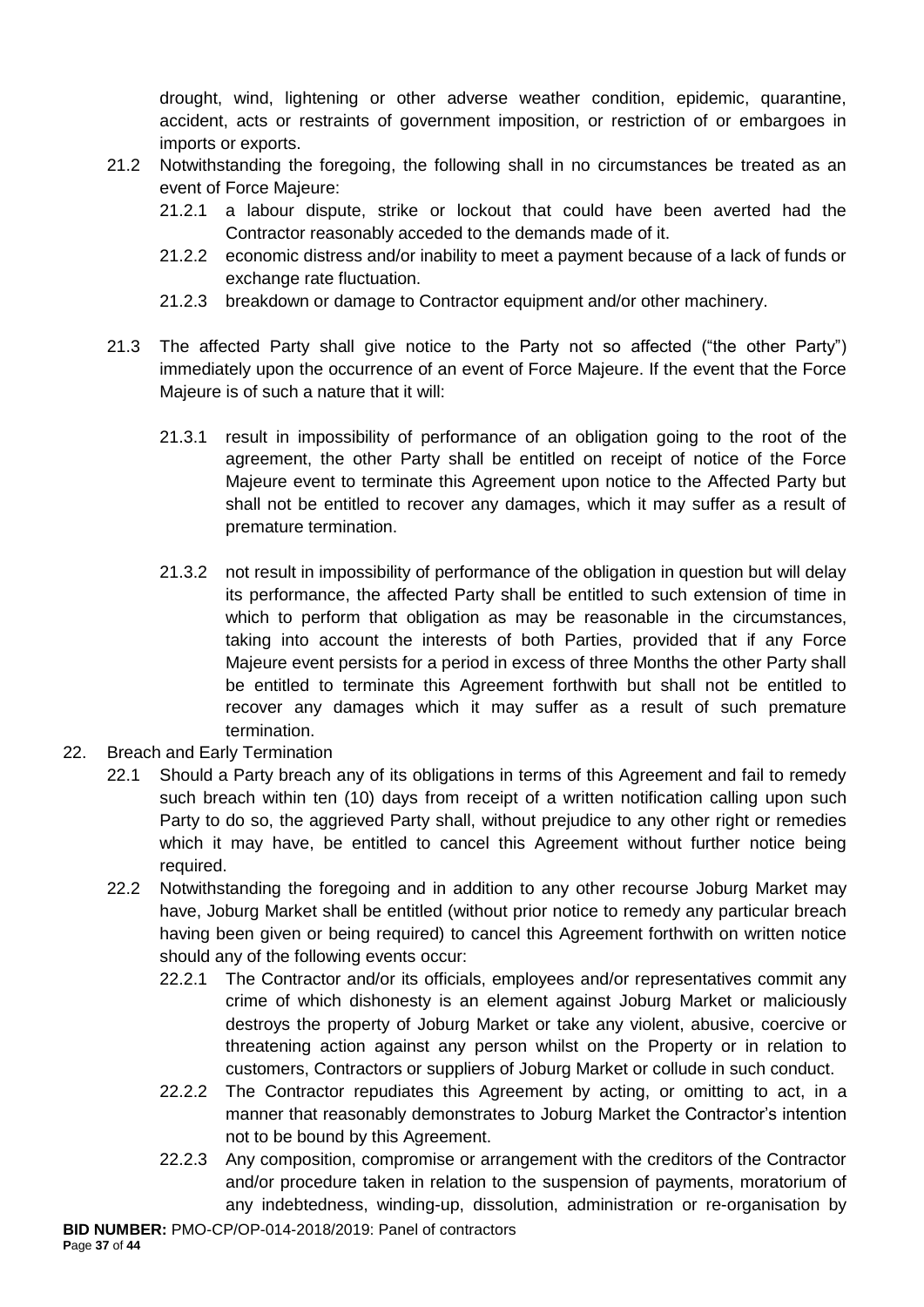drought, wind, lightening or other adverse weather condition, epidemic, quarantine, accident, acts or restraints of government imposition, or restriction of or embargoes in imports or exports.

- 21.2 Notwithstanding the foregoing, the following shall in no circumstances be treated as an event of Force Majeure:
	- 21.2.1 a labour dispute, strike or lockout that could have been averted had the Contractor reasonably acceded to the demands made of it.
	- 21.2.2 economic distress and/or inability to meet a payment because of a lack of funds or exchange rate fluctuation.
	- 21.2.3 breakdown or damage to Contractor equipment and/or other machinery.
- 21.3 The affected Party shall give notice to the Party not so affected ("the other Party") immediately upon the occurrence of an event of Force Majeure. If the event that the Force Majeure is of such a nature that it will:
	- 21.3.1 result in impossibility of performance of an obligation going to the root of the agreement, the other Party shall be entitled on receipt of notice of the Force Majeure event to terminate this Agreement upon notice to the Affected Party but shall not be entitled to recover any damages, which it may suffer as a result of premature termination.
	- 21.3.2 not result in impossibility of performance of the obligation in question but will delay its performance, the affected Party shall be entitled to such extension of time in which to perform that obligation as may be reasonable in the circumstances, taking into account the interests of both Parties, provided that if any Force Majeure event persists for a period in excess of three Months the other Party shall be entitled to terminate this Agreement forthwith but shall not be entitled to recover any damages which it may suffer as a result of such premature termination.
- 22. Breach and Early Termination
	- 22.1 Should a Party breach any of its obligations in terms of this Agreement and fail to remedy such breach within ten (10) days from receipt of a written notification calling upon such Party to do so, the aggrieved Party shall, without prejudice to any other right or remedies which it may have, be entitled to cancel this Agreement without further notice being required.
	- 22.2 Notwithstanding the foregoing and in addition to any other recourse Joburg Market may have, Joburg Market shall be entitled (without prior notice to remedy any particular breach having been given or being required) to cancel this Agreement forthwith on written notice should any of the following events occur:
		- 22.2.1 The Contractor and/or its officials, employees and/or representatives commit any crime of which dishonesty is an element against Joburg Market or maliciously destroys the property of Joburg Market or take any violent, abusive, coercive or threatening action against any person whilst on the Property or in relation to customers, Contractors or suppliers of Joburg Market or collude in such conduct.
		- 22.2.2 The Contractor repudiates this Agreement by acting, or omitting to act, in a manner that reasonably demonstrates to Joburg Market the Contractor's intention not to be bound by this Agreement.
		- 22.2.3 Any composition, compromise or arrangement with the creditors of the Contractor and/or procedure taken in relation to the suspension of payments, moratorium of any indebtedness, winding-up, dissolution, administration or re-organisation by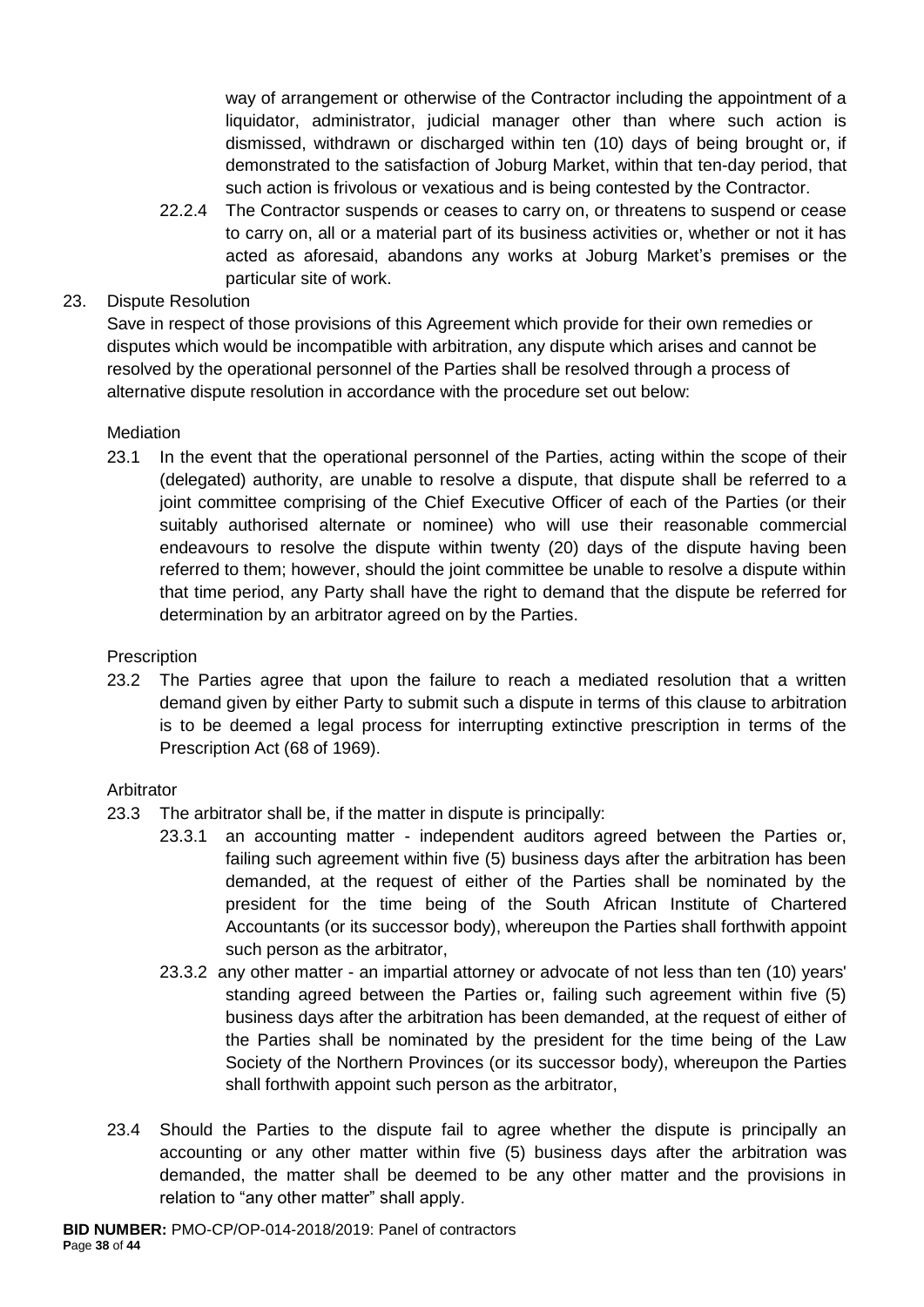way of arrangement or otherwise of the Contractor including the appointment of a liquidator, administrator, judicial manager other than where such action is dismissed, withdrawn or discharged within ten (10) days of being brought or, if demonstrated to the satisfaction of Joburg Market, within that ten-day period, that such action is frivolous or vexatious and is being contested by the Contractor.

22.2.4 The Contractor suspends or ceases to carry on, or threatens to suspend or cease to carry on, all or a material part of its business activities or, whether or not it has acted as aforesaid, abandons any works at Joburg Market's premises or the particular site of work.

## 23. Dispute Resolution

Save in respect of those provisions of this Agreement which provide for their own remedies or disputes which would be incompatible with arbitration, any dispute which arises and cannot be resolved by the operational personnel of the Parties shall be resolved through a process of alternative dispute resolution in accordance with the procedure set out below:

# **Mediation**

23.1 In the event that the operational personnel of the Parties, acting within the scope of their (delegated) authority, are unable to resolve a dispute, that dispute shall be referred to a joint committee comprising of the Chief Executive Officer of each of the Parties (or their suitably authorised alternate or nominee) who will use their reasonable commercial endeavours to resolve the dispute within twenty (20) days of the dispute having been referred to them; however, should the joint committee be unable to resolve a dispute within that time period, any Party shall have the right to demand that the dispute be referred for determination by an arbitrator agreed on by the Parties.

## **Prescription**

23.2 The Parties agree that upon the failure to reach a mediated resolution that a written demand given by either Party to submit such a dispute in terms of this clause to arbitration is to be deemed a legal process for interrupting extinctive prescription in terms of the Prescription Act (68 of 1969).

## Arbitrator

- 23.3 The arbitrator shall be, if the matter in dispute is principally:
	- 23.3.1 an accounting matter independent auditors agreed between the Parties or, failing such agreement within five (5) business days after the arbitration has been demanded, at the request of either of the Parties shall be nominated by the president for the time being of the South African Institute of Chartered Accountants (or its successor body), whereupon the Parties shall forthwith appoint such person as the arbitrator,
	- 23.3.2 any other matter an impartial attorney or advocate of not less than ten (10) years' standing agreed between the Parties or, failing such agreement within five (5) business days after the arbitration has been demanded, at the request of either of the Parties shall be nominated by the president for the time being of the Law Society of the Northern Provinces (or its successor body), whereupon the Parties shall forthwith appoint such person as the arbitrator,
- 23.4 Should the Parties to the dispute fail to agree whether the dispute is principally an accounting or any other matter within five (5) business days after the arbitration was demanded, the matter shall be deemed to be any other matter and the provisions in relation to "any other matter" shall apply.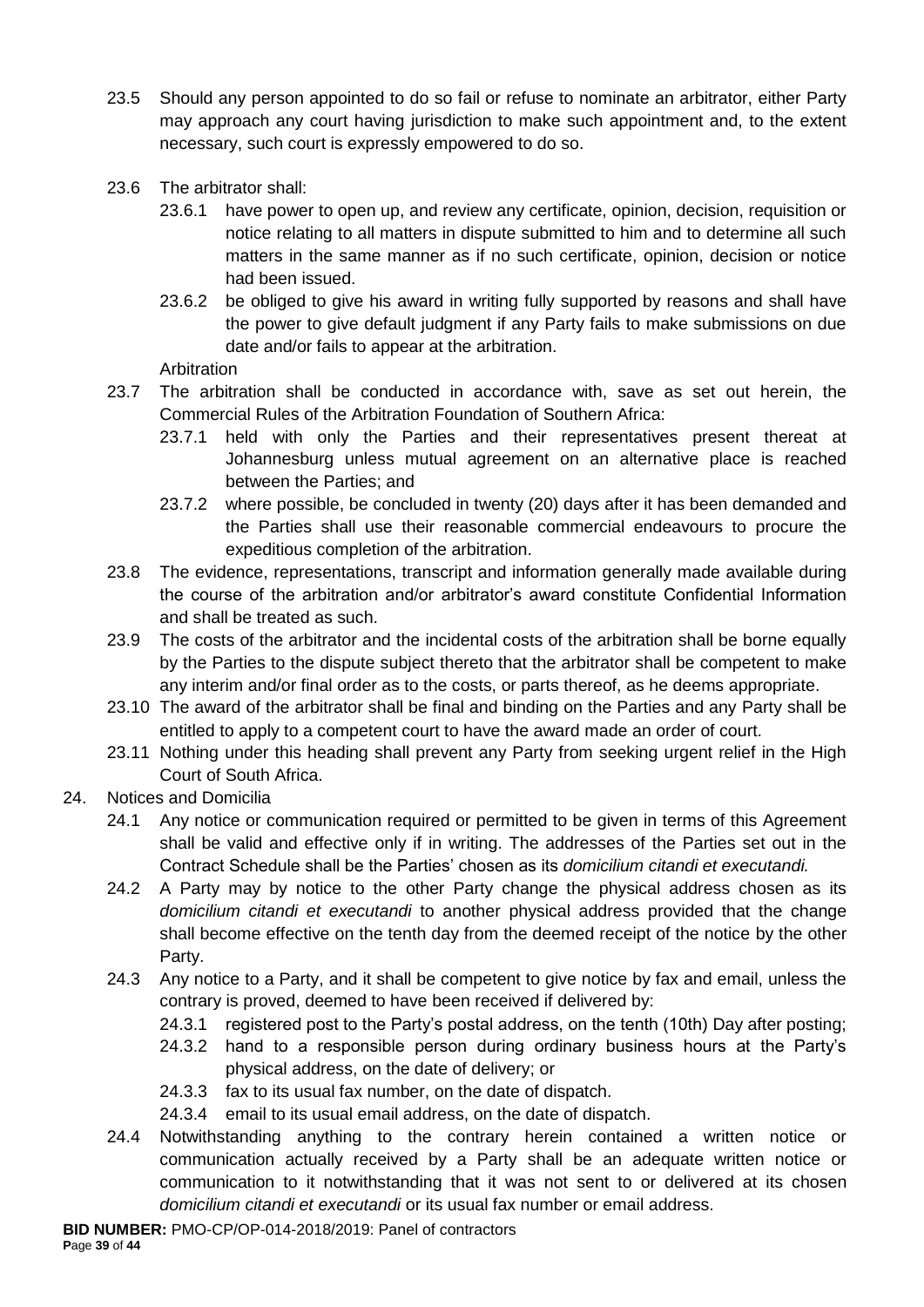- 23.5 Should any person appointed to do so fail or refuse to nominate an arbitrator, either Party may approach any court having jurisdiction to make such appointment and, to the extent necessary, such court is expressly empowered to do so.
- 23.6 The arbitrator shall:
	- 23.6.1 have power to open up, and review any certificate, opinion, decision, requisition or notice relating to all matters in dispute submitted to him and to determine all such matters in the same manner as if no such certificate, opinion, decision or notice had been issued.
	- 23.6.2 be obliged to give his award in writing fully supported by reasons and shall have the power to give default judgment if any Party fails to make submissions on due date and/or fails to appear at the arbitration.

Arbitration

- 23.7 The arbitration shall be conducted in accordance with, save as set out herein, the Commercial Rules of the Arbitration Foundation of Southern Africa:
	- 23.7.1 held with only the Parties and their representatives present thereat at Johannesburg unless mutual agreement on an alternative place is reached between the Parties; and
	- 23.7.2 where possible, be concluded in twenty (20) days after it has been demanded and the Parties shall use their reasonable commercial endeavours to procure the expeditious completion of the arbitration.
- 23.8 The evidence, representations, transcript and information generally made available during the course of the arbitration and/or arbitrator's award constitute Confidential Information and shall be treated as such.
- 23.9 The costs of the arbitrator and the incidental costs of the arbitration shall be borne equally by the Parties to the dispute subject thereto that the arbitrator shall be competent to make any interim and/or final order as to the costs, or parts thereof, as he deems appropriate.
- 23.10 The award of the arbitrator shall be final and binding on the Parties and any Party shall be entitled to apply to a competent court to have the award made an order of court.
- 23.11 Nothing under this heading shall prevent any Party from seeking urgent relief in the High Court of South Africa.
- 24. Notices and Domicilia
	- 24.1 Any notice or communication required or permitted to be given in terms of this Agreement shall be valid and effective only if in writing. The addresses of the Parties set out in the Contract Schedule shall be the Parties' chosen as its *domicilium citandi et executandi.*
	- 24.2 A Party may by notice to the other Party change the physical address chosen as its *domicilium citandi et executandi* to another physical address provided that the change shall become effective on the tenth day from the deemed receipt of the notice by the other Party.
	- 24.3 Any notice to a Party, and it shall be competent to give notice by fax and email, unless the contrary is proved, deemed to have been received if delivered by:
		- 24.3.1 registered post to the Party's postal address, on the tenth (10th) Day after posting;
		- 24.3.2 hand to a responsible person during ordinary business hours at the Party's physical address, on the date of delivery; or
		- 24.3.3 fax to its usual fax number, on the date of dispatch.
		- 24.3.4 email to its usual email address, on the date of dispatch.
	- 24.4 Notwithstanding anything to the contrary herein contained a written notice or communication actually received by a Party shall be an adequate written notice or communication to it notwithstanding that it was not sent to or delivered at its chosen *domicilium citandi et executandi* or its usual fax number or email address.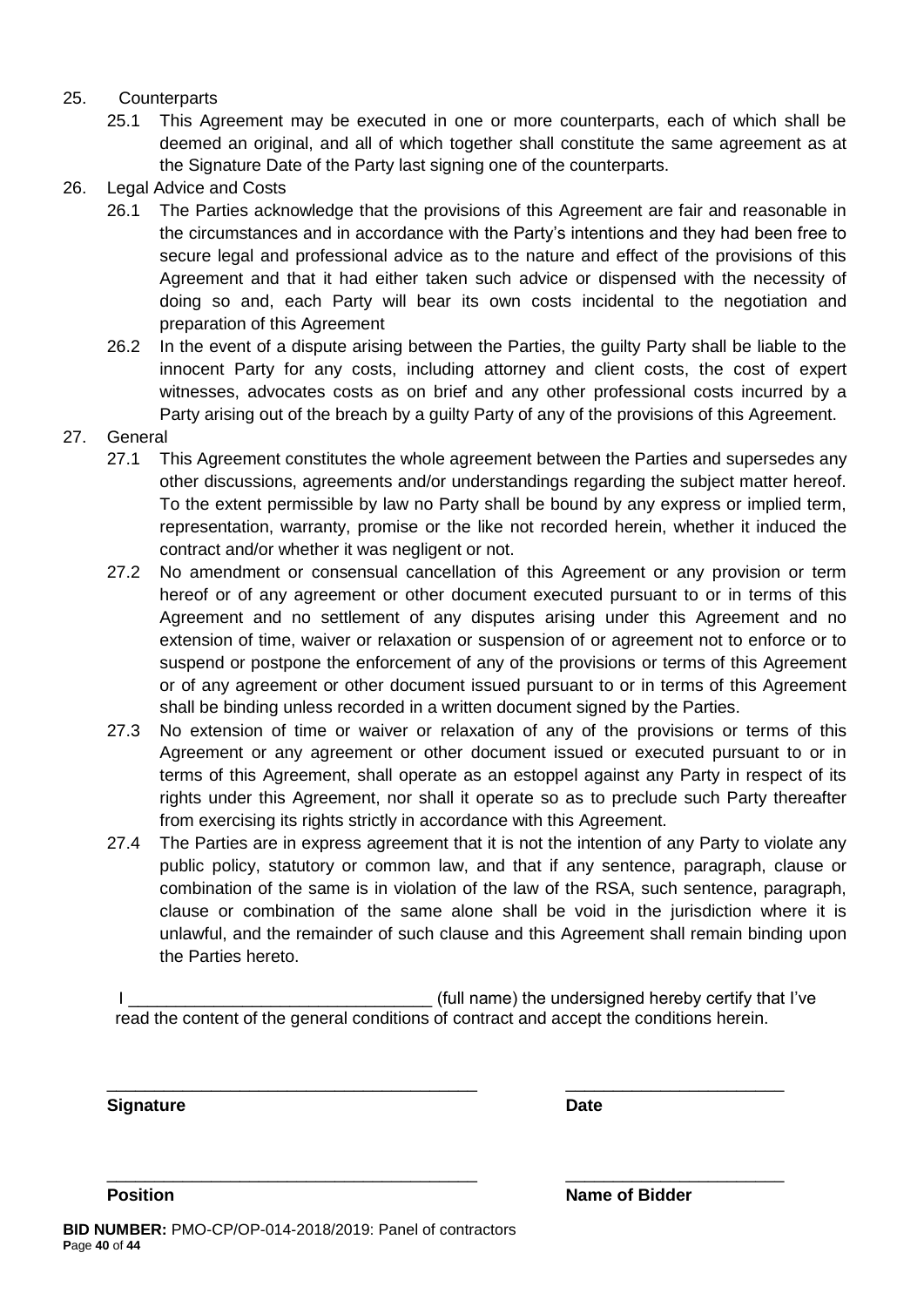### 25. Counterparts

- 25.1 This Agreement may be executed in one or more counterparts, each of which shall be deemed an original, and all of which together shall constitute the same agreement as at the Signature Date of the Party last signing one of the counterparts.
- 26. Legal Advice and Costs
	- 26.1 The Parties acknowledge that the provisions of this Agreement are fair and reasonable in the circumstances and in accordance with the Party's intentions and they had been free to secure legal and professional advice as to the nature and effect of the provisions of this Agreement and that it had either taken such advice or dispensed with the necessity of doing so and, each Party will bear its own costs incidental to the negotiation and preparation of this Agreement
	- 26.2 In the event of a dispute arising between the Parties, the guilty Party shall be liable to the innocent Party for any costs, including attorney and client costs, the cost of expert witnesses, advocates costs as on brief and any other professional costs incurred by a Party arising out of the breach by a guilty Party of any of the provisions of this Agreement.
- 27. General
	- 27.1 This Agreement constitutes the whole agreement between the Parties and supersedes any other discussions, agreements and/or understandings regarding the subject matter hereof. To the extent permissible by law no Party shall be bound by any express or implied term, representation, warranty, promise or the like not recorded herein, whether it induced the contract and/or whether it was negligent or not.
	- 27.2 No amendment or consensual cancellation of this Agreement or any provision or term hereof or of any agreement or other document executed pursuant to or in terms of this Agreement and no settlement of any disputes arising under this Agreement and no extension of time, waiver or relaxation or suspension of or agreement not to enforce or to suspend or postpone the enforcement of any of the provisions or terms of this Agreement or of any agreement or other document issued pursuant to or in terms of this Agreement shall be binding unless recorded in a written document signed by the Parties.
	- 27.3 No extension of time or waiver or relaxation of any of the provisions or terms of this Agreement or any agreement or other document issued or executed pursuant to or in terms of this Agreement, shall operate as an estoppel against any Party in respect of its rights under this Agreement, nor shall it operate so as to preclude such Party thereafter from exercising its rights strictly in accordance with this Agreement.
	- 27.4 The Parties are in express agreement that it is not the intention of any Party to violate any public policy, statutory or common law, and that if any sentence, paragraph, clause or combination of the same is in violation of the law of the RSA, such sentence, paragraph, clause or combination of the same alone shall be void in the jurisdiction where it is unlawful, and the remainder of such clause and this Agreement shall remain binding upon the Parties hereto.

I Letterman the state of the undersigned hereby certify that I've is a state of the undersigned hereby certify that I've read the content of the general conditions of contract and accept the conditions herein.

\_\_\_\_\_\_\_\_\_\_\_\_\_\_\_\_\_\_\_\_\_\_\_\_\_\_\_\_\_\_\_\_\_\_\_\_\_\_\_ \_\_\_\_\_\_\_\_\_\_\_\_\_\_\_\_\_\_\_\_\_\_\_

\_\_\_\_\_\_\_\_\_\_\_\_\_\_\_\_\_\_\_\_\_\_\_\_\_\_\_\_\_\_\_\_\_\_\_\_\_\_\_ \_\_\_\_\_\_\_\_\_\_\_\_\_\_\_\_\_\_\_\_\_\_\_

**Signature Date**

**Position Name of Bidder**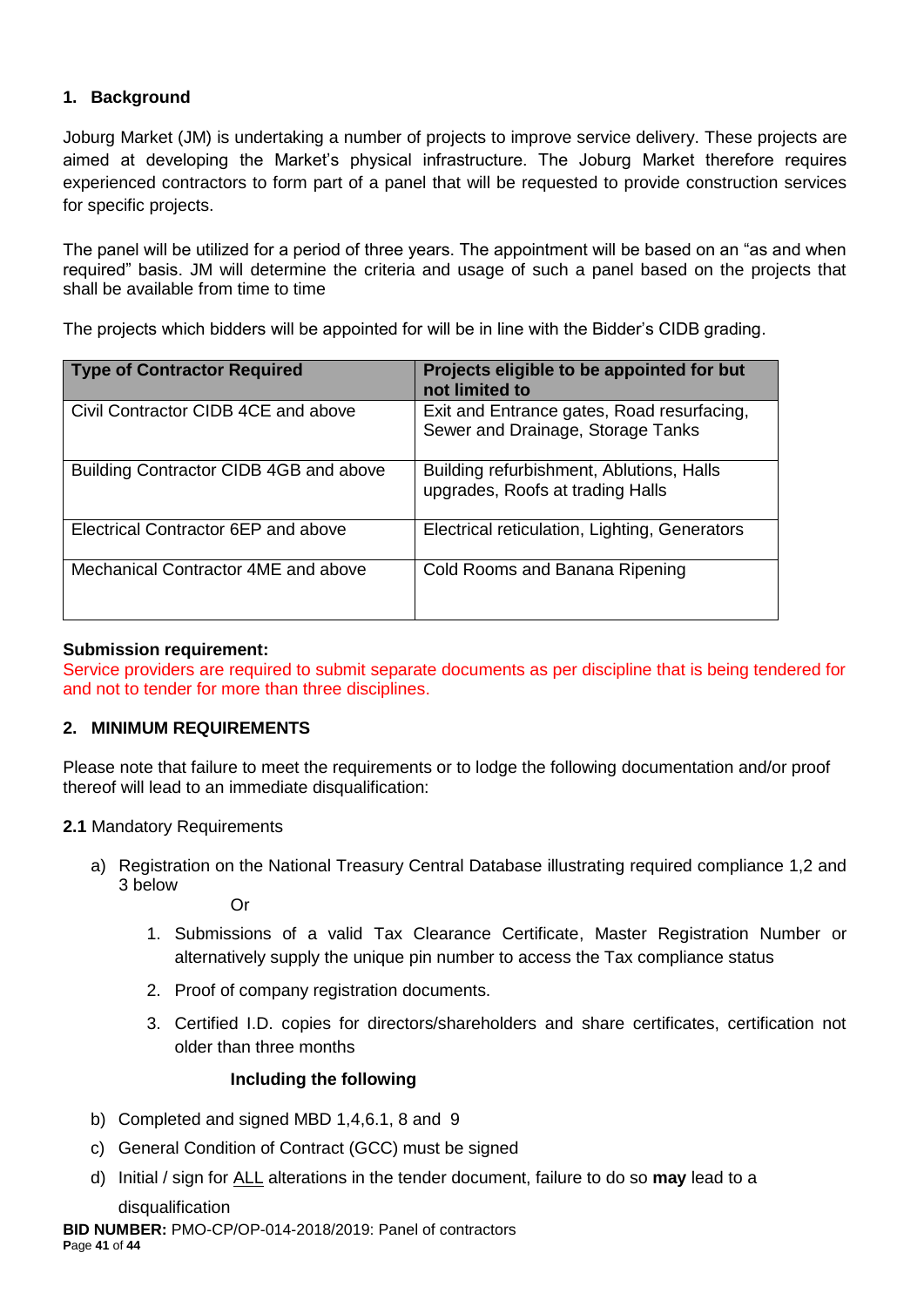## **1. Background**

Joburg Market (JM) is undertaking a number of projects to improve service delivery. These projects are aimed at developing the Market's physical infrastructure. The Joburg Market therefore requires experienced contractors to form part of a panel that will be requested to provide construction services for specific projects.

The panel will be utilized for a period of three years. The appointment will be based on an "as and when required" basis. JM will determine the criteria and usage of such a panel based on the projects that shall be available from time to time

The projects which bidders will be appointed for will be in line with the Bidder's CIDB grading.

| Type of Contractor Required            | Projects eligible to be appointed for but<br>not limited to                     |
|----------------------------------------|---------------------------------------------------------------------------------|
| Civil Contractor CIDB 4CE and above    | Exit and Entrance gates, Road resurfacing,<br>Sewer and Drainage, Storage Tanks |
| Building Contractor CIDB 4GB and above | Building refurbishment, Ablutions, Halls<br>upgrades, Roofs at trading Halls    |
| Electrical Contractor 6EP and above    | Electrical reticulation, Lighting, Generators                                   |
| Mechanical Contractor 4ME and above    | Cold Rooms and Banana Ripening                                                  |

#### **Submission requirement:**

Service providers are required to submit separate documents as per discipline that is being tendered for and not to tender for more than three disciplines.

## **2. MINIMUM REQUIREMENTS**

Please note that failure to meet the requirements or to lodge the following documentation and/or proof thereof will lead to an immediate disqualification:

#### **2.1** Mandatory Requirements

a) Registration on the National Treasury Central Database illustrating required compliance 1,2 and 3 below

Or

- 1. Submissions of a valid Tax Clearance Certificate, Master Registration Number or alternatively supply the unique pin number to access the Tax compliance status
- 2. Proof of company registration documents.
- 3. Certified I.D. copies for directors/shareholders and share certificates, certification not older than three months

#### **Including the following**

- b) Completed and signed MBD 1,4,6.1, 8 and 9
- c) General Condition of Contract (GCC) must be signed
- d) Initial / sign for ALL alterations in the tender document, failure to do so **may** lead to a

disqualification

**BID NUMBER:** PMO-CP/OP-014-2018/2019: Panel of contractors **P**age **41** of **44**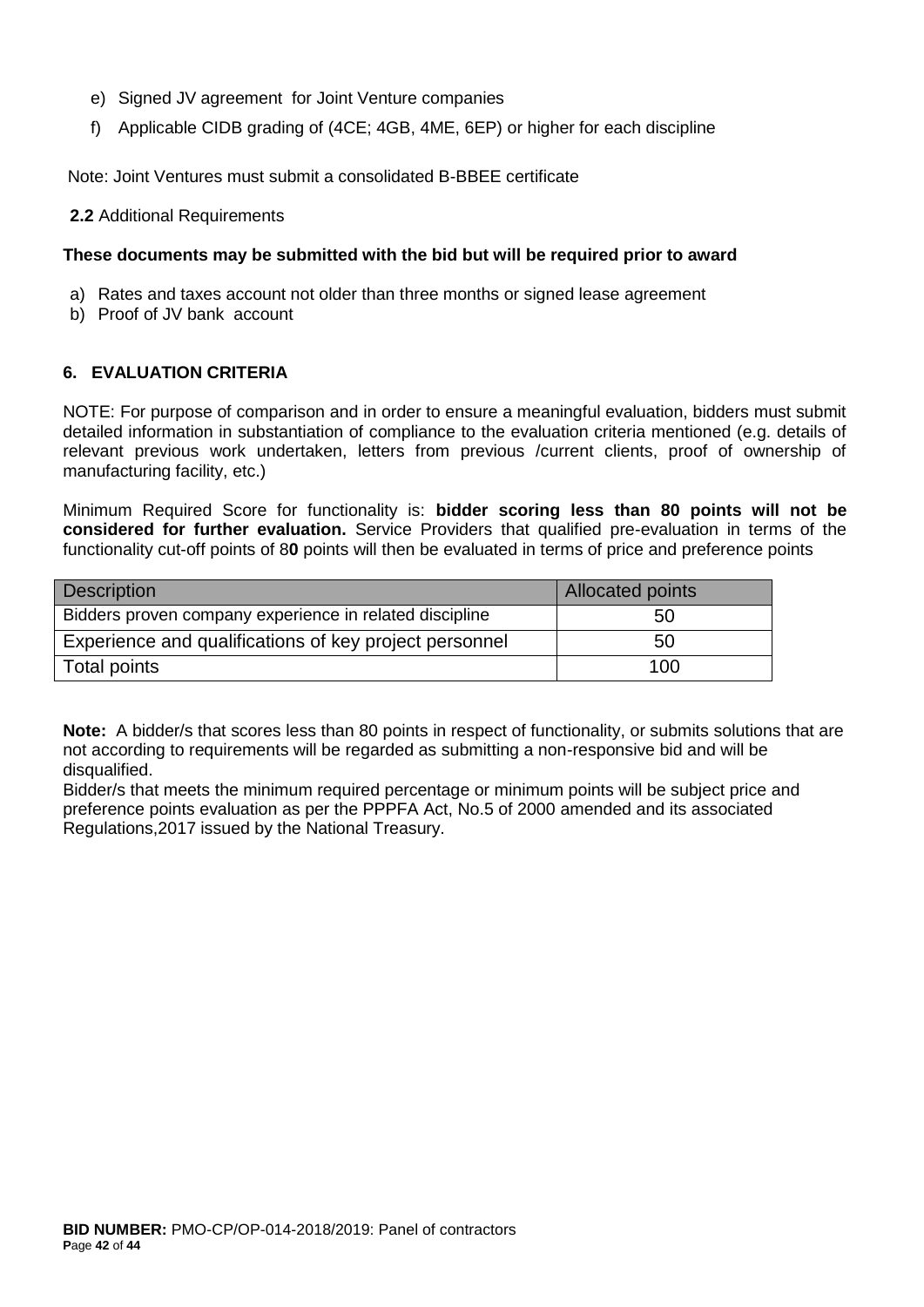- e) Signed JV agreement for Joint Venture companies
- f) Applicable CIDB grading of (4CE; 4GB, 4ME, 6EP) or higher for each discipline

Note: Joint Ventures must submit a consolidated B-BBEE certificate

**2.2** Additional Requirements

#### **These documents may be submitted with the bid but will be required prior to award**

- a) Rates and taxes account not older than three months or signed lease agreement
- b) Proof of JV bank account

#### **6. EVALUATION CRITERIA**

NOTE: For purpose of comparison and in order to ensure a meaningful evaluation, bidders must submit detailed information in substantiation of compliance to the evaluation criteria mentioned (e.g. details of relevant previous work undertaken, letters from previous /current clients, proof of ownership of manufacturing facility, etc.)

Minimum Required Score for functionality is: **bidder scoring less than 80 points will not be considered for further evaluation.** Service Providers that qualified pre-evaluation in terms of the functionality cut-off points of 8**0** points will then be evaluated in terms of price and preference points

| <b>Description</b>                                      | <b>Allocated points</b> |
|---------------------------------------------------------|-------------------------|
| Bidders proven company experience in related discipline | 50                      |
| Experience and qualifications of key project personnel  | 50                      |
| Total points                                            | 100                     |

**Note:** A bidder/s that scores less than 80 points in respect of functionality, or submits solutions that are not according to requirements will be regarded as submitting a non-responsive bid and will be disqualified.

Bidder/s that meets the minimum required percentage or minimum points will be subject price and preference points evaluation as per the PPPFA Act, No.5 of 2000 amended and its associated Regulations,2017 issued by the National Treasury.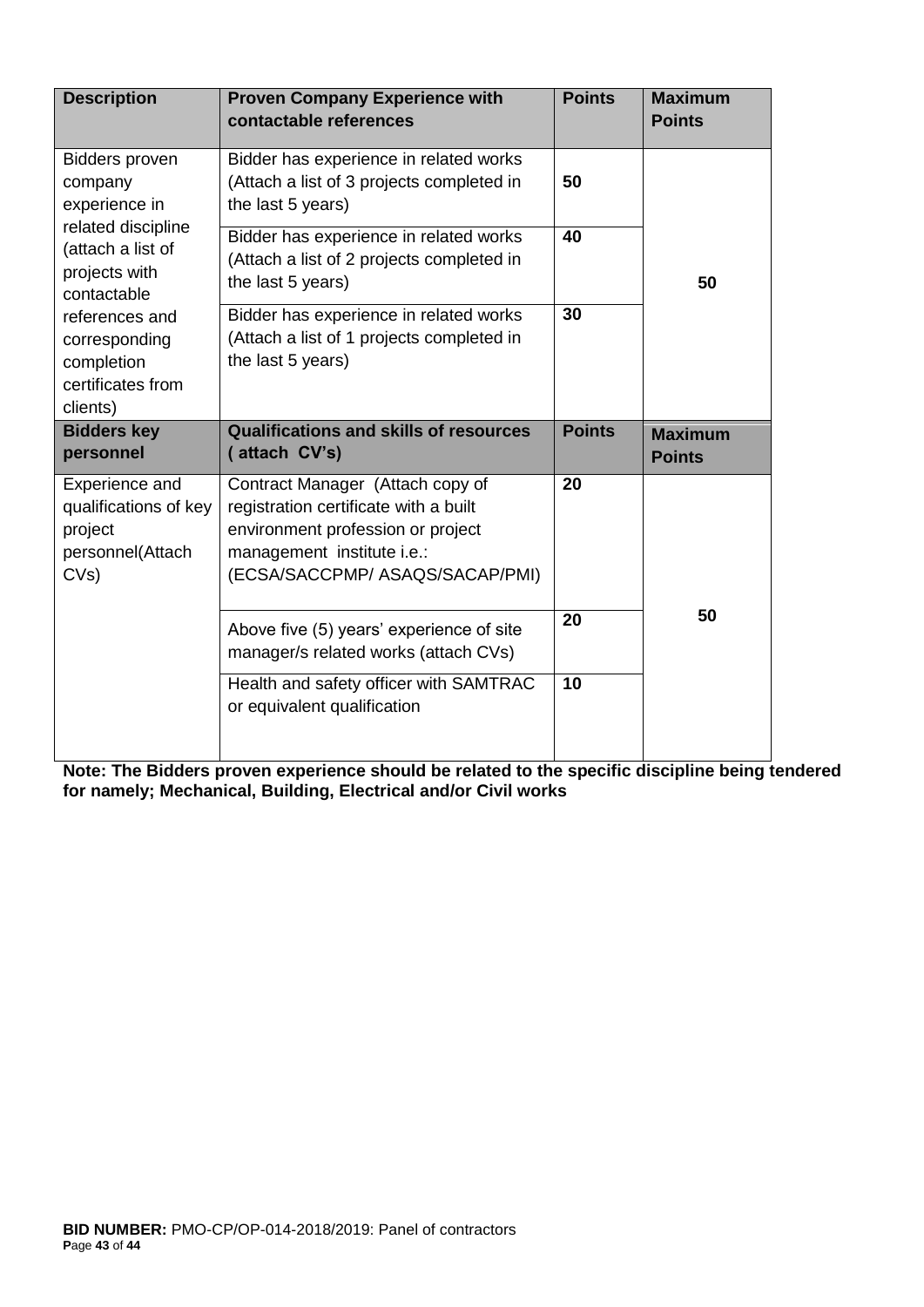| <b>Description</b>                                                                                                                                                                                             | <b>Proven Company Experience with</b><br>contactable references                                                                                    | <b>Points</b> | <b>Maximum</b><br><b>Points</b> |
|----------------------------------------------------------------------------------------------------------------------------------------------------------------------------------------------------------------|----------------------------------------------------------------------------------------------------------------------------------------------------|---------------|---------------------------------|
| <b>Bidders proven</b><br>company<br>experience in<br>related discipline<br>(attach a list of<br>projects with<br>contactable<br>references and<br>corresponding<br>completion<br>certificates from<br>clients) | Bidder has experience in related works<br>(Attach a list of 3 projects completed in<br>the last 5 years)<br>Bidder has experience in related works | 50<br>40      | 50                              |
|                                                                                                                                                                                                                | (Attach a list of 2 projects completed in<br>the last 5 years)                                                                                     |               |                                 |
|                                                                                                                                                                                                                | Bidder has experience in related works<br>(Attach a list of 1 projects completed in<br>the last 5 years)                                           | 30            |                                 |
| <b>Bidders key</b><br>personnel                                                                                                                                                                                | <b>Qualifications and skills of resources</b><br>(attach CV's)                                                                                     | <b>Points</b> | <b>Maximum</b><br><b>Points</b> |
| Experience and<br>qualifications of key<br>project<br>personnel(Attach<br>CVs)                                                                                                                                 | Contract Manager (Attach copy of<br>registration certificate with a built<br>environment profession or project                                     | 20            |                                 |
|                                                                                                                                                                                                                | management institute i.e.:<br>(ECSA/SACCPMP/ ASAQS/SACAP/PMI)                                                                                      |               |                                 |
|                                                                                                                                                                                                                | Above five (5) years' experience of site<br>manager/s related works (attach CVs)                                                                   | 20            | 50                              |

**Note: The Bidders proven experience should be related to the specific discipline being tendered for namely; Mechanical, Building, Electrical and/or Civil works**